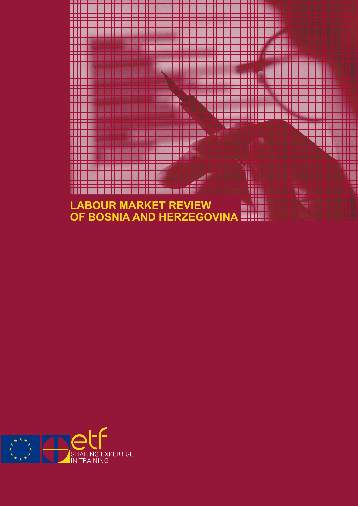

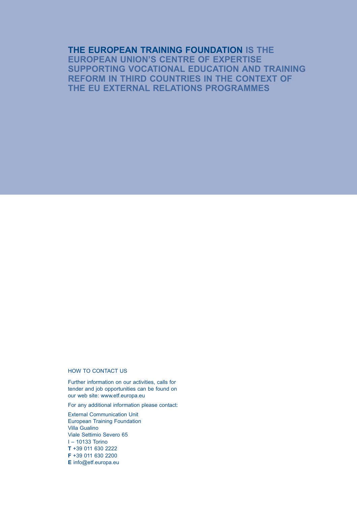# **THE EUROPEAN TRAINING FOUNDATION IS THE EUROPEAN UNION'S CENTRE OF EXPERTISE SUPPORTING VOCATIONAL EDUCATION AND TRAINING REFORM IN THIRD COUNTRIES IN THE CONTEXT OF THE EU EXTERNAL RELATIONS PROGRAMMES**

#### HOW TO CONTACT US

Further information on our activities, calls for tender and job opportunities can be found on our web site: www.etf.europa.eu

For any additional information please contact:

External Communication Unit European Training Foundation Villa Gualino Viale Settimio Severo 65 I – 10133 Torino **T** +39 011 630 2222 **F** +39 011 630 2200 **E** info@etf.europa.eu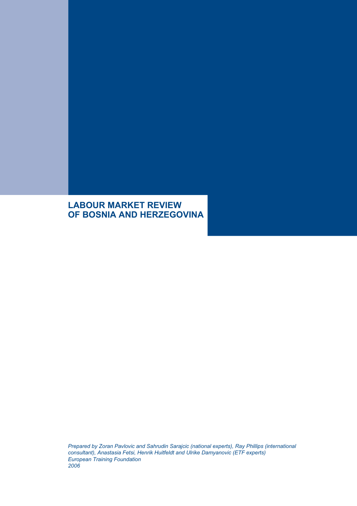# **LABOUR MARKET REVIEW OF BOSNIA AND HERZEGOVINA**

*Prepared by Zoran Pavlovic and Sahrudin Sarajcic (national experts), Ray Phillips (international consultant), Anastasia Fetsi, Henrik Huitfeldt and Ulrike Damyanovic (ETF experts) European Training Foundation 2006*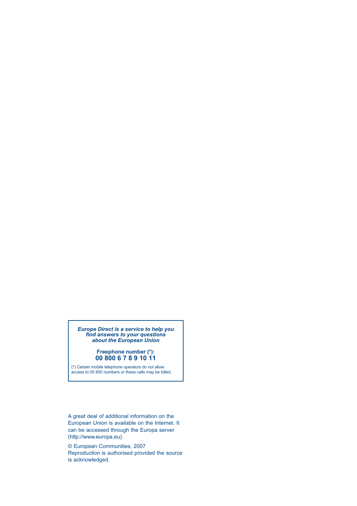#### *Europe Direct is a service to help you find answers to your questions about the European Union*

#### **Freephone number (\*): 00 800 6 7 8 9 10 11**

(\*) Certain mobile telephone operators do not allow access to 00 800 numbers or these calls may be billed.

A great deal of additional information on the European Union is available on the Internet. It can be accessed through the Europa server (http://www.europa.eu).

© European Communities, 2007 Reproduction is authorised provided the source is acknowledged.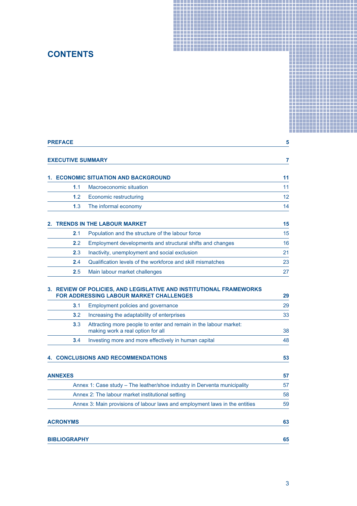# **CONTENTS**

| <b>CONTENTS</b>          |                                                                                                                |    |  |
|--------------------------|----------------------------------------------------------------------------------------------------------------|----|--|
|                          |                                                                                                                |    |  |
| <b>PREFACE</b>           |                                                                                                                | 5  |  |
|                          |                                                                                                                |    |  |
| <b>EXECUTIVE SUMMARY</b> |                                                                                                                | 7  |  |
|                          | 1. ECONOMIC SITUATION AND BACKGROUND                                                                           | 11 |  |
| 1.1                      | Macroeconomic situation                                                                                        | 11 |  |
| 1.2                      | <b>Economic restructuring</b>                                                                                  | 12 |  |
| 1.3                      | The informal economy                                                                                           | 14 |  |
|                          |                                                                                                                |    |  |
|                          | <b>TRENDS IN THE LABOUR MARKET</b>                                                                             | 15 |  |
| 2.1                      | Population and the structure of the labour force                                                               | 15 |  |
| 2.2                      | Employment developments and structural shifts and changes                                                      | 16 |  |
| 2.3                      | Inactivity, unemployment and social exclusion                                                                  | 21 |  |
| 2.4                      | Qualification levels of the workforce and skill mismatches                                                     | 23 |  |
| 2.5                      | Main labour market challenges                                                                                  | 27 |  |
|                          |                                                                                                                |    |  |
|                          | 3. REVIEW OF POLICIES, AND LEGISLATIVE AND INSTITUTIONAL FRAMEWORKS<br>FOR ADDRESSING LABOUR MARKET CHALLENGES | 29 |  |
| 3.1                      | Employment policies and governance                                                                             | 29 |  |
| 3.2                      | Increasing the adaptability of enterprises                                                                     | 33 |  |
| 3.3                      | Attracting more people to enter and remain in the labour market:<br>making work a real option for all          | 38 |  |
| 3.4                      | Investing more and more effectively in human capital                                                           | 48 |  |
|                          |                                                                                                                |    |  |
|                          | <b>4. CONCLUSIONS AND RECOMMENDATIONS</b>                                                                      | 53 |  |
|                          |                                                                                                                |    |  |
| <b>ANNEXES</b>           |                                                                                                                | 57 |  |
|                          | Annex 1: Case study - The leather/shoe industry in Derventa municipality                                       | 57 |  |
|                          | Annex 2: The labour market institutional setting                                                               | 58 |  |
|                          | Annex 3: Main provisions of labour laws and employment laws in the entities                                    | 59 |  |
| <b>ACRONYMS</b>          |                                                                                                                | 63 |  |
|                          |                                                                                                                |    |  |
| <b>BIBLIOGRAPHY</b>      |                                                                                                                | 65 |  |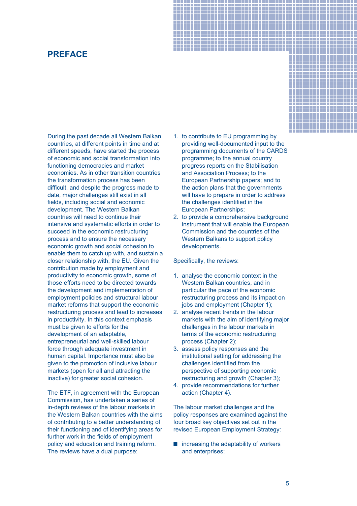# **PREFACE**

During the past decade all Western Balkan countries, at different points in time and at different speeds, have started the process of economic and social transformation into functioning democracies and market economies. As in other transition countries the transformation process has been difficult, and despite the progress made to date, major challenges still exist in all fields, including social and economic development. The Western Balkan countries will need to continue their intensive and systematic efforts in order to succeed in the economic restructuring process and to ensure the necessary economic growth and social cohesion to enable them to catch up with, and sustain a closer relationship with, the EU. Given the contribution made by employment and productivity to economic growth, some of those efforts need to be directed towards the development and implementation of employment policies and structural labour market reforms that support the economic restructuring process and lead to increases in productivity. In this context emphasis must be given to efforts for the development of an adaptable, entrepreneurial and well-skilled labour force through adequate investment in human capital. Importance must also be given to the promotion of inclusive labour markets (open for all and attracting the inactive) for greater social cohesion.

The ETF, in agreement with the European Commission, has undertaken a series of in-depth reviews of the labour markets in the Western Balkan countries with the aims of contributing to a better understanding of their functioning and of identifying areas for further work in the fields of employment policy and education and training reform. The reviews have a dual purpose:

1. to contribute to EU programming by providing well-documented input to the programming documents of the CARDS programme; to the annual country progress reports on the Stabilisation and Association Process; to the European Partnership papers; and to the action plans that the governments will have to prepare in order to address the challenges identified in the European Partnerships;

-----------------\_\_\_\_\_\_\_\_\_\_\_\_\_\_\_\_\_\_\_\_\_\_\_\_\_ ------------------\_\_\_\_\_\_\_\_\_\_\_\_\_\_\_\_\_\_\_\_\_\_\_\_\_\_\_\_\_\_ \_\_\_\_\_\_\_\_\_\_\_\_\_\_\_\_\_\_ -----------------

╶╀┼┼┼┼┼┼┼┼┼┼┼┼┼┼┼┼╎ <del>╒╉┪┪┪┪┪┪┪┪┪┪┪┪┪</del> 

2. to provide a comprehensive background instrument that will enable the European Commission and the countries of the Western Balkans to support policy developments.

Specifically, the reviews:

- 1. analyse the economic context in the Western Balkan countries, and in particular the pace of the economic restructuring process and its impact on jobs and employment (Chapter 1);
- 2. analyse recent trends in the labour markets with the aim of identifying major challenges in the labour markets in terms of the economic restructuring process (Chapter 2);
- 3. assess policy responses and the institutional setting for addressing the challenges identified from the perspective of supporting economic restructuring and growth (Chapter 3);
- 4. provide recommendations for further action (Chapter 4).

The labour market challenges and the policy responses are examined against the four broad key objectives set out in the revised European Employment Strategy:

 $\blacksquare$  increasing the adaptability of workers and enterprises;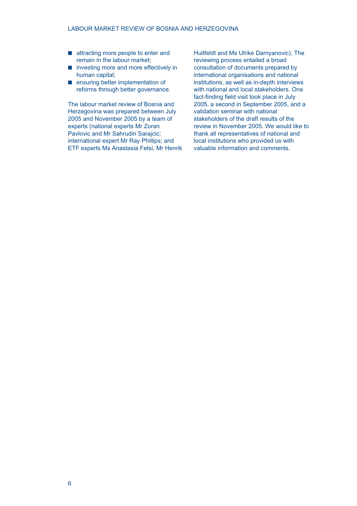- attracting more people to enter and remain in the labour market;
- investing more and more effectively in human capital;
- **E** ensuring better implementation of reforms through better governance.

The labour market review of Bosnia and Herzegovina was prepared between July 2005 and November 2005 by a team of experts (national experts Mr Zoran Pavlovic and Mr Sahrudin Sarajcic; international expert Mr Ray Phillips; and ETF experts Ms Anastasia Fetsi, Mr Henrik

Huitfeldt and Ms Ulrike Damyanovic). The reviewing process entailed a broad consultation of documents prepared by international organisations and national institutions, as well as in-depth interviews with national and local stakeholders. One fact-finding field visit took place in July 2005, a second in September 2005, and a validation seminar with national stakeholders of the draft results of the review in November 2005. We would like to thank all representatives of national and local institutions who provided us with valuable information and comments.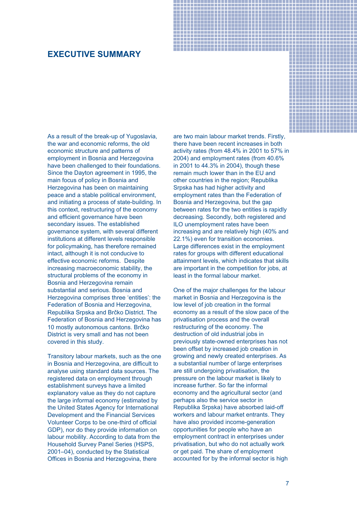# **EXECUTIVE SUMMARY**

As a result of the break-up of Yugoslavia, the war and economic reforms, the old economic structure and patterns of employment in Bosnia and Herzegovina have been challenged to their foundations. Since the Dayton agreement in 1995, the main focus of policy in Bosnia and Herzegovina has been on maintaining peace and a stable political environment, and initiating a process of state-building. In this context, restructuring of the economy and efficient governance have been secondary issues. The established governance system, with several different institutions at different levels responsible for policymaking, has therefore remained intact, although it is not conducive to effective economic reforms. Despite increasing macroeconomic stability, the structural problems of the economy in Bosnia and Herzegovina remain substantial and serious. Bosnia and Herzegovina comprises three 'entities': the Federation of Bosnia and Herzegovina, Republika Srpska and Brčko District. The Federation of Bosnia and Herzegovina has 10 mostly autonomous cantons. Brčko District is very small and has not been covered in this study.

Transitory labour markets, such as the one in Bosnia and Herzegovina, are difficult to analyse using standard data sources. The registered data on employment through establishment surveys have a limited explanatory value as they do not capture the large informal economy (estimated by the United States Agency for International Development and the Financial Services Volunteer Corps to be one-third of official GDP), nor do they provide information on labour mobility. According to data from the Household Survey Panel Series (HSPS, 2001–04), conducted by the Statistical Offices in Bosnia and Herzegovina, there

are two main labour market trends. Firstly, there have been recent increases in both activity rates (from 48.4% in 2001 to 57% in 2004) and employment rates (from 40.6% in 2001 to 44.3% in 2004), though these remain much lower than in the EU and other countries in the region; Republika Srpska has had higher activity and employment rates than the Federation of Bosnia and Herzegovina, but the gap between rates for the two entities is rapidly decreasing. Secondly, both registered and ILO unemployment rates have been increasing and are relatively high (40% and 22.1%) even for transition economies. Large differences exist in the employment rates for groups with different educational attainment levels, which indicates that skills are important in the competition for jobs, at least in the formal labour market.

-----------------\_\_\_\_\_\_\_\_\_\_\_\_\_\_\_\_\_\_\_\_\_\_\_\_\_\_ \_\_\_\_\_\_\_\_\_\_\_\_\_\_\_\_\_ . . . . . . . . . . . . . . . . . . . ╎╀╀┾╊╊╂╂╂╂╂╂╂╂╂╂╂╂ ╶╀┽┽┾┾╈╅┪┪┪┪┪┪┪┪┪┪┪ . . . . . . . . . . . . . . . . . . . .

One of the major challenges for the labour market in Bosnia and Herzegovina is the low level of job creation in the formal economy as a result of the slow pace of the privatisation process and the overall restructuring of the economy. The destruction of old industrial jobs in previously state-owned enterprises has not been offset by increased job creation in growing and newly created enterprises. As a substantial number of large enterprises are still undergoing privatisation, the pressure on the labour market is likely to increase further. So far the informal economy and the agricultural sector (and perhaps also the service sector in Republika Srpska) have absorbed laid-off workers and labour market entrants. They have also provided income-generation opportunities for people who have an employment contract in enterprises under privatisation, but who do not actually work or get paid. The share of employment accounted for by the informal sector is high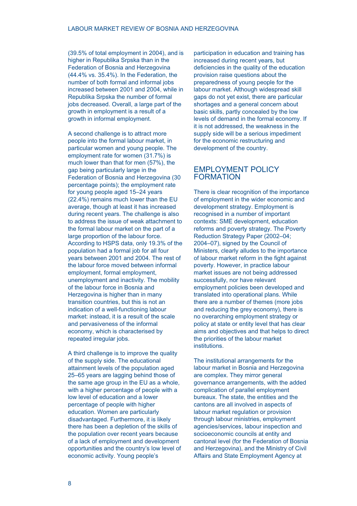(39.5% of total employment in 2004), and is higher in Republika Srpska than in the Federation of Bosnia and Herzegovina (44.4% vs. 35.4%). In the Federation, the number of both formal and informal jobs increased between 2001 and 2004, while in Republika Srpska the number of formal jobs decreased. Overall, a large part of the growth in employment is a result of a growth in informal employment.

A second challenge is to attract more people into the formal labour market, in particular women and young people. The employment rate for women (31.7%) is much lower than that for men (57%), the gap being particularly large in the Federation of Bosnia and Herzegovina (30 percentage points); the employment rate for young people aged 15–24 years (22.4%) remains much lower than the EU average, though at least it has increased during recent years. The challenge is also to address the issue of weak attachment to the formal labour market on the part of a large proportion of the labour force. According to HSPS data, only 19.3% of the population had a formal job for all four years between 2001 and 2004. The rest of the labour force moved between informal employment, formal employment, unemployment and inactivity. The mobility of the labour force in Bosnia and Herzegovina is higher than in many transition countries, but this is not an indication of a well-functioning labour market: instead, it is a result of the scale and pervasiveness of the informal economy, which is characterised by repeated irregular jobs.

A third challenge is to improve the quality of the supply side. The educational attainment levels of the population aged 25–65 years are lagging behind those of the same age group in the EU as a whole, with a higher percentage of people with a low level of education and a lower percentage of people with higher education. Women are particularly disadvantaged. Furthermore, it is likely there has been a depletion of the skills of the population over recent years because of a lack of employment and development opportunities and the country's low level of economic activity. Young people's

participation in education and training has increased during recent years, but deficiencies in the quality of the education provision raise questions about the preparedness of young people for the labour market. Although widespread skill gaps do not yet exist, there are particular shortages and a general concern about basic skills, partly concealed by the low levels of demand in the formal economy. If it is not addressed, the weakness in the supply side will be a serious impediment for the economic restructuring and development of the country.

# EMPLOYMENT POLICY FORMATION

There is clear recognition of the importance of employment in the wider economic and development strategy. Employment is recognised in a number of important contexts: SME development, education reforms and poverty strategy. The Poverty Reduction Strategy Paper (2002–04; 2004–07), signed by the Council of Ministers, clearly alludes to the importance of labour market reform in the fight against poverty. However, in practice labour market issues are not being addressed successfully, nor have relevant employment policies been developed and translated into operational plans. While there are a number of themes (more jobs and reducing the grey economy), there is no overarching employment strategy or policy at state or entity level that has clear aims and objectives and that helps to direct the priorities of the labour market institutions.

The institutional arrangements for the labour market in Bosnia and Herzegovina are complex. They mirror general governance arrangements, with the added complication of parallel employment bureaux. The state, the entities and the cantons are all involved in aspects of labour market regulation or provision through labour ministries, employment agencies/services, labour inspection and socioeconomic councils at entity and cantonal level (for the Federation of Bosnia and Herzegovina), and the Ministry of Civil Affairs and State Employment Agency at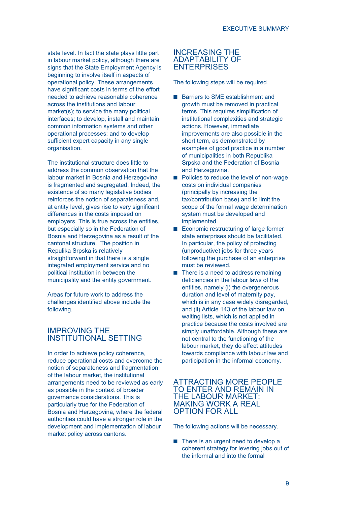state level. In fact the state plays little part in labour market policy, although there are signs that the State Employment Agency is beginning to involve itself in aspects of operational policy. These arrangements have significant costs in terms of the effort needed to achieve reasonable coherence across the institutions and labour market(s); to service the many political interfaces; to develop, install and maintain common information systems and other operational processes; and to develop sufficient expert capacity in any single organisation.

The institutional structure does little to address the common observation that the labour market in Bosnia and Herzegovina is fragmented and segregated. Indeed, the existence of so many legislative bodies reinforces the notion of separateness and, at entity level, gives rise to very significant differences in the costs imposed on employers. This is true across the entities, but especially so in the Federation of Bosnia and Herzegovina as a result of the cantonal structure. The position in Repulika Srpska is relatively straightforward in that there is a single integrated employment service and no political institution in between the municipality and the entity government.

Areas for future work to address the challenges identified above include the following.

# IMPROVING THE INSTITUTIONAL SETTING

In order to achieve policy coherence, reduce operational costs and overcome the notion of separateness and fragmentation of the labour market, the institutional arrangements need to be reviewed as early as possible in the context of broader governance considerations. This is particularly true for the Federation of Bosnia and Herzegovina, where the federal authorities could have a stronger role in the development and implementation of labour market policy across cantons.

# INCREASING THE ADAPTABILITY OF ENTERPRISES

The following steps will be required.

- Barriers to SME establishment and growth must be removed in practical terms. This requires simplification of institutional complexities and strategic actions. However, immediate improvements are also possible in the short term, as demonstrated by examples of good practice in a number of municipalities in both Republika Srpska and the Federation of Bosnia and Herzegovina.
- **Policies to reduce the level of non-wage** costs on individual companies (principally by increasing the tax/contribution base) and to limit the scope of the formal wage determination system must be developed and implemented.
- Economic restructuring of large former state enterprises should be facilitated. In particular, the policy of protecting (unproductive) jobs for three years following the purchase of an enterprise must be reviewed.
- $\blacksquare$  There is a need to address remaining deficiencies in the labour laws of the entities, namely (i) the overgenerous duration and level of maternity pay, which is in any case widely disregarded, and (ii) Article 143 of the labour law on waiting lists, which is not applied in practice because the costs involved are simply unaffordable. Although these are not central to the functioning of the labour market, they do affect attitudes towards compliance with labour law and participation in the informal economy.

# ATTRACTING MORE PEOPLE TO ENTER AND REMAIN IN THE LABOUR MARKET: MAKING WORK A REAL OPTION FOR ALL

The following actions will be necessary.

■ There is an urgent need to develop a coherent strategy for levering jobs out of the informal and into the formal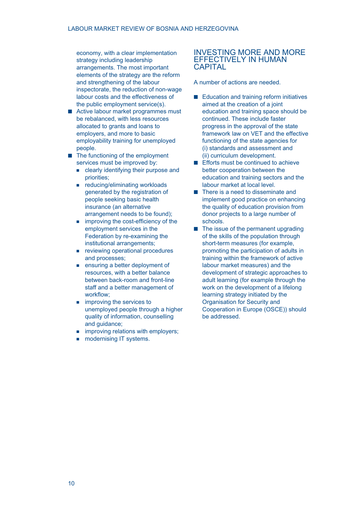economy, with a clear implementation strategy including leadership arrangements. The most important elements of the strategy are the reform and strengthening of the labour inspectorate, the reduction of non-wage labour costs and the effectiveness of the public employment service(s).

- Active labour market programmes must be rebalanced, with less resources allocated to grants and loans to employers, and more to basic employability training for unemployed people.
- The functioning of the employment services must be improved by:
	- **EXECUTE:** clearly identifying their purpose and priorities;
	- **F** reducing/eliminating workloads generated by the registration of people seeking basic health insurance (an alternative arrangement needs to be found);
	- **improving the cost-efficiency of the** employment services in the Federation by re-examining the institutional arrangements;
	- **reviewing operational procedures** and processes;
	- **EXECUTE:** ensuring a better deployment of resources, with a better balance between back-room and front-line staff and a better management of workflow;
	- **n** improving the services to unemployed people through a higher quality of information, counselling and guidance:
	- **n** improving relations with employers;
	- modernising IT systems.

# INVESTING MORE AND MORE EFFECTIVELY IN HUMAN **CAPITAL**

A number of actions are needed.

- Education and training reform initiatives aimed at the creation of a joint education and training space should be continued. These include faster progress in the approval of the state framework law on VET and the effective functioning of the state agencies for (i) standards and assessment and (ii) curriculum development.
- Efforts must be continued to achieve better cooperation between the education and training sectors and the labour market at local level.
- There is a need to disseminate and implement good practice on enhancing the quality of education provision from donor projects to a large number of schools.
- $\blacksquare$  The issue of the permanent upgrading of the skills of the population through short-term measures (for example, promoting the participation of adults in training within the framework of active labour market measures) and the development of strategic approaches to adult learning (for example through the work on the development of a lifelong learning strategy initiated by the Organisation for Security and Cooperation in Europe (OSCE)) should be addressed.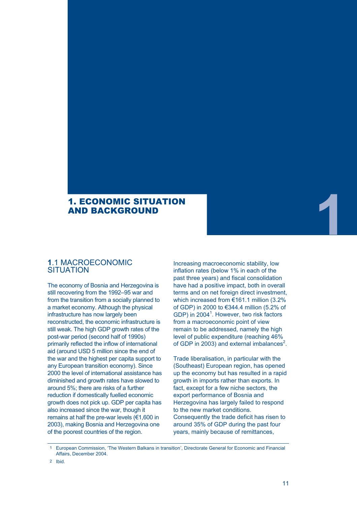# 1. ECONOMIC SITUATION AND BACKGROUND

# **1**.1 MACROECONOMIC **SITUATION**

The economy of Bosnia and Herzegovina is still recovering from the 1992–95 war and from the transition from a socially planned to a market economy. Although the physical infrastructure has now largely been reconstructed, the economic infrastructure is still weak. The high GDP growth rates of the post-war period (second half of 1990s) primarily reflected the inflow of international aid (around USD 5 million since the end of the war and the highest per capita support to any European transition economy). Since 2000 the level of international assistance has diminished and growth rates have slowed to around 5%; there are risks of a further reduction if domestically fuelled economic growth does not pick up. GDP per capita has also increased since the war, though it remains at half the pre-war levels (€1,600 in 2003), making Bosnia and Herzegovina one of the poorest countries of the region.

Increasing macroeconomic stability, low inflation rates (below 1% in each of the past three years) and fiscal consolidation have had a positive impact, both in overall terms and on net foreign direct investment, which increased from €161.1 million (3.2% of GDP) in 2000 to €344.4 million (5.2% of GDP) in 2004<sup>1</sup>. However, two risk factors from a macroeconomic point of view remain to be addressed, namely the high level of public expenditure (reaching 46% of GDP in 2003) and external imbalances<sup>2</sup>.

Trade liberalisation, in particular with the (Southeast) European region, has opened up the economy but has resulted in a rapid growth in imports rather than exports. In fact, except for a few niche sectors, the export performance of Bosnia and Herzegovina has largely failed to respond to the new market conditions. Consequently the trade deficit has risen to around 35% of GDP during the past four years, mainly because of remittances,

1 European Commission, 'The Western Balkans in transition', Directorate General for Economic and Financial Affairs, December 2004.

**1**

<sup>2</sup> Ibid.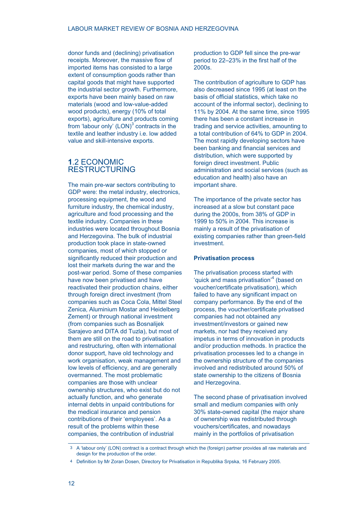donor funds and (declining) privatisation receipts. Moreover, the massive flow of imported items has consisted to a large extent of consumption goods rather than capital goods that might have supported the industrial sector growth. Furthermore, exports have been mainly based on raw materials (wood and low-value-added wood products), energy (10% of total exports), agriculture and products coming from 'labour only'  $(LON)^3$  contracts in the textile and leather industry i.e. low added value and skill-intensive exports.

# **1**.2 ECONOMIC RESTRUCTURING

The main pre-war sectors contributing to GDP were: the metal industry, electronics, processing equipment, the wood and furniture industry, the chemical industry, agriculture and food processing and the textile industry. Companies in these industries were located throughout Bosnia and Herzegovina. The bulk of industrial production took place in state-owned companies, most of which stopped or significantly reduced their production and lost their markets during the war and the post-war period. Some of these companies have now been privatised and have reactivated their production chains, either through foreign direct investment (from companies such as Coca Cola, Mittel Steel Zenica, Aluminium Mostar and Heidelberg Zement) or through national investment (from companies such as Bosnalijek Sarajevo and DITA dd Tuzla), but most of them are still on the road to privatisation and restructuring, often with international donor support, have old technology and work organisation, weak management and low levels of efficiency, and are generally overmanned. The most problematic companies are those with unclear ownership structures, who exist but do not actually function, and who generate internal debts in unpaid contributions for the medical insurance and pension contributions of their 'employees'. As a result of the problems within these companies, the contribution of industrial

production to GDP fell since the pre-war period to 22–23% in the first half of the 2000s.

The contribution of agriculture to GDP has also decreased since 1995 (at least on the basis of official statistics, which take no account of the informal sector), declining to 11% by 2004. At the same time, since 1995 there has been a constant increase in trading and service activities, amounting to a total contribution of 64% to GDP in 2004. The most rapidly developing sectors have been banking and financial services and distribution, which were supported by foreign direct investment. Public administration and social services (such as education and health) also have an important share.

The importance of the private sector has increased at a slow but constant pace during the 2000s, from 38% of GDP in 1999 to 50% in 2004. This increase is mainly a result of the privatisation of existing companies rather than green-field investment.

#### **Privatisation process**

The privatisation process started with 'quick and mass privatisation'<sup>4</sup> (based on voucher/certificate privatisation), which failed to have any significant impact on company performance. By the end of the process, the voucher/certificate privatised companies had not obtained any investment/investors or gained new markets, nor had they received any impetus in terms of innovation in products and/or production methods. In practice the privatisation processes led to a change in the ownership structure of the companies involved and redistributed around 50% of state ownership to the citizens of Bosnia and Herzegovina.

The second phase of privatisation involved small and medium companies with only 30% state-owned capital (the major share of ownership was redistributed through vouchers/certificates, and nowadays mainly in the portfolios of privatisation

<sup>3</sup> A 'labour only' (LON) contract is a contract through which the (foreign) partner provides all raw materials and design for the production of the order.

<sup>4</sup> Definition by Mr Zoran Dosen, Directory for Privatisation in Republika Srpska, 16 February 2005.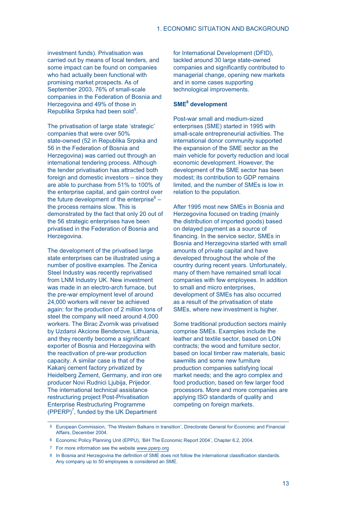investment funds). Privatisation was carried out by means of local tenders, and some impact can be found on companies who had actually been functional with promising market prospects. As of September 2003, 76% of small-scale companies in the Federation of Bosnia and Herzegovina and 49% of those in Republika Srpska had been sold<sup>5</sup>.

The privatisation of large state 'strategic' companies that were over 50% state-owned (52 in Republika Srpska and 56 in the Federation of Bosnia and Herzegovina) was carried out through an international tendering process. Although the tender privatisation has attracted both foreign and domestic investors – since they are able to purchase from 51% to 100% of the enterprise capital, and gain control over the future development of the enterprise $6$ the process remains slow. This is demonstrated by the fact that only 20 out of the 56 strategic enterprises have been privatised in the Federation of Bosnia and Herzegovina.

The development of the privatised large state enterprises can be illustrated using a number of positive examples. The Zenica Steel Industry was recently reprivatised from LNM Industry UK. New investment was made in an electro-arch furnace, but the pre-war employment level of around 24,000 workers will never be achieved again: for the production of 2 million tons of steel the company will need around 4,000 workers. The Birac Zvornik was privatised by Uzdaroi Akcione Benderove, Lithuania, and they recently become a significant exporter of Bosnia and Herzegovina with the reactivation of pre-war production capacity. A similar case is that of the Kakanj cement factory privatized by Heidelberg Zement, Germany, and iron ore producer Novi Rudnici Ljubija, Prijedor. The international technical assistance restructuring project Post-Privatisation Enterprise Restructuring Programme  $(PPERP)^7$ , funded by the UK Department

for International Development (DFID), tackled around 30 large state-owned companies and significantly contributed to managerial change, opening new markets and in some cases supporting technological improvements.

# **SME8 development**

Post-war small and medium-sized enterprises (SME) started in 1995 with small-scale entrepreneurial activities. The international donor community supported the expansion of the SME sector as the main vehicle for poverty reduction and local economic development. However, the development of the SME sector has been modest; its contribution to GDP remains limited, and the number of SMEs is low in relation to the population.

After 1995 most new SMEs in Bosnia and Herzegovina focused on trading (mainly the distribution of imported goods) based on delayed payment as a source of financing. In the service sector, SMEs in Bosnia and Herzegovina started with small amounts of private capital and have developed throughout the whole of the country during recent years. Unfortunately, many of them have remained small local companies with few employees. In addition to small and micro enterprises, development of SMEs has also occurred as a result of the privatisation of state SMEs, where new investment is higher.

Some traditional production sectors mainly comprise SMEs. Examples include the leather and textile sector, based on LON contracts; the wood and furniture sector, based on local timber raw materials, basic sawmills and some new furniture production companies satisfying local market needs; and the agro complex and food production, based on few larger food processors. More and more companies are applying ISO standards of quality and competing on foreign markets.

<sup>5</sup> European Commission, 'The Western Balkans in transition', Directorate General for Economic and Financial Affairs, December 2004.

<sup>6</sup> Economic Policy Planning Unit (EPPU), 'BiH The Economic Report 2004', Chapter 6.2, 2004.

<sup>7</sup> For more information see the website www.pperp.org

<sup>8</sup> In Bosnia and Herzegovina the definition of SME does not follow the international classification standards. Any company up to 50 employees is considered an SME.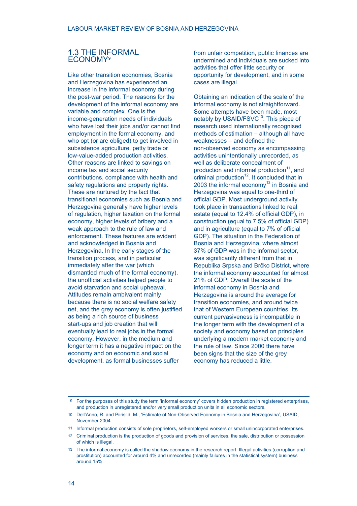# **1**.3 THE INFORMAL ECONOMY9

Like other transition economies, Bosnia and Herzegovina has experienced an increase in the informal economy during the post-war period. The reasons for the development of the informal economy are variable and complex. One is the income-generation needs of individuals who have lost their jobs and/or cannot find employment in the formal economy, and who opt (or are obliged) to get involved in subsistence agriculture, petty trade or low-value-added production activities. Other reasons are linked to savings on income tax and social security contributions, compliance with health and safety regulations and property rights. These are nurtured by the fact that transitional economies such as Bosnia and Herzegovina generally have higher levels of regulation, higher taxation on the formal economy, higher levels of bribery and a weak approach to the rule of law and enforcement. These features are evident and acknowledged in Bosnia and Herzegovina. In the early stages of the transition process, and in particular immediately after the war (which dismantled much of the formal economy), the unofficial activities helped people to avoid starvation and social upheaval. Attitudes remain ambivalent mainly because there is no social welfare safety net, and the grey economy is often justified as being a rich source of business start-ups and job creation that will eventually lead to real jobs in the formal economy. However, in the medium and longer term it has a negative impact on the economy and on economic and social development, as formal businesses suffer

from unfair competition, public finances are undermined and individuals are sucked into activities that offer little security or opportunity for development, and in some cases are illegal.

Obtaining an indication of the scale of the informal economy is not straightforward. Some attempts have been made, most notably by USAID/FSVC<sup>10</sup>. This piece of research used internationally recognised methods of estimation – although all have weaknesses – and defined the non-observed economy as encompassing activities unintentionally unrecorded, as well as deliberate concealment of production and informal production<sup>11</sup>, and criminal production $12$ . It concluded that in 2003 the informal economy $13$  in Bosnia and Herzegovina was equal to one-third of official GDP. Most underground activity took place in transactions linked to real estate (equal to 12.4% of official GDP), in construction (equal to 7.5% of official GDP) and in agriculture (equal to 7% of official GDP). The situation in the Federation of Bosnia and Herzegovina, where almost 37% of GDP was in the informal sector, was significantly different from that in Republika Srpska and Brčko District, where the informal economy accounted for almost 21% of GDP. Overall the scale of the informal economy in Bosnia and Herzegovina is around the average for transition economies, and around twice that of Western European countries. Its current pervasiveness is incompatible in the longer term with the development of a society and economy based on principles underlying a modern market economy and the rule of law. Since 2000 there have been signs that the size of the grey economy has reduced a little.

<sup>9</sup> For the purposes of this study the term 'informal economy' covers hidden production in registered enterprises, and production in unregistered and/or very small production units in all economic sectors.

<sup>10</sup> Dell'Anno, R. and Piirisild, M., 'Estimate of Non-Observed Economy in Bosnia and Herzegovina', USAID, November 2004.

<sup>11</sup> Informal production consists of sole proprietors, self-employed workers or small unincorporated enterprises.

<sup>12</sup> Criminal production is the production of goods and provision of services, the sale, distribution or possession of which is illegal.

<sup>13</sup> The informal economy is called the shadow economy in the research report. Illegal activities (corruption and prostitution) accounted for around 4% and unrecorded (mainly failures in the statistical system) business around 15%.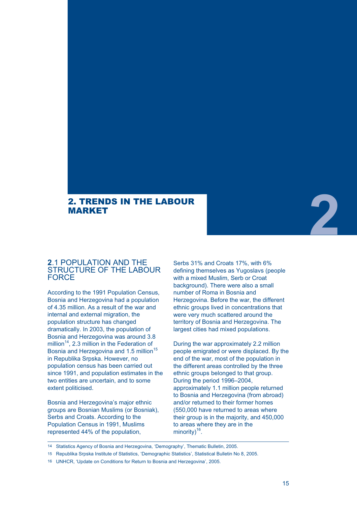# 2. TRENDS IN THE LABOUR MARKET

# **2**.1 POPULATION AND THE STRUCTURE OF THE LABOUR **FORCE**

According to the 1991 Population Census, Bosnia and Herzegovina had a population of 4.35 million. As a result of the war and internal and external migration, the population structure has changed dramatically. In 2003, the population of Bosnia and Herzegovina was around 3.8 million<sup>14</sup>, 2.3 million in the Federation of Bosnia and Herzegovina and 1.5 million<sup>15</sup> in Republika Srpska. However, no population census has been carried out since 1991, and population estimates in the two entities are uncertain, and to some extent politicised.

Bosnia and Herzegovina's major ethnic groups are Bosnian Muslims (or Bosniak), Serbs and Croats. According to the Population Census in 1991, Muslims represented 44% of the population,

Serbs 31% and Croats 17%, with 6% defining themselves as Yugoslavs (people with a mixed Muslim, Serb or Croat background). There were also a small number of Roma in Bosnia and Herzegovina. Before the war, the different ethnic groups lived in concentrations that were very much scattered around the territory of Bosnia and Herzegovina. The largest cities had mixed populations.

During the war approximately 2.2 million people emigrated or were displaced. By the end of the war, most of the population in the different areas controlled by the three ethnic groups belonged to that group. During the period 1996–2004, approximately 1.1 million people returned to Bosnia and Herzegovina (from abroad) and/or returned to their former homes (550,000 have returned to areas where their group is in the majority, and 450,000 to areas where they are in the minority $)^{16}$ .

14 Statistics Agency of Bosnia and Herzegovina, 'Demography', Thematic Bulletin, 2005.

16 UNHCR, 'Update on Conditions for Return to Bosnia and Herzegovina', 2005.

**2**

<sup>15</sup> Republika Srpska Institute of Statistics, 'Demographic Statistics', Statistical Bulletin No 8, 2005.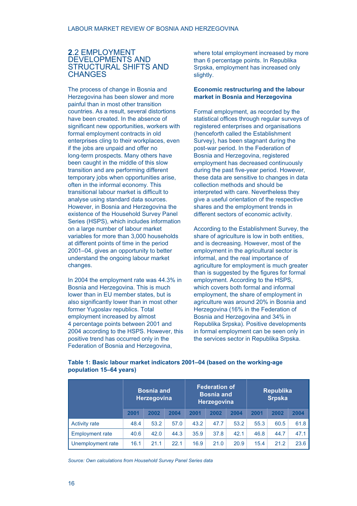# **2**.2 EMPLOYMENT DEVELOPMENTS AND STRUCTURAL SHIFTS AND **CHANGES**

The process of change in Bosnia and Herzegovina has been slower and more painful than in most other transition countries. As a result, several distortions have been created. In the absence of significant new opportunities, workers with formal employment contracts in old enterprises cling to their workplaces, even if the jobs are unpaid and offer no long-term prospects. Many others have been caught in the middle of this slow transition and are performing different temporary jobs when opportunities arise, often in the informal economy. This transitional labour market is difficult to analyse using standard data sources. However, in Bosnia and Herzegovina the existence of the Household Survey Panel Series (HSPS), which includes information on a large number of labour market variables for more than 3,000 households at different points of time in the period 2001–04, gives an opportunity to better understand the ongoing labour market changes.

In 2004 the employment rate was 44.3% in Bosnia and Herzegovina. This is much lower than in EU member states, but is also significantly lower than in most other former Yugoslav republics. Total employment increased by almost 4 percentage points between 2001 and 2004 according to the HSPS. However, this positive trend has occurred only in the Federation of Bosnia and Herzegovina,

where total employment increased by more than 6 percentage points. In Republika Srpska, employment has increased only slightly.

## **Economic restructuring and the labour market in Bosnia and Herzegovina**

Formal employment, as recorded by the statistical offices through regular surveys of registered enterprises and organisations (henceforth called the Establishment Survey), has been stagnant during the post-war period. In the Federation of Bosnia and Herzegovina, registered employment has decreased continuously during the past five-year period. However, these data are sensitive to changes in data collection methods and should be interpreted with care. Nevertheless they give a useful orientation of the respective shares and the employment trends in different sectors of economic activity.

According to the Establishment Survey, the share of agriculture is low in both entities, and is decreasing. However, most of the employment in the agricultural sector is informal, and the real importance of agriculture for employment is much greater than is suggested by the figures for formal employment. According to the HSPS, which covers both formal and informal employment, the share of employment in agriculture was around 20% in Bosnia and Herzegovina (16% in the Federation of Bosnia and Herzegovina and 34% in Republika Srpska). Positive developments in formal employment can be seen only in the services sector in Republika Srpska.

|                        | <b>Bosnia and</b><br><b>Herzegovina</b> |      | <b>Federation of</b><br><b>Bosnia and</b><br>Herzegovina |      | <b>Republika</b><br><b>Srpska</b> |      |      |      |      |
|------------------------|-----------------------------------------|------|----------------------------------------------------------|------|-----------------------------------|------|------|------|------|
|                        | 2001                                    | 2002 | 2004                                                     | 2001 | 2002                              | 2004 | 2001 | 2002 | 2004 |
| <b>Activity rate</b>   | 48.4                                    | 53.2 | 57.0                                                     | 43.2 | 47.7                              | 53.2 | 55.3 | 60.5 | 61.8 |
| <b>Employment rate</b> | 40.6                                    | 42.0 | 44.3                                                     | 35.9 | 37.8                              | 42.1 | 46.8 | 44.7 | 47.1 |
| Unemployment rate      | 16.1                                    | 21.1 | 22.1                                                     | 16.9 | 21.0                              | 20.9 | 15.4 | 21.2 | 23.6 |

**Table 1: Basic labour market indicators 2001–04 (based on the working-age population 15–64 years)**

*Source: Own calculations from Household Survey Panel Series data*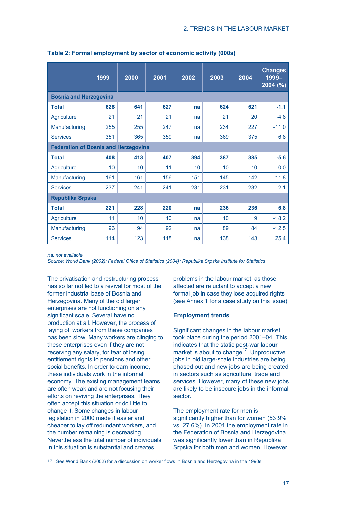|                                             | 1999 | 2000 | 2001 | 2002 | 2003 | 2004 | <b>Changes</b><br>1999-<br>$2004$ (%) |
|---------------------------------------------|------|------|------|------|------|------|---------------------------------------|
| <b>Bosnia and Herzegovina</b>               |      |      |      |      |      |      |                                       |
| <b>Total</b>                                | 628  | 641  | 627  | na   | 624  | 621  | $-1.1$                                |
| <b>Agriculture</b>                          | 21   | 21   | 21   | na   | 21   | 20   | $-4.8$                                |
| Manufacturing                               | 255  | 255  | 247  | na   | 234  | 227  | $-11.0$                               |
| <b>Services</b>                             | 351  | 365  | 359  | na   | 369  | 375  | 6.8                                   |
| <b>Federation of Bosnia and Herzegovina</b> |      |      |      |      |      |      |                                       |
| <b>Total</b>                                | 408  | 413  | 407  | 394  | 387  | 385  | $-5.6$                                |
| Agriculture                                 | 10   | 10   | 11   | 10   | 10   | 10   | 0.0                                   |
| Manufacturing                               | 161  | 161  | 156  | 151  | 145  | 142  | $-11.8$                               |
| <b>Services</b>                             | 237  | 241  | 241  | 231  | 231  | 232  | 2.1                                   |
| <b>Republika Srpska</b>                     |      |      |      |      |      |      |                                       |
| <b>Total</b>                                | 221  | 228  | 220  | na   | 236  | 236  | 6.8                                   |
| <b>Agriculture</b>                          | 11   | 10   | 10   | na   | 10   | 9    | $-18.2$                               |
| Manufacturing                               | 96   | 94   | 92   | na   | 89   | 84   | $-12.5$                               |
| <b>Services</b>                             | 114  | 123  | 118  | na   | 138  | 143  | 25.4                                  |

**Table 2: Formal employment by sector of economic activity (000s)**

*na: not available*

*Source: World Bank (2002); Federal Office of Statistics (2004); Republika Srpska Institute for Statistics*

The privatisation and restructuring process has so far not led to a revival for most of the former industrial base of Bosnia and Herzegovina. Many of the old larger enterprises are not functioning on any significant scale. Several have no production at all. However, the process of laying off workers from these companies has been slow. Many workers are clinging to these enterprises even if they are not receiving any salary, for fear of losing entitlement rights to pensions and other social benefits. In order to earn income, these individuals work in the informal economy. The existing management teams are often weak and are not focusing their efforts on reviving the enterprises. They often accept this situation or do little to change it. Some changes in labour legislation in 2000 made it easier and cheaper to lay off redundant workers, and the number remaining is decreasing. Nevertheless the total number of individuals in this situation is substantial and creates

problems in the labour market, as those affected are reluctant to accept a new formal job in case they lose acquired rights (see Annex 1 for a case study on this issue).

#### **Employment trends**

Significant changes in the labour market took place during the period 2001–04. This indicates that the static post-war labour market is about to change<sup>17</sup>. Unproductive jobs in old large-scale industries are being phased out and new jobs are being created in sectors such as agriculture, trade and services. However, many of these new jobs are likely to be insecure jobs in the informal sector.

The employment rate for men is significantly higher than for women (53.9%) vs. 27.6%). In 2001 the employment rate in the Federation of Bosnia and Herzegovina was significantly lower than in Republika Srpska for both men and women. However,

17 See World Bank (2002) for a discussion on worker flows in Bosnia and Herzegovina in the 1990s.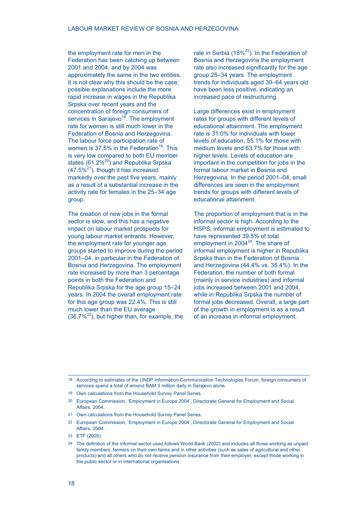the employment rate for men in the Federation has been catching up between 2001 and 2004, and by 2004 was approximately the same in the two entities. It is not clear why this should be the case; possible explanations include the more rapid increase in wages in the Republika Srpska over recent years and the concentration of foreign consumers of services in Sarajevo<sup>18</sup>. The employment rate for women is still much lower in the Federation of Bosnia and Herzegovina. The labour force participation rate of women is 37.5% in the Federation<sup>19</sup>. This is very low compared to both EU member states  $(61.2\%)$  and Republika Srpska  $(47.5\%^{21})$ , though it has increased markedly over the past five years, mainly as a result of a substantial increase in the activity rate for females in the 25–34 age group.

The creation of new jobs in the formal sector is slow, and this has a negative impact on labour market prospects for young labour market entrants. However, the employment rate for younger age groups started to improve during the period 2001–04, in particular in the Federation of Bosnia and Herzegovina. The employment rate increased by more than 3 percentage points in both the Federation and Republika Srpska for the age group 15–24 years. In 2004 the overall employment rate for this age group was 22.4%. This is still much lower than the EU average (36.7%<sup>22</sup>), but higher than, for example, the rate in Serbia (18% $23$ ). In the Federation of Bosnia and Herzegovina the employment rate also increased significantly for the age group 25–34 years. The employment trends for individuals aged 30–64 years old have been less positive, indicating an increased pace of restructuring.

Large differences exist in employment rates for groups with different levels of educational attainment. The employment rate is 31.0% for individuals with lower levels of education, 55.1% for those with medium levels and 63.7% for those with higher levels. Levels of education are important in the competition for jobs in the formal labour market in Bosnia and Herzegovina. In the period 2001–04, small differences are seen in the employment trends for groups with different levels of educational attainment.

The proportion of employment that is in the informal sector is high. According to the HSPS, informal employment is estimated to have represented 39.5% of total employment in  $2004^{24}$ . The share of informal employment is higher in Republika Srpska than in the Federation of Bosnia and Herzegovina (44.4% vs. 35.4%). In the Federation, the number of both formal (mainly in service industries) and informal jobs increased between 2001 and 2004, while in Republika Srpska the number of formal jobs decreased. Overall, a large part of the growth in employment is as a result of an increase in informal employment.

- 21 Own calculations from the Household Survey Panel Series.
- 22 European Commission, 'Employment in Europe 2004', Directorate General for Employment and Social Affairs, 2004.
- 23 ETF (2005).
- 24 The definition of the informal sector used follows World Bank (2002) and includes all those working as unpaid family members, farmers on their own farms and in other activities (such as sales of agricultural and other products) and all others who do not receive pension insurance from their employer, except those working in the public sector or in international organisations.

<sup>18</sup> According to estimates of the UNDP Information-Communication Technologies Forum, foreign consumers of services spend a total of around BAM 3 million daily in Sarajevo alone.

<sup>19</sup> Own calculations from the Household Survey Panel Series.

<sup>20</sup> European Commission, 'Employment in Europe 2004', Directorate General for Employment and Social Affairs, 2004.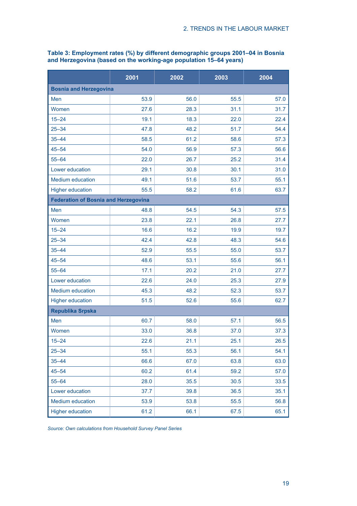|                                             | 2001 | 2002 | 2003 | 2004 |
|---------------------------------------------|------|------|------|------|
| <b>Bosnia and Herzegovina</b>               |      |      |      |      |
| Men                                         | 53.9 | 56.0 | 55.5 | 57.0 |
| Women                                       | 27.6 | 28.3 | 31.1 | 31.7 |
| $15 - 24$                                   | 19.1 | 18.3 | 22.0 | 22.4 |
| $25 - 34$                                   | 47.8 | 48.2 | 51.7 | 54.4 |
| $35 - 44$                                   | 58.5 | 61.2 | 58.6 | 57.3 |
| $45 - 54$                                   | 54.0 | 56.9 | 57.3 | 56.6 |
| $55 - 64$                                   | 22.0 | 26.7 | 25.2 | 31.4 |
| Lower education                             | 29.1 | 30.8 | 30.1 | 31.0 |
| <b>Medium education</b>                     | 49.1 | 51.6 | 53.7 | 55.1 |
| <b>Higher education</b>                     | 55.5 | 58.2 | 61.6 | 63.7 |
| <b>Federation of Bosnia and Herzegovina</b> |      |      |      |      |
| Men                                         | 48.8 | 54.5 | 54.3 | 57.5 |
| Women                                       | 23.8 | 22.1 | 26.8 | 27.7 |
| $15 - 24$                                   | 16.6 | 16.2 | 19.9 | 19.7 |
| $25 - 34$                                   | 42.4 | 42.8 | 48.3 | 54.6 |
| $35 - 44$                                   | 52.9 | 55.5 | 55.0 | 53.7 |
| $45 - 54$                                   | 48.6 | 53.1 | 55.6 | 56.1 |
| $55 - 64$                                   | 17.1 | 20.2 | 21.0 | 27.7 |
| Lower education                             | 22.6 | 24.0 | 25.3 | 27.9 |
| <b>Medium education</b>                     | 45.3 | 48.2 | 52.3 | 53.7 |
| <b>Higher education</b>                     | 51.5 | 52.6 | 55.6 | 62.7 |
| <b>Republika Srpska</b>                     |      |      |      |      |
| Men                                         | 60.7 | 58.0 | 57.1 | 56.5 |
| Women                                       | 33.0 | 36.8 | 37.0 | 37.3 |
| $15 - 24$                                   | 22.6 | 21.1 | 25.1 | 26.5 |
| $25 - 34$                                   | 55.1 | 55.3 | 56.1 | 54.1 |
| $35 - 44$                                   | 66.6 | 67.0 | 63.8 | 63.0 |
| $45 - 54$                                   | 60.2 | 61.4 | 59.2 | 57.0 |
| $55 - 64$                                   | 28.0 | 35.5 | 30.5 | 33.5 |
| Lower education                             | 37.7 | 39.8 | 36.5 | 35.1 |
| Medium education                            | 53.9 | 53.8 | 55.5 | 56.8 |
| <b>Higher education</b>                     | 61.2 | 66.1 | 67.5 | 65.1 |

# **Table 3: Employment rates (%) by different demographic groups 2001–04 in Bosnia and Herzegovina (based on the working-age population 15–64 years)**

*Source: Own calculations from Household Survey Panel Series*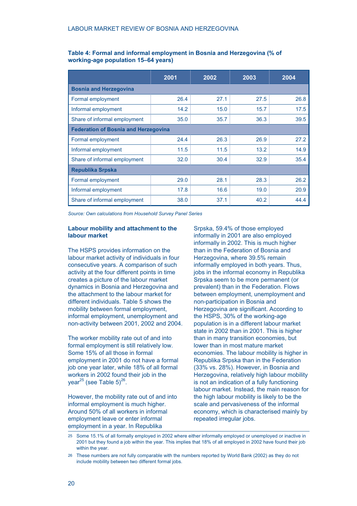|                                             | 2001 | 2002 | 2003 | 2004 |  |  |  |
|---------------------------------------------|------|------|------|------|--|--|--|
| <b>Bosnia and Herzegovina</b>               |      |      |      |      |  |  |  |
| Formal employment                           | 26.4 | 27.1 | 27.5 | 26.8 |  |  |  |
| Informal employment                         | 14.2 | 15.0 | 15.7 | 17.5 |  |  |  |
| Share of informal employment                | 35.0 | 35.7 | 36.3 | 39.5 |  |  |  |
| <b>Federation of Bosnia and Herzegovina</b> |      |      |      |      |  |  |  |
| Formal employment                           | 24.4 | 26.3 | 26.9 | 27.2 |  |  |  |
| Informal employment                         | 11.5 | 11.5 | 13.2 | 14.9 |  |  |  |
| Share of informal employment                | 32.0 | 30.4 | 32.9 | 35.4 |  |  |  |
| <b>Republika Srpska</b>                     |      |      |      |      |  |  |  |
| Formal employment                           | 29.0 | 28.1 | 28.3 | 26.2 |  |  |  |
| Informal employment                         | 17.8 | 16.6 | 19.0 | 20.9 |  |  |  |
| Share of informal employment                | 38.0 | 37.1 | 40.2 | 44.4 |  |  |  |

# **Table 4: Formal and informal employment in Bosnia and Herzegovina (% of working-age population 15–64 years)**

*Source: Own calculations from Household Survey Panel Series*

## **Labour mobility and attachment to the labour market**

The HSPS provides information on the labour market activity of individuals in four consecutive years. A comparison of such activity at the four different points in time creates a picture of the labour market dynamics in Bosnia and Herzegovina and the attachment to the labour market for different individuals. Table 5 shows the mobility between formal employment, informal employment, unemployment and non-activity between 2001, 2002 and 2004.

The worker mobility rate out of and into formal employment is still relatively low. Some 15% of all those in formal employment in 2001 do not have a formal job one year later, while 18% of all formal workers in 2002 found their job in the year<sup>25</sup> (see Table 5)<sup>26</sup>.

However, the mobility rate out of and into informal employment is much higher. Around 50% of all workers in informal employment leave or enter informal employment in a year. In Republika

Srpska, 59.4% of those employed informally in 2001 are also employed informally in 2002. This is much higher than in the Federation of Bosnia and Herzegovina, where 39.5% remain informally employed in both years. Thus, jobs in the informal economy in Republika Srpska seem to be more permanent (or prevalent) than in the Federation. Flows between employment, unemployment and non-participation in Bosnia and Herzegovina are significant. According to the HSPS, 30% of the working-age population is in a different labour market state in 2002 than in 2001. This is higher than in many transition economies, but lower than in most mature market economies. The labour mobility is higher in Republika Srpska than in the Federation (33% vs. 28%). However, in Bosnia and Herzegovina, relatively high labour mobility is not an indication of a fully functioning labour market. Instead, the main reason for the high labour mobility is likely to be the scale and pervasiveness of the informal economy, which is characterised mainly by repeated irregular jobs.

<sup>25</sup> Some 15.1% of all formally employed in 2002 where either informally employed or unemployed or inactive in 2001 but they found a job within the year. This implies that 18% of all employed in 2002 have found their job within the year.

<sup>26</sup> These numbers are not fully comparable with the numbers reported by World Bank (2002) as they do not include mobility between two different formal jobs.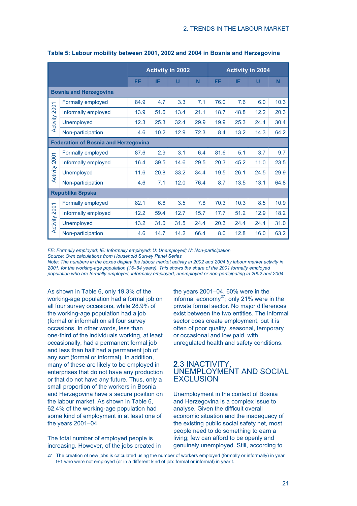|               |                                                                                                                                                                                                                                                                                                                                                                                                                                                                                                 |      |      | <b>Activity in 2002</b> |      |      |      | <b>Activity in 2004</b> |      |
|---------------|-------------------------------------------------------------------------------------------------------------------------------------------------------------------------------------------------------------------------------------------------------------------------------------------------------------------------------------------------------------------------------------------------------------------------------------------------------------------------------------------------|------|------|-------------------------|------|------|------|-------------------------|------|
|               |                                                                                                                                                                                                                                                                                                                                                                                                                                                                                                 | FE.  | ΙE   | U                       | N    | FE.  | IE   | U                       | N    |
|               | <b>Bosnia and Herzegovina</b>                                                                                                                                                                                                                                                                                                                                                                                                                                                                   |      |      |                         |      |      |      |                         |      |
|               | Formally employed                                                                                                                                                                                                                                                                                                                                                                                                                                                                               | 84.9 | 4.7  | 3.3                     | 7.1  | 76.0 | 7.6  | 6.0                     | 10.3 |
| Activity 2001 | Informally employed                                                                                                                                                                                                                                                                                                                                                                                                                                                                             | 13.9 | 51.6 | 13.4                    | 21.1 | 18.7 | 48.8 | 12.2                    | 20.3 |
|               | <b>Unemployed</b>                                                                                                                                                                                                                                                                                                                                                                                                                                                                               | 12.3 | 25.3 | 32.4                    | 29.9 | 19.9 | 25.3 | 24.4                    | 30.4 |
|               | Non-participation                                                                                                                                                                                                                                                                                                                                                                                                                                                                               | 4.6  | 10.2 | 12.9                    | 72.3 | 8.4  | 13.2 | 14.3                    | 64.2 |
|               | <b>Federation of Bosnia and Herzegovina</b>                                                                                                                                                                                                                                                                                                                                                                                                                                                     |      |      |                         |      |      |      |                         |      |
|               | Formally employed                                                                                                                                                                                                                                                                                                                                                                                                                                                                               | 87.6 | 2.9  | 3.1                     | 6.4  | 81.6 | 5.1  | 3.7                     | 9.7  |
| Activity 2001 | Informally employed                                                                                                                                                                                                                                                                                                                                                                                                                                                                             | 16.4 | 39.5 | 14.6                    | 29.5 | 20.3 | 45.2 | 11.0                    | 23.5 |
|               | <b>Unemployed</b>                                                                                                                                                                                                                                                                                                                                                                                                                                                                               | 11.6 | 20.8 | 33.2                    | 34.4 | 19.5 | 26.1 | 24.5                    | 29.9 |
|               | Non-participation                                                                                                                                                                                                                                                                                                                                                                                                                                                                               | 4.6  | 7.1  | 12.0                    | 76.4 | 8.7  | 13.5 | 13.1                    | 64.8 |
|               | <b>Republika Srpska</b>                                                                                                                                                                                                                                                                                                                                                                                                                                                                         |      |      |                         |      |      |      |                         |      |
|               | Formally employed                                                                                                                                                                                                                                                                                                                                                                                                                                                                               | 82.1 | 6.6  | 3.5                     | 7.8  | 70.3 | 10.3 | 8.5                     | 10.9 |
|               | Informally employed                                                                                                                                                                                                                                                                                                                                                                                                                                                                             | 12.2 | 59.4 | 12.7                    | 15.7 | 17.7 | 51.2 | 12.9                    | 18.2 |
| Activity 2001 | <b>Unemployed</b>                                                                                                                                                                                                                                                                                                                                                                                                                                                                               | 13.2 | 31.0 | 31.5                    | 24.4 | 20.3 | 24.4 | 24.4                    | 31.0 |
|               | Non-participation                                                                                                                                                                                                                                                                                                                                                                                                                                                                               | 4.6  | 14.7 | 14.2                    | 66.4 | 8.0  | 12.8 | 16.0                    | 63.2 |
|               | FE: Formally employed; IE: Informally employed; U: Unemployed; N: Non-participation<br>Source: Own calculations from Household Survey Panel Series<br>Note: The numbers in the boxes display the labour market activity in 2002 and 2004 by labour market activity in<br>2001, for the working-age population (15–64 years). This shows the share of the 2001 formally employed<br>population who are formally employed, informally employed, unemployed or non-participating in 2002 and 2004. |      |      |                         |      |      |      |                         |      |

## **Table 5: Labour mobility between 2001, 2002 and 2004 in Bosnia and Herzegovina**

As shown in Table 6, only 19.3% of the working-age population had a formal job on all four survey occasions, while 28.9% of the working-age population had a job (formal or informal) on all four survey occasions. In other words, less than one-third of the individuals working, at least occasionally, had a permanent formal job and less than half had a permanent job of any sort (formal or informal). In addition, many of these are likely to be employed in enterprises that do not have any production or that do not have any future. Thus, only a small proportion of the workers in Bosnia and Herzegovina have a secure position on the labour market. As shown in Table 6, 62.4% of the working-age population had some kind of employment in at least one of the years 2001–04.

The total number of employed people is increasing. However, of the jobs created in

the years 2001–04, 60% were in the informal economy $^{27}$ ; only 21% were in the private formal sector. No major differences exist between the two entities. The informal sector does create employment, but it is often of poor quality, seasonal, temporary or occasional and low paid, with unregulated health and safety conditions.

# **2**.3 INACTIVITY, UNEMPLOYMENT AND SOCIAL **FXCLUSION**

Unemployment in the context of Bosnia and Herzegovina is a complex issue to analyse. Given the difficult overall economic situation and the inadequacy of the existing public social safety net, most people need to do something to earn a living; few can afford to be openly and genuinely unemployed. Still, according to

27 The creation of new jobs is calculated using the number of workers employed (formally or informally) in year t+1 who were not employed (or in a different kind of job: formal or informal) in year t.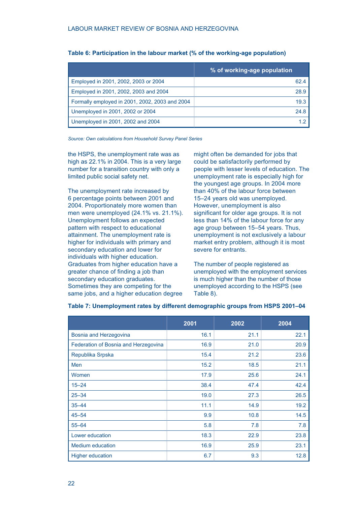|                                                | % of working-age population |
|------------------------------------------------|-----------------------------|
| Employed in 2001, 2002, 2003 or 2004           | 62.4                        |
| Employed in 2001, 2002, 2003 and 2004          | 28.9                        |
| Formally employed in 2001, 2002, 2003 and 2004 | 19.3                        |
| Unemployed in 2001, 2002 or 2004               | 24.8                        |
| Unemployed in 2001, 2002 and 2004              | 12                          |

# **Table 6: Participation in the labour market (% of the working-age population)**

*Source: Own calculations from Household Survey Panel Series*

the HSPS, the unemployment rate was as high as 22.1% in 2004. This is a very large number for a transition country with only a limited public social safety net.

The unemployment rate increased by 6 percentage points between 2001 and 2004. Proportionately more women than men were unemployed (24.1% vs. 21.1%). Unemployment follows an expected pattern with respect to educational attainment. The unemployment rate is higher for individuals with primary and secondary education and lower for individuals with higher education. Graduates from higher education have a greater chance of finding a job than secondary education graduates. Sometimes they are competing for the same jobs, and a higher education degree

might often be demanded for jobs that could be satisfactorily performed by people with lesser levels of education. The unemployment rate is especially high for the youngest age groups. In 2004 more than 40% of the labour force between 15–24 years old was unemployed. However, unemployment is also significant for older age groups. It is not less than 14% of the labour force for any age group between 15–54 years. Thus, unemployment is not exclusively a labour market entry problem, although it is most severe for entrants.

The number of people registered as unemployed with the employment services is much higher than the number of those unemployed according to the HSPS (see Table 8).

|                                      | 2001 | 2002 | 2004 |
|--------------------------------------|------|------|------|
| Bosnia and Herzegovina               | 16.1 | 21.1 | 22.1 |
| Federation of Bosnia and Herzegovina | 16.9 | 21.0 | 20.9 |
| Republika Srpska                     | 15.4 | 21.2 | 23.6 |
| Men                                  | 15.2 | 18.5 | 21.1 |
| Women                                | 17.9 | 25.6 | 24.1 |
| $15 - 24$                            | 38.4 | 47.4 | 42.4 |
| $25 - 34$                            | 19.0 | 27.3 | 26.5 |
| $35 - 44$                            | 11.1 | 14.9 | 19.2 |
| $45 - 54$                            | 9.9  | 10.8 | 14.5 |
| $55 - 64$                            | 5.8  | 7.8  | 7.8  |
| Lower education                      | 18.3 | 22.9 | 23.8 |
| <b>Medium education</b>              | 16.9 | 25.9 | 23.1 |
| <b>Higher education</b>              | 6.7  | 9.3  | 12.8 |

# **Table 7: Unemployment rates by different demographic groups from HSPS 2001–04**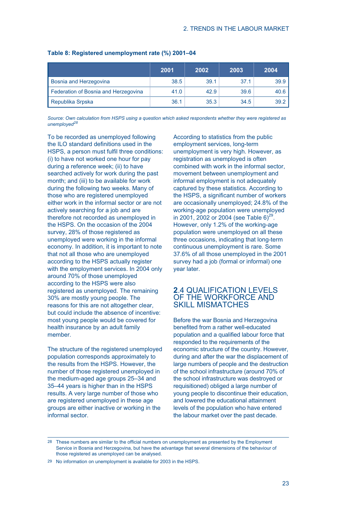|                                      | 2001 | 2002 | 2003 | 2004 |
|--------------------------------------|------|------|------|------|
| Bosnia and Herzegovina               | 38.5 | 39.1 | 37.1 | 39.9 |
| Federation of Bosnia and Herzegovina | 41.0 | 42.9 | 39.6 | 40.6 |
| Republika Srpska                     | 36.1 | 35.3 | 34.5 | 39.2 |

## **Table 8: Registered unemployment rate (%) 2001–04**

*Source: Own calculation from HSPS using a question which asked respondents whether they were registered as unemployed<sup>28</sup>*

To be recorded as unemployed following the ILO standard definitions used in the HSPS, a person must fulfil three conditions: (i) to have not worked one hour for pay during a reference week; (ii) to have searched actively for work during the past month; and (iii) to be available for work during the following two weeks. Many of those who are registered unemployed either work in the informal sector or are not actively searching for a job and are therefore not recorded as unemployed in the HSPS. On the occasion of the 2004 survey, 28% of those registered as unemployed were working in the informal economy. In addition, it is important to note that not all those who are unemployed according to the HSPS actually register with the employment services. In 2004 only around 70% of those unemployed according to the HSPS were also registered as unemployed. The remaining 30% are mostly young people. The reasons for this are not altogether clear, but could include the absence of incentive: most young people would be covered for health insurance by an adult family member.

The structure of the registered unemployed population corresponds approximately to the results from the HSPS. However, the number of those registered unemployed in the medium-aged age groups 25–34 and 35–44 years is higher than in the HSPS results. A very large number of those who are registered unemployed in these age groups are either inactive or working in the informal sector.

According to statistics from the public employment services, long-term unemployment is very high. However, as registration as unemployed is often combined with work in the informal sector, movement between unemployment and informal employment is not adequately captured by these statistics. According to the HSPS, a significant number of workers are occasionally unemployed; 24.8% of the working-age population were unemployed in 2001, 2002 or 2004 (see Table 6)<sup>29</sup>. However, only 1.2% of the working-age population were unemployed on all these three occasions, indicating that long-term continuous unemployment is rare. Some 37.6% of all those unemployed in the 2001 survey had a job (formal or informal) one year later.

# **2**.4 QUALIFICATION LEVELS OF THE WORKFORCE AND SKILL MISMATCHES

Before the war Bosnia and Herzegovina benefited from a rather well-educated population and a qualified labour force that responded to the requirements of the economic structure of the country. However, during and after the war the displacement of large numbers of people and the destruction of the school infrastructure (around 70% of the school infrastructure was destroyed or requisitioned) obliged a large number of young people to discontinue their education, and lowered the educational attainment levels of the population who have entered the labour market over the past decade.

28 These numbers are similar to the official numbers on unemployment as presented by the Employment Service in Bosnia and Herzegovina, but have the advantage that several dimensions of the behaviour of those registered as unemployed can be analysed.

<sup>29</sup> No information on unemployment is available for 2003 in the HSPS.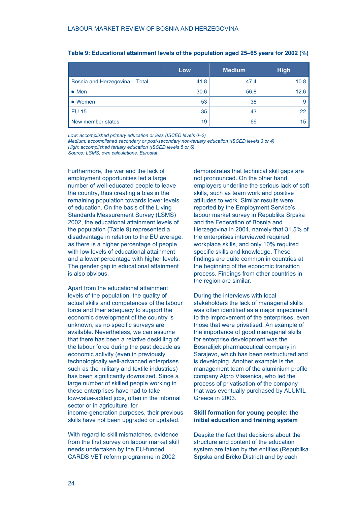|                                | Low  | <b>Medium</b> | <b>High</b> |
|--------------------------------|------|---------------|-------------|
| Bosnia and Herzegovina - Total | 41.8 | 47.4          | 10.8        |
| $\bullet$ Men                  | 30.6 | 56.8          | 12.6        |
| • Women                        | 53   | 38            |             |
| <b>EU-15</b>                   | 35   | 43            | 22          |
| New member states              | 19   | 66            | 15          |

*Low: accomplished primary education or less (ISCED levels 0–2) Medium: accomplished secondary or post-secondary non-tertiary education (ISCED levels 3 or 4) High: accomplished tertiary education (ISCED levels 5 or 6)*

*Source: LSMS, own calculations, Eurostat*

Furthermore, the war and the lack of employment opportunities led a large number of well-educated people to leave the country, thus creating a bias in the remaining population towards lower levels of education. On the basis of the Living Standards Measurement Survey (LSMS) 2002, the educational attainment levels of the population (Table 9) represented a disadvantage in relation to the EU average, as there is a higher percentage of people with low levels of educational attainment and a lower percentage with higher levels. The gender gap in educational attainment is also obvious.

Apart from the educational attainment levels of the population, the quality of actual skills and competences of the labour force and their adequacy to support the economic development of the country is unknown, as no specific surveys are available. Nevertheless, we can assume that there has been a relative deskilling of the labour force during the past decade as economic activity (even in previously technologically well-advanced enterprises such as the military and textile industries) has been significantly downsized. Since a large number of skilled people working in these enterprises have had to take low-value-added jobs, often in the informal sector or in agriculture, for income-generation purposes, their previous skills have not been upgraded or updated.

With regard to skill mismatches, evidence from the first survey on labour market skill needs undertaken by the EU-funded CARDS VET reform programme in 2002

demonstrates that technical skill gaps are not pronounced. On the other hand, employers underline the serious lack of soft skills, such as team work and positive attitudes to work. Similar results were reported by the Employment Service's labour market survey in Republika Srpska and the Federation of Bosnia and Herzegovina in 2004, namely that 31.5% of the enterprises interviewed required workplace skills, and only 10% required specific skills and knowledge. These findings are quite common in countries at the beginning of the economic transition process. Findings from other countries in the region are similar.

During the interviews with local stakeholders the lack of managerial skills was often identified as a major impediment to the improvement of the enterprises, even those that were privatised. An example of the importance of good managerial skills for enterprise development was the Bosnalijek pharmaceutical company in Sarajevo, which has been restructured and is developing. Another example is the management team of the aluminium profile company Alpro Vlasenica, who led the process of privatisation of the company that was eventually purchased by ALUMIL Greece in 2003.

## **Skill formation for young people: the initial education and training system**

Despite the fact that decisions about the structure and content of the education system are taken by the entities (Republika Srpska and Brčko District) and by each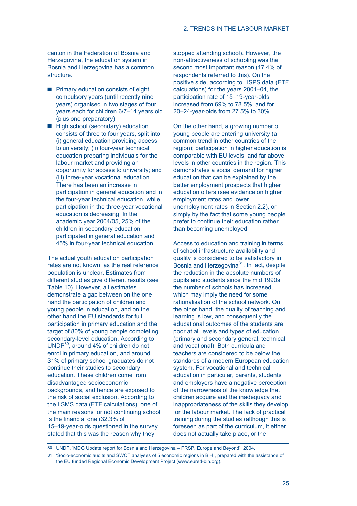canton in the Federation of Bosnia and Herzegovina, the education system in Bosnia and Herzegovina has a common structure.

- **Primary education consists of eight** compulsory years (until recently nine years) organised in two stages of four years each for children 6/7–14 years old (plus one preparatory).
- **High school (secondary) education** consists of three to four years, split into (i) general education providing access to university; (ii) four-year technical education preparing individuals for the labour market and providing an opportunity for access to university; and (iii) three-year vocational education. There has been an increase in participation in general education and in the four-year technical education, while participation in the three-year vocational education is decreasing. In the academic year 2004/05, 25% of the children in secondary education participated in general education and 45% in four-year technical education.

The actual youth education participation rates are not known, as the real reference population is unclear. Estimates from different studies give different results (see Table 10). However, all estimates demonstrate a gap between on the one hand the participation of children and young people in education, and on the other hand the EU standards for full participation in primary education and the target of 80% of young people completing secondary-level education. According to UNDP30, around 4% of children do not enrol in primary education, and around 31% of primary school graduates do not continue their studies to secondary education. These children come from disadvantaged socioeconomic backgrounds, and hence are exposed to the risk of social exclusion. According to the LSMS data (ETF calculations), one of the main reasons for not continuing school is the financial one (32.3% of 15–19-year-olds questioned in the survey stated that this was the reason why they

stopped attending school). However, the non-attractiveness of schooling was the second most important reason (17.4% of respondents referred to this). On the positive side, according to HSPS data (ETF calculations) for the years 2001–04, the participation rate of 15–19-year-olds increased from 69% to 78.5%, and for 20–24-year-olds from 27.5% to 30%.

On the other hand, a growing number of young people are entering university (a common trend in other countries of the region); participation in higher education is comparable with EU levels, and far above levels in other countries in the region. This demonstrates a social demand for higher education that can be explained by the better employment prospects that higher education offers (see evidence on higher employment rates and lower unemployment rates in Section 2.2), or simply by the fact that some young people prefer to continue their education rather than becoming unemployed.

Access to education and training in terms of school infrastructure availability and quality is considered to be satisfactory in Bosnia and Herzegovina<sup>31</sup>. In fact, despite the reduction in the absolute numbers of pupils and students since the mid 1990s, the number of schools has increased, which may imply the need for some rationalisation of the school network. On the other hand, the quality of teaching and learning is low, and consequently the educational outcomes of the students are poor at all levels and types of education (primary and secondary general, technical and vocational). Both curricula and teachers are considered to be below the standards of a modern European education system. For vocational and technical education in particular, parents, students and employers have a negative perception of the narrowness of the knowledge that children acquire and the inadequacy and inappropriateness of the skills they develop for the labour market. The lack of practical training during the studies (although this is foreseen as part of the curriculum, it either does not actually take place, or the

<sup>30</sup> UNDP, 'MDG Update report for Bosnia and Herzegovina – PRSP, Europe and Beyond', 2004.

<sup>31</sup> 'Socio-economic audits and SWOT analyses of 5 economic regions in BiH', prepared with the assistance of the EU funded Regional Economic Development Project (www.eured-bih.org).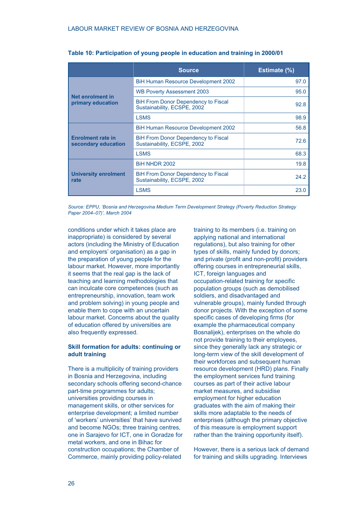|                                                 | <b>Source</b>                                                             | Estimate (%) |
|-------------------------------------------------|---------------------------------------------------------------------------|--------------|
|                                                 | <b>BiH Human Resource Development 2002</b>                                | 97.0         |
| Net enrolment in                                | <b>WB Poverty Assessment 2003</b>                                         | 95.0         |
| primary education                               | <b>BiH From Donor Dependency to Fiscal</b><br>Sustainability, ECSPE, 2002 | 92.8         |
|                                                 | <b>LSMS</b>                                                               | 98.9         |
|                                                 | <b>BiH Human Resource Development 2002</b>                                | 56.8         |
| <b>Enrolment rate in</b><br>secondary education | <b>BiH From Donor Dependency to Fiscal</b><br>Sustainability, ECSPE, 2002 | 72.6         |
|                                                 | <b>LSMS</b>                                                               | 68.3         |
|                                                 | <b>BiH NHDR 2002</b>                                                      | 19.8         |
| <b>University enrolment</b><br>rate             | <b>BiH From Donor Dependency to Fiscal</b><br>Sustainability, ECSPE, 2002 | 24.2         |
|                                                 | <b>LSMS</b>                                                               | 23.0         |

| Table 10: Participation of young people in education and training in 2000/01 |  |  |  |  |
|------------------------------------------------------------------------------|--|--|--|--|
|------------------------------------------------------------------------------|--|--|--|--|

*Source: EPPU, 'Bosnia and Herzegovina Medium Term Development Strategy (Poverty Reduction Strategy Paper 2004–07)', March 2004*

conditions under which it takes place are inappropriate) is considered by several actors (including the Ministry of Education and employers' organisation) as a gap in the preparation of young people for the labour market. However, more importantly it seems that the real gap is the lack of teaching and learning methodologies that can inculcate core competences (such as entrepreneurship, innovation, team work and problem solving) in young people and enable them to cope with an uncertain labour market. Concerns about the quality of education offered by universities are also frequently expressed.

# **Skill formation for adults: continuing or adult training**

There is a multiplicity of training providers in Bosnia and Herzegovina, including secondary schools offering second-chance part-time programmes for adults; universities providing courses in management skills, or other services for enterprise development; a limited number of 'workers' universities' that have survived and become NGOs; three training centres, one in Sarajevo for ICT, one in Goradze for metal workers, and one in Bihac for construction occupations; the Chamber of Commerce, mainly providing policy-related

training to its members (i.e. training on applying national and international regulations), but also training for other types of skills, mainly funded by donors; and private (profit and non-profit) providers offering courses in entrepreneurial skills, ICT, foreign languages and occupation-related training for specific population groups (such as demobilised soldiers, and disadvantaged and vulnerable groups), mainly funded through donor projects. With the exception of some specific cases of developing firms (for example the pharmaceutical company Bosnalijek), enterprises on the whole do not provide training to their employees, since they generally lack any strategic or long-term view of the skill development of their workforces and subsequent human resource development (HRD) plans. Finally the employment services fund training courses as part of their active labour market measures, and subsidise employment for higher education graduates with the aim of making their skills more adaptable to the needs of enterprises (although the primary objective of this measure is employment support rather than the training opportunity itself).

However, there is a serious lack of demand for training and skills upgrading. Interviews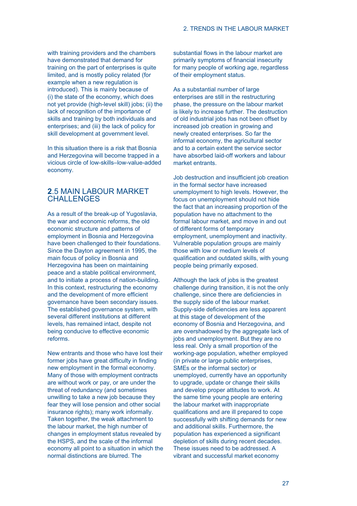with training providers and the chambers have demonstrated that demand for training on the part of enterprises is quite limited, and is mostly policy related (for example when a new regulation is introduced). This is mainly because of (i) the state of the economy, which does not yet provide (high-level skill) jobs; (ii) the lack of recognition of the importance of skills and training by both individuals and enterprises; and (iii) the lack of policy for skill development at government level.

In this situation there is a risk that Bosnia and Herzegovina will become trapped in a vicious circle of low-skills–low-value-added economy.

# **2**.5 MAIN LABOUR MARKET **CHALLENGES**

As a result of the break-up of Yugoslavia, the war and economic reforms, the old economic structure and patterns of employment in Bosnia and Herzegovina have been challenged to their foundations. Since the Dayton agreement in 1995, the main focus of policy in Bosnia and Herzegovina has been on maintaining peace and a stable political environment, and to initiate a process of nation-building. In this context, restructuring the economy and the development of more efficient governance have been secondary issues. The established governance system, with several different institutions at different levels, has remained intact, despite not being conducive to effective economic reforms.

New entrants and those who have lost their former jobs have great difficulty in finding new employment in the formal economy. Many of those with employment contracts are without work or pay, or are under the threat of redundancy (and sometimes unwilling to take a new job because they fear they will lose pension and other social insurance rights); many work informally. Taken together, the weak attachment to the labour market, the high number of changes in employment status revealed by the HSPS, and the scale of the informal economy all point to a situation in which the normal distinctions are blurred. The

substantial flows in the labour market are primarily symptoms of financial insecurity for many people of working age, regardless of their employment status.

As a substantial number of large enterprises are still in the restructuring phase, the pressure on the labour market is likely to increase further. The destruction of old industrial jobs has not been offset by increased job creation in growing and newly created enterprises. So far the informal economy, the agricultural sector and to a certain extent the service sector have absorbed laid-off workers and labour market entrants.

Job destruction and insufficient job creation in the formal sector have increased unemployment to high levels. However, the focus on unemployment should not hide the fact that an increasing proportion of the population have no attachment to the formal labour market, and move in and out of different forms of temporary employment, unemployment and inactivity. Vulnerable population groups are mainly those with low or medium levels of qualification and outdated skills, with young people being primarily exposed.

Although the lack of jobs is the greatest challenge during transition, it is not the only challenge, since there are deficiencies in the supply side of the labour market. Supply-side deficiencies are less apparent at this stage of development of the economy of Bosnia and Herzegovina, and are overshadowed by the aggregate lack of jobs and unemployment. But they are no less real. Only a small proportion of the working-age population, whether employed (in private or large public enterprises, SMEs or the informal sector) or unemployed, currently have an opportunity to upgrade, update or change their skills and develop proper attitudes to work. At the same time young people are entering the labour market with inappropriate qualifications and are ill prepared to cope successfully with shifting demands for new and additional skills. Furthermore, the population has experienced a significant depletion of skills during recent decades. These issues need to be addressed. A vibrant and successful market economy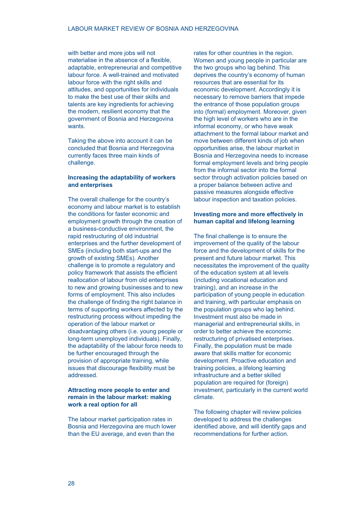with better and more jobs will not materialise in the absence of a flexible, adaptable, entrepreneurial and competitive labour force. A well-trained and motivated labour force with the right skills and attitudes, and opportunities for individuals to make the best use of their skills and talents are key ingredients for achieving the modern, resilient economy that the government of Bosnia and Herzegovina wants.

Taking the above into account it can be concluded that Bosnia and Herzegovina currently faces three main kinds of challenge.

## **Increasing the adaptability of workers and enterprises**

The overall challenge for the country's economy and labour market is to establish the conditions for faster economic and employment growth through the creation of a business-conductive environment, the rapid restructuring of old industrial enterprises and the further development of SMEs (including both start-ups and the growth of existing SMEs). Another challenge is to promote a regulatory and policy framework that assists the efficient reallocation of labour from old enterprises to new and growing businesses and to new forms of employment. This also includes the challenge of finding the right balance in terms of supporting workers affected by the restructuring process without impeding the operation of the labour market or disadvantaging others (i.e. young people or long-term unemployed individuals). Finally, the adaptability of the labour force needs to be further encouraged through the provision of appropriate training, while issues that discourage flexibility must be addressed.

## **Attracting more people to enter and remain in the labour market: making work a real option for all**

The labour market participation rates in Bosnia and Herzegovina are much lower than the EU average, and even than the

rates for other countries in the region. Women and young people in particular are the two groups who lag behind. This deprives the country's economy of human resources that are essential for its economic development. Accordingly it is necessary to remove barriers that impede the entrance of those population groups into (formal) employment. Moreover, given the high level of workers who are in the informal economy, or who have weak attachment to the formal labour market and move between different kinds of job when opportunities arise, the labour market in Bosnia and Herzegovina needs to increase formal employment levels and bring people from the informal sector into the formal sector through activation policies based on a proper balance between active and passive measures alongside effective labour inspection and taxation policies.

# **Investing more and more effectively in human capital and lifelong learning**

The final challenge is to ensure the improvement of the quality of the labour force and the development of skills for the present and future labour market. This necessitates the improvement of the quality of the education system at all levels (including vocational education and training), and an increase in the participation of young people in education and training, with particular emphasis on the population groups who lag behind. Investment must also be made in managerial and entrepreneurial skills, in order to better achieve the economic restructuring of privatised enterprises. Finally, the population must be made aware that skills matter for economic development. Proactive education and training policies, a lifelong learning infrastructure and a better skilled population are required for (foreign) investment, particularly in the current world climate.

The following chapter will review policies developed to address the challenges identified above, and will identify gaps and recommendations for further action.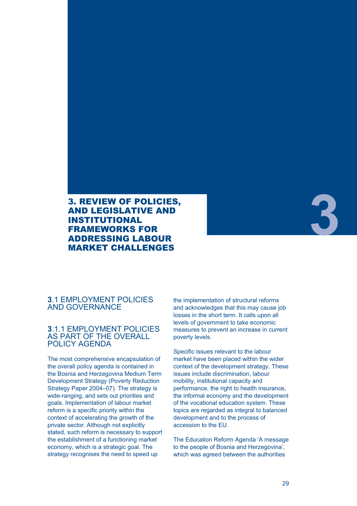# 3. REVIEW OF POLICIES, AND LEGISLATIVE AND INSTITUTIONAL FRAMEWORKS FOR ADDRESSING LABOUR MARKET CHALLENGES

# **3**

# **3**.1 EMPLOYMENT POLICIES AND GOVERNANCE

# **3**.1.1 EMPLOYMENT POLICIES AS PART OF THE OVERALL POLICY AGENDA

The most comprehensive encapsulation of the overall policy agenda is contained in the Bosnia and Herzegovina Medium Term Development Strategy (Poverty Reduction Strategy Paper 2004–07). The strategy is wide-ranging, and sets out priorities and goals. Implementation of labour market reform is a specific priority within the context of accelerating the growth of the private sector. Although not explicitly stated, such reform is necessary to support the establishment of a functioning market economy, which is a strategic goal. The strategy recognises the need to speed up

the implementation of structural reforms and acknowledges that this may cause job losses in the short term. It calls upon all levels of government to take economic measures to prevent an increase in current poverty levels.

Specific issues relevant to the labour market have been placed within the wider context of the development strategy. These issues include discrimination, labour mobility, institutional capacity and performance, the right to health insurance, the informal economy and the development of the vocational education system. These topics are regarded as integral to balanced development and to the process of accession to the EU.

The Education Reform Agenda 'A message to the people of Bosnia and Herzegovina', which was agreed between the authorities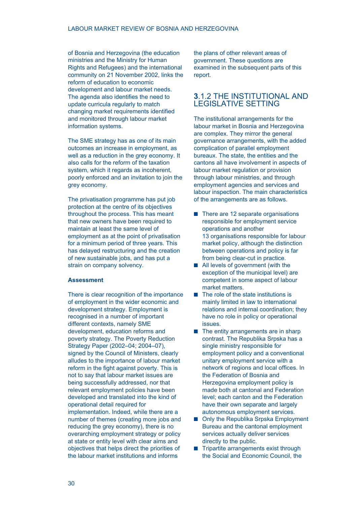of Bosnia and Herzegovina (the education ministries and the Ministry for Human Rights and Refugees) and the international community on 21 November 2002, links the reform of education to economic development and labour market needs. The agenda also identifies the need to update curricula regularly to match changing market requirements identified and monitored through labour market information systems.

The SME strategy has as one of its main outcomes an increase in employment, as well as a reduction in the grey economy. It also calls for the reform of the taxation system, which it regards as incoherent, poorly enforced and an invitation to join the grey economy.

The privatisation programme has put job protection at the centre of its objectives throughout the process. This has meant that new owners have been required to maintain at least the same level of employment as at the point of privatisation for a minimum period of three years. This has delayed restructuring and the creation of new sustainable jobs, and has put a strain on company solvency.

#### **Assessment**

There is clear recognition of the importance of employment in the wider economic and development strategy. Employment is recognised in a number of important different contexts, namely SME development, education reforms and poverty strategy. The Poverty Reduction Strategy Paper (2002–04; 2004–07), signed by the Council of Ministers, clearly alludes to the importance of labour market reform in the fight against poverty. This is not to say that labour market issues are being successfully addressed, nor that relevant employment policies have been developed and translated into the kind of operational detail required for implementation. Indeed, while there are a number of themes (creating more jobs and reducing the grey economy), there is no overarching employment strategy or policy at state or entity level with clear aims and objectives that helps direct the priorities of the labour market institutions and informs

the plans of other relevant areas of government. These questions are examined in the subsequent parts of this report.

# **3**.1.2 THE INSTITUTIONAL AND LEGISLATIVE SETTING

The institutional arrangements for the labour market in Bosnia and Herzegovina are complex. They mirror the general governance arrangements, with the added complication of parallel employment bureaux. The state, the entities and the cantons all have involvement in aspects of labour market regulation or provision through labour ministries, and through employment agencies and services and labour inspection. The main characteristics of the arrangements are as follows.

- $\blacksquare$  There are 12 separate organisations responsible for employment service operations and another 13 organisations responsible for labour market policy, although the distinction between operations and policy is far from being clear-cut in practice.
- **All levels of government (with the** exception of the municipal level) are competent in some aspect of labour market matters.
- $\blacksquare$  The role of the state institutions is mainly limited in law to international relations and internal coordination; they have no role in policy or operational issues.
- $\blacksquare$  The entity arrangements are in sharp contrast. The Republika Srpska has a single ministry responsible for employment policy and a conventional unitary employment service with a network of regions and local offices. In the Federation of Bosnia and Herzegovina employment policy is made both at cantonal and Federation level; each canton and the Federation have their own separate and largely autonomous employment services.
- Only the Republika Srpska Employment Bureau and the cantonal employment services actually deliver services directly to the public.
- $\blacksquare$  Tripartite arrangements exist through the Social and Economic Council, the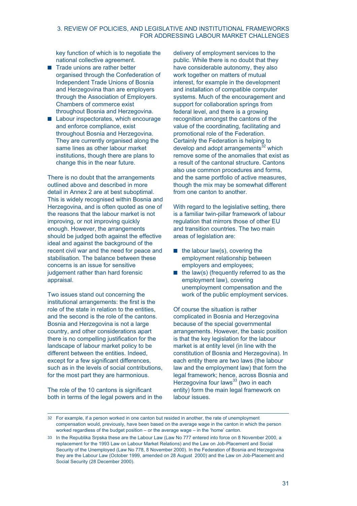# 3. REVIEW OF POLICIES, AND LEGISLATIVE AND INSTITUTIONAL FRAMEWORKS FOR ADDRESSING LABOUR MARKET CHALLENGES

key function of which is to negotiate the national collective agreement.

- Trade unions are rather better organised through the Confederation of Independent Trade Unions of Bosnia and Herzegovina than are employers through the Association of Employers. Chambers of commerce exist throughout Bosnia and Herzegovina.
- Labour inspectorates, which encourage and enforce compliance, exist throughout Bosnia and Herzegovina. They are currently organised along the same lines as other labour market institutions, though there are plans to change this in the near future.

There is no doubt that the arrangements outlined above and described in more detail in Annex 2 are at best suboptimal. This is widely recognised within Bosnia and Herzegovina, and is often quoted as one of the reasons that the labour market is not improving, or not improving quickly enough. However, the arrangements should be judged both against the effective ideal and against the background of the recent civil war and the need for peace and stabilisation. The balance between these concerns is an issue for sensitive judgement rather than hard forensic appraisal.

Two issues stand out concerning the institutional arrangements: the first is the role of the state in relation to the entities, and the second is the role of the cantons. Bosnia and Herzegovina is not a large country, and other considerations apart there is no compelling justification for the landscape of labour market policy to be different between the entities. Indeed, except for a few significant differences, such as in the levels of social contributions, for the most part they are harmonious.

The role of the 10 cantons is significant both in terms of the legal powers and in the

delivery of employment services to the public. While there is no doubt that they have considerable autonomy, they also work together on matters of mutual interest, for example in the development and installation of compatible computer systems. Much of the encouragement and support for collaboration springs from federal level, and there is a growing recognition amongst the cantons of the value of the coordinating, facilitating and promotional role of the Federation. Certainly the Federation is helping to develop and adopt arrangements<sup>32</sup> which remove some of the anomalies that exist as a result of the cantonal structure. Cantons also use common procedures and forms, and the same portfolio of active measures, though the mix may be somewhat different from one canton to another.

With regard to the legislative setting, there is a familiar twin-pillar framework of labour regulation that mirrors those of other EU and transition countries. The two main areas of legislation are:

- $\blacksquare$  the labour law(s), covering the employment relationship between employers and employees;
- $\blacksquare$  the law(s) (frequently referred to as the employment law), covering unemployment compensation and the work of the public employment services.

Of course the situation is rather complicated in Bosnia and Herzegovina because of the special governmental arrangements. However, the basic position is that the key legislation for the labour market is at entity level (in line with the constitution of Bosnia and Herzegovina). In each entity there are two laws (the labour law and the employment law) that form the legal framework; hence, across Bosnia and Herzegovina four laws<sup>33</sup> (two in each entity) form the main legal framework on labour issues.

<sup>32</sup> For example, if a person worked in one canton but resided in another, the rate of unemployment compensation would, previously, have been based on the average wage in the canton in which the person worked regardless of the budget position – or the average wage – in the 'home' canton.

<sup>33</sup> In the Republika Srpska these are the Labour Law (Law No 777 entered into force on 8 November 2000, a replacement for the 1993 Law on Labour Market Relations) and the Law on Job-Placement and Social Security of the Unemployed (Law No 778, 8 November 2000). In the Federation of Bosnia and Herzegovina they are the Labour Law (October 1999, amended on 28 August 2000) and the Law on Job-Placement and Social Security (28 December 2000).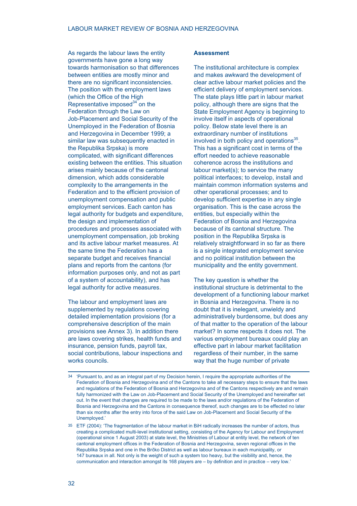As regards the labour laws the entity governments have gone a long way towards harmonisation so that differences between entities are mostly minor and there are no significant inconsistencies. The position with the employment laws (which the Office of the High Representative imposed $34$  on the Federation through the Law on Job-Placement and Social Security of the Unemployed in the Federation of Bosnia and Herzegovina in December 1999; a similar law was subsequently enacted in the Republika Srpska) is more complicated, with significant differences existing between the entities. This situation arises mainly because of the cantonal dimension, which adds considerable complexity to the arrangements in the Federation and to the efficient provision of unemployment compensation and public employment services. Each canton has legal authority for budgets and expenditure, the design and implementation of procedures and processes associated with unemployment compensation, job broking and its active labour market measures. At the same time the Federation has a separate budget and receives financial plans and reports from the cantons (for information purposes only, and not as part of a system of accountability), and has legal authority for active measures.

The labour and employment laws are supplemented by regulations covering detailed implementation provisions (for a comprehensive description of the main provisions see Annex 3). In addition there are laws covering strikes, health funds and insurance, pension funds, payroll tax, social contributions, labour inspections and works councils.

#### **Assessment**

The institutional architecture is complex and makes awkward the development of clear active labour market policies and the efficient delivery of employment services. The state plays little part in labour market policy, although there are signs that the State Employment Agency is beginning to involve itself in aspects of operational policy. Below state level there is an extraordinary number of institutions involved in both policy and operations $35$ . This has a significant cost in terms of the effort needed to achieve reasonable coherence across the institutions and labour market(s); to service the many political interfaces; to develop, install and maintain common information systems and other operational processes; and to develop sufficient expertise in any single organisation. This is the case across the entities, but especially within the Federation of Bosnia and Herzegovina because of its cantonal structure. The position in the Republika Srpska is relatively straightforward in so far as there is a single integrated employment service and no political institution between the municipality and the entity government.

The key question is whether the institutional structure is detrimental to the development of a functioning labour market in Bosnia and Herzegovina. There is no doubt that it is inelegant, unwieldy and administratively burdensome, but does any of that matter to the operation of the labour market? In some respects it does not. The various employment bureaux could play an effective part in labour market facilitation regardless of their number, in the same way that the huge number of private

<sup>34</sup> 'Pursuant to, and as an integral part of my Decision herein, I require the appropriate authorities of the Federation of Bosnia and Herzegovina and of the Cantons to take all necessary steps to ensure that the laws and regulations of the Federation of Bosnia and Herzegovina and of the Cantons respectively are and remain fully harmonized with the Law on Job-Placement and Social Security of the Unemployed and hereinafter set out. In the event that changes are required to be made to the laws and/or regulations of the Federation of Bosnia and Herzegovina and the Cantons in consequence thereof, such changes are to be effected no later than six months after the entry into force of the said Law on Job-Placement and Social Security of the Unemployed.'

<sup>35</sup> ETF (2004): 'The fragmentation of the labour market in BiH radically increases the number of actors, thus creating a complicated multi-level institutional setting, consisting of the Agency for Labour and Employment (operational since 1 August 2003) at state level, the Ministries of Labour at entity level, the network of ten cantonal employment offices in the Federation of Bosnia and Herzegovina, seven regional offices in the Republika Srpska and one in the Brčko District as well as labour bureaux in each municipality, or 147 bureaux in all. Not only is the weight of such a system too heavy, but the visibility and, hence, the communication and interaction amongst its 168 players are – by definition and in practice – very low.'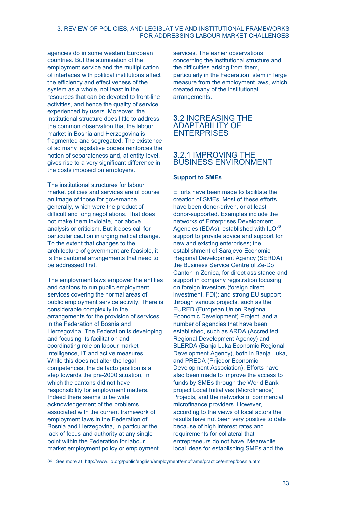# 3. REVIEW OF POLICIES, AND LEGISLATIVE AND INSTITUTIONAL FRAMEWORKS FOR ADDRESSING LABOUR MARKET CHALLENGES

agencies do in some western European countries. But the atomisation of the employment service and the multiplication of interfaces with political institutions affect the efficiency and effectiveness of the system as a whole, not least in the resources that can be devoted to front-line activities, and hence the quality of service experienced by users. Moreover, the institutional structure does little to address the common observation that the labour market in Bosnia and Herzegovina is fragmented and segregated. The existence of so many legislative bodies reinforces the notion of separateness and, at entity level, gives rise to a very significant difference in the costs imposed on employers.

The institutional structures for labour market policies and services are of course an image of those for governance generally, which were the product of difficult and long negotiations. That does not make them inviolate, nor above analysis or criticism. But it does call for particular caution in urging radical change. To the extent that changes to the architecture of government are feasible, it is the cantonal arrangements that need to be addressed first.

The employment laws empower the entities and cantons to run public employment services covering the normal areas of public employment service activity. There is considerable complexity in the arrangements for the provision of services in the Federation of Bosnia and Herzegovina. The Federation is developing and focusing its facilitation and coordinating role on labour market intelligence, IT and active measures. While this does not alter the legal competences, the de facto position is a step towards the pre-2000 situation, in which the cantons did not have responsibility for employment matters. Indeed there seems to be wide acknowledgement of the problems associated with the current framework of employment laws in the Federation of Bosnia and Herzegovina, in particular the lack of focus and authority at any single point within the Federation for labour market employment policy or employment

services. The earlier observations concerning the institutional structure and the difficulties arising from them, particularly in the Federation, stem in large measure from the employment laws, which created many of the institutional arrangements.

# **3**.2 INCREASING THE ADAPTABILITY OF ENTERPRISES

# **3**.2.1 IMPROVING THE BUSINESS ENVIRONMENT

# **Support to SMEs**

Efforts have been made to facilitate the creation of SMEs. Most of these efforts have been donor-driven, or at least donor-supported. Examples include the networks of Enterprises Development Agencies (EDAs), established with ILO<sup>36</sup> support to provide advice and support for new and existing enterprises; the establishment of Sarajevo Economic Regional Development Agency (SERDA); the Business Service Centre of Ze-Do Canton in Zenica, for direct assistance and support in company registration focusing on foreign investors (foreign direct investment, FDI); and strong EU support through various projects, such as the EURED (European Union Regional Economic Development) Project, and a number of agencies that have been established, such as ARDA (Accredited Regional Development Agency) and BLERDA (Banja Luka Economic Regional Development Agency), both in Banja Luka, and PREDA (Prijedor Economic Development Association). Efforts have also been made to improve the access to funds by SMEs through the World Bank project Local Initiatives (Microfinance) Projects, and the networks of commercial microfinance providers. However, according to the views of local actors the results have not been very positive to date because of high interest rates and requirements for collateral that entrepreneurs do not have. Meanwhile, local ideas for establishing SMEs and the

36 See more at: http://www.ilo.org/public/english/employment/empframe/practice/entrep/bosnia.htm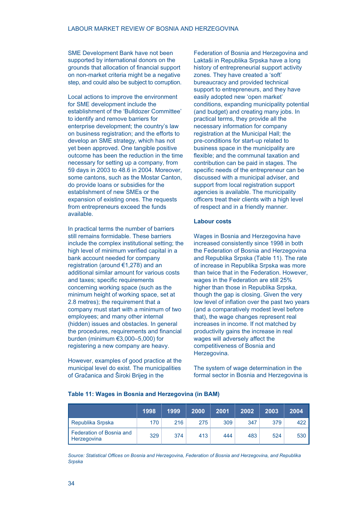SME Development Bank have not been supported by international donors on the grounds that allocation of financial support on non-market criteria might be a negative step, and could also be subject to corruption.

Local actions to improve the environment for SME development include the establishment of the 'Bulldozer Committee' to identify and remove barriers for enterprise development; the country's law on business registration; and the efforts to develop an SME strategy, which has not yet been approved. One tangible positive outcome has been the reduction in the time necessary for setting up a company, from 59 days in 2003 to 48.6 in 2004. Moreover, some cantons, such as the Mostar Canton, do provide loans or subsidies for the establishment of new SMEs or the expansion of existing ones. The requests from entrepreneurs exceed the funds available.

In practical terms the number of barriers still remains formidable. These barriers include the complex institutional setting; the high level of minimum verified capital in a bank account needed for company registration (around €1,278) and an additional similar amount for various costs and taxes; specific requirements concerning working space (such as the minimum height of working space, set at 2.8 metres); the requirement that a company must start with a minimum of two employees; and many other internal (hidden) issues and obstacles. In general the procedures, requirements and financial burden (minimum €3,000–5,000) for registering a new company are heavy.

However, examples of good practice at the municipal level do exist. The municipalities of Gračanica and Široki Brijeg in the

Federation of Bosnia and Herzegovina and Laktaši in Republika Srpska have a long history of entrepreneurial support activity zones. They have created a 'soft' bureaucracy and provided technical support to entrepreneurs, and they have easily adopted new 'open market' conditions, expanding municipality potential (and budget) and creating many jobs. In practical terms, they provide all the necessary information for company registration at the Municipal Hall; the pre-conditions for start-up related to business space in the municipality are flexible; and the communal taxation and contribution can be paid in stages. The specific needs of the entrepreneur can be discussed with a municipal adviser, and support from local registration support agencies is available. The municipality officers treat their clients with a high level of respect and in a friendly manner.

### **Labour costs**

Wages in Bosnia and Herzegovina have increased consistently since 1998 in both the Federation of Bosnia and Herzegovina and Republika Srpska (Table 11). The rate of increase in Republika Srpska was more than twice that in the Federation. However, wages in the Federation are still 25% higher than those in Republika Srpska, though the gap is closing. Given the very low level of inflation over the past two years (and a comparatively modest level before that), the wage changes represent real increases in income. If not matched by productivity gains the increase in real wages will adversely affect the competitiveness of Bosnia and Herzegovina.

The system of wage determination in the formal sector in Bosnia and Herzegovina is

#### **Table 11: Wages in Bosnia and Herzegovina (in BAM)**

|                                         | 1998 | 1999 | 2000 | 2001 | 2002 | 2003 | 2004  |
|-----------------------------------------|------|------|------|------|------|------|-------|
| Republika Srpska                        | 170  | 216  | 275  | 309  | 347  | 379  | 422   |
| Federation of Bosnia and<br>Herzegovina | 329  | 374  | 413  | 444  | 483  | 524  | 530 l |

*Source: Statistical Offices on Bosnia and Herzegovina, Federation of Bosnia and Herzegovina, and Republika Srpska*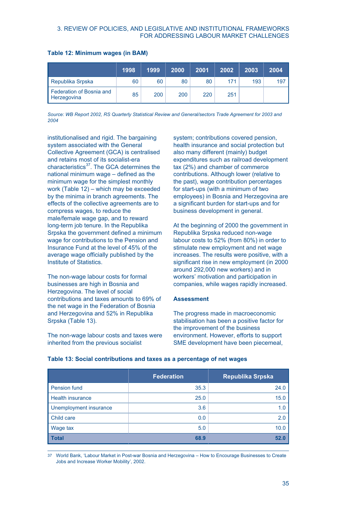# 3. REVIEW OF POLICIES, AND LEGISLATIVE AND INSTITUTIONAL FRAMEWORKS FOR ADDRESSING LABOUR MARKET CHALLENGES

|  | Table 12: Minimum wages (in BAM) |  |  |  |
|--|----------------------------------|--|--|--|
|--|----------------------------------|--|--|--|

|                                         | 1998 | 1999 | 2000 | 2001 | 2002 | 2003 | 2004 |
|-----------------------------------------|------|------|------|------|------|------|------|
| Republika Srpska                        | 60   | 60   | 80   | 80   | 171  | 193  | 197  |
| Federation of Bosnia and<br>Herzegovina | 85   | 200  | 200  | 220  | 251  |      |      |

*Source: WB Report 2002, RS Quarterly Statistical Review and General/sectors Trade Agreement for 2003 and 2004*

institutionalised and rigid. The bargaining system associated with the General Collective Agreement (GCA) is centralised and retains most of its socialist-era characteristics<sup>37</sup>. The GCA determines the national minimum wage – defined as the minimum wage for the simplest monthly work (Table 12) – which may be exceeded by the minima in branch agreements. The effects of the collective agreements are to compress wages, to reduce the male/female wage gap, and to reward long-term job tenure. In the Republika Srpska the government defined a minimum wage for contributions to the Pension and Insurance Fund at the level of 45% of the average wage officially published by the Institute of Statistics.

The non-wage labour costs for formal businesses are high in Bosnia and Herzegovina. The level of social contributions and taxes amounts to 69% of the net wage in the Federation of Bosnia and Herzegovina and 52% in Republika Srpska (Table 13).

The non-wage labour costs and taxes were inherited from the previous socialist

system; contributions covered pension, health insurance and social protection but also many different (mainly) budget expenditures such as railroad development tax (2%) and chamber of commerce contributions. Although lower (relative to the past), wage contribution percentages for start-ups (with a minimum of two employees) in Bosnia and Herzegovina are a significant burden for start-ups and for business development in general.

At the beginning of 2000 the government in Republika Srpska reduced non-wage labour costs to 52% (from 80%) in order to stimulate new employment and net wage increases. The results were positive, with a significant rise in new employment (in 2000 around 292,000 new workers) and in workers' motivation and participation in companies, while wages rapidly increased.

#### **Assessment**

The progress made in macroeconomic stabilisation has been a positive factor for the improvement of the business environment. However, efforts to support SME development have been piecemeal,

|                         | <b>Federation</b> | <b>Republika Srpska</b> |
|-------------------------|-------------------|-------------------------|
| Pension fund            | 35.3              | 24.0                    |
| <b>Health insurance</b> | 25.0              | 15.0                    |
| Unemployment insurance  | 3.6               | 1.0                     |
| Child care              | 0.0               | 2.0                     |
| Wage tax                | 5.0               | 10.0                    |
| <b>Total</b>            | 68.9              | 52.0                    |

#### **Table 13: Social contributions and taxes as a percentage of net wages**

37 World Bank, 'Labour Market in Post-war Bosnia and Herzegovina – How to Encourage Businesses to Create Jobs and Increase Worker Mobility', 2002.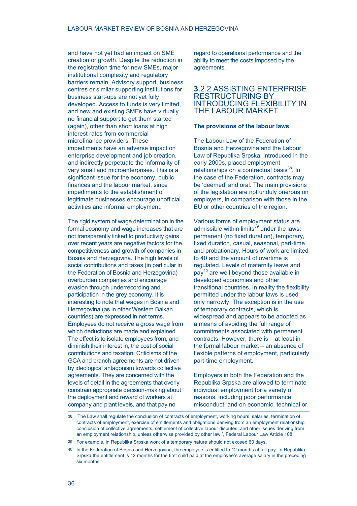and have not yet had an impact on SME creation or growth. Despite the reduction in the registration time for new SMEs, major institutional complexity and regulatory barriers remain. Advisory support, business centres or similar supporting institutions for business start-ups are not yet fully developed. Access to funds is very limited, and new and existing SMEs have virtually no financial support to get them started (again), other than short loans at high interest rates from commercial microfinance providers. These impediments have an adverse impact on enterprise development and job creation, and indirectly perpetuate the informality of very small and microenterprises. This is a significant issue for the economy, public finances and the labour market, since impediments to the establishment of legitimate businesses encourage unofficial activities and informal employment.

The rigid system of wage determination in the formal economy and wage increases that are not transparently linked to productivity gains over recent years are negative factors for the competitiveness and growth of companies in Bosnia and Herzegovina. The high levels of social contributions and taxes (in particular in the Federation of Bosnia and Herzegovina) overburden companies and encourage evasion through underrecording and participation in the grey economy. It is interesting to note that wages in Bosnia and Herzegovina (as in other Western Balkan countries) are expressed in net terms. Employees do not receive a gross wage from which deductions are made and explained. The effect is to isolate employees from, and diminish their interest in, the cost of social contributions and taxation. Criticisms of the GCA and branch agreements are not driven by ideological antagonism towards collective agreements. They are concerned with the levels of detail in the agreements that overly constrain appropriate decision-making about the deployment and reward of workers at company and plant levels, and that pay no

regard to operational performance and the ability to meet the costs imposed by the agreements.

# **3**.2.2 ASSISTING ENTERPRISE RESTRUCTURING BY INTRODUCING FLEXIBILITY IN THE LABOUR MARKET

## **The provisions of the labour laws**

The Labour Law of the Federation of Bosnia and Herzegovina and the Labour Law of Republika Srpska, introduced in the early 2000s, placed employment relationships on a contractual basis<sup>38</sup>. In the case of the Federation, contracts may be 'deemed' and oral. The main provisions of the legislation are not unduly onerous on employers, in comparison with those in the EU or other countries of the region.

Various forms of employment status are admissible within limits $^{39}$  under the laws: permanent (no fixed duration), temporary, fixed duration, casual, seasonal, part-time and probationary. Hours of work are limited to 40 and the amount of overtime is regulated. Levels of maternity leave and pay<sup>40</sup> are well beyond those available in developed economies and other transitional countries. In reality the flexibility permitted under the labour laws is used only narrowly. The exception is in the use of temporary contracts, which is widespread and appears to be adopted as a means of avoiding the full range of commitments associated with permanent contracts. However, there is – at least in the formal labour market – an absence of flexible patterns of employment, particularly part-time employment.

Employers in both the Federation and the Republika Srpska are allowed to terminate individual employment for a variety of reasons, including poor performance, misconduct, and on economic, technical or

<sup>38</sup> 'The Law shall regulate the conclusion of contracts of employment, working hours, salaries, termination of contracts of employment, exercise of entitlements and obligations deriving from an employment relationship, conclusion of collective agreements, settlement of collective labour disputes, and other issues deriving from an employment relationship, unless otherwise provided by other law.', Federal Labour Law Article 108.

<sup>39</sup> For example, in Republika Srpska work of a temporary nature should not exceed 60 days.

<sup>40</sup> In the Federation of Bosnia and Herzegovina, the employee is entitled to 12 months at full pay. In Republika Srpska the entitlement is 12 months for the first child paid at the employee's average salary in the preceding six months.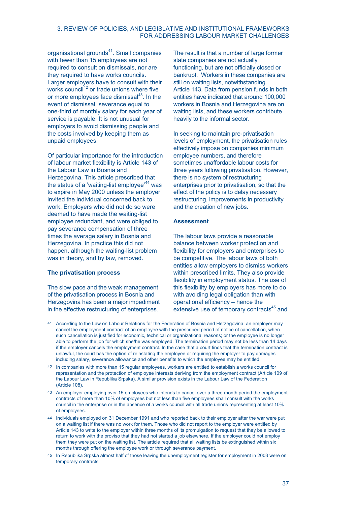## 3. REVIEW OF POLICIES, AND LEGISLATIVE AND INSTITUTIONAL FRAMEWORKS FOR ADDRESSING LABOUR MARKET CHALLENGES

organisational grounds<sup>41</sup>. Small companies with fewer than 15 employees are not required to consult on dismissals, nor are they required to have works councils. Larger employers have to consult with their works council<sup>42</sup> or trade unions where five or more employees face dismissal<sup>43</sup>. In the event of dismissal, severance equal to one-third of monthly salary for each year of service is payable. It is not unusual for employers to avoid dismissing people and the costs involved by keeping them as unpaid employees.

Of particular importance for the introduction of labour market flexibility is Article 143 of the Labour Law in Bosnia and Herzegovina. This article prescribed that the status of a 'waiting-list employee'<sup>44</sup> was to expire in May 2000 unless the employer invited the individual concerned back to work. Employers who did not do so were deemed to have made the waiting-list employee redundant, and were obliged to pay severance compensation of three times the average salary in Bosnia and Herzegovina. In practice this did not happen, although the waiting-list problem was in theory, and by law, removed.

## **The privatisation process**

The slow pace and the weak management of the privatisation process in Bosnia and Herzegovina has been a major impediment in the effective restructuring of enterprises.

The result is that a number of large former state companies are not actually functioning, but are not officially closed or bankrupt. Workers in these companies are still on waiting lists, notwithstanding Article 143. Data from pension funds in both entities have indicated that around 100,000 workers in Bosnia and Herzegovina are on waiting lists, and these workers contribute heavily to the informal sector.

In seeking to maintain pre-privatisation levels of employment, the privatisation rules effectively impose on companies minimum employee numbers, and therefore sometimes unaffordable labour costs for three years following privatisation. However, there is no system of restructuring enterprises prior to privatisation, so that the effect of the policy is to delay necessary restructuring, improvements in productivity and the creation of new jobs.

# **Assessment**

The labour laws provide a reasonable balance between worker protection and flexibility for employers and enterprises to be competitive. The labour laws of both entities allow employers to dismiss workers within prescribed limits. They also provide flexibility in employment status. The use of this flexibility by employers has more to do with avoiding legal obligation than with operational efficiency – hence the extensive use of temporary contracts<sup>45</sup> and

45 In Republika Srpska almost half of those leaving the unemployment register for employment in 2003 were on temporary contracts.

<sup>41</sup> According to the Law on Labour Relations for the Federation of Bosnia and Herzegovina: an employer may cancel the employment contract of an employee with the prescribed period of notice of cancellation, when such cancellation is justified for economic, technical or organizational reasons; or the employee is no longer able to perform the job for which she/he was employed. The termination period may not be less than 14 days if the employer cancels the employment contract. In the case that a court finds that the termination contract is unlawful, the court has the option of reinstating the employee or requiring the employer to pay damages including salary, severance allowance and other benefits to which the employee may be entitled.

<sup>42</sup> In companies with more than 15 regular employees, workers are entitled to establish a works council for representation and the protection of employee interests deriving from the employment contract (Article 109 of the Labour Law in Republika Srpska). A similar provision exists in the Labour Law of the Federation (Article 108).

<sup>43</sup> An employer employing over 15 employees who intends to cancel over a three-month period the employment contracts of more than 10% of employees but not less than five employees shall consult with the works council in the enterprise or in the absence of a works council with all trade unions representing at least 10% of employees.

<sup>44</sup> Individuals employed on 31 December 1991 and who reported back to their employer after the war were put on a waiting list if there was no work for them. Those who did not report to the employer were entitled by Article 143 to write to the employer within three months of its promulgation to request that they be allowed to return to work with the proviso that they had not started a job elsewhere. If the employer could not employ them they were put on the waiting list. The article required that all waiting lists be extinguished within six months through offering the employee work or through severance payment.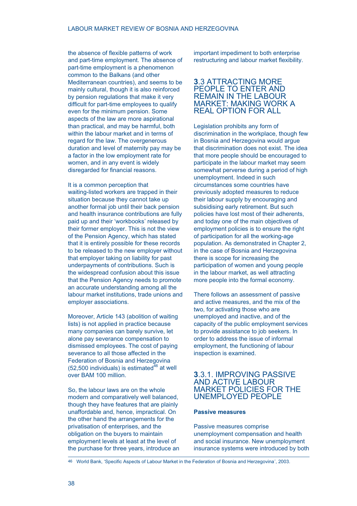the absence of flexible patterns of work and part-time employment. The absence of part-time employment is a phenomenon common to the Balkans (and other Mediterranean countries), and seems to be mainly cultural, though it is also reinforced by pension regulations that make it very difficult for part-time employees to qualify even for the minimum pension. Some aspects of the law are more aspirational than practical, and may be harmful, both within the labour market and in terms of regard for the law. The overgenerous duration and level of maternity pay may be a factor in the low employment rate for women, and in any event is widely disregarded for financial reasons.

It is a common perception that waiting-listed workers are trapped in their situation because they cannot take up another formal job until their back pension and health insurance contributions are fully paid up and their 'workbooks' released by their former employer. This is not the view of the Pension Agency, which has stated that it is entirely possible for these records to be released to the new employer without that employer taking on liability for past underpayments of contributions. Such is the widespread confusion about this issue that the Pension Agency needs to promote an accurate understanding among all the labour market institutions, trade unions and employer associations.

Moreover, Article 143 (abolition of waiting lists) is not applied in practice because many companies can barely survive, let alone pay severance compensation to dismissed employees. The cost of paying severance to all those affected in the Federation of Bosnia and Herzegovina  $(52,500$  individuals) is estimated<sup>46</sup> at well over BAM 100 million.

So, the labour laws are on the whole modern and comparatively well balanced, though they have features that are plainly unaffordable and, hence, impractical. On the other hand the arrangements for the privatisation of enterprises, and the obligation on the buyers to maintain employment levels at least at the level of the purchase for three years, introduce an important impediment to both enterprise restructuring and labour market flexibility.

# **3**.3 ATTRACTING MORE PEOPLE TO ENTER AND REMAIN IN THE LABOUR MARKET: MAKING WORK A REAL OPTION FOR ALL

Legislation prohibits any form of discrimination in the workplace, though few in Bosnia and Herzegovina would argue that discrimination does not exist. The idea that more people should be encouraged to participate in the labour market may seem somewhat perverse during a period of high unemployment. Indeed in such circumstances some countries have previously adopted measures to reduce their labour supply by encouraging and subsidising early retirement. But such policies have lost most of their adherents, and today one of the main objectives of employment policies is to ensure the right of participation for all the working-age population. As demonstrated in Chapter 2, in the case of Bosnia and Herzegovina there is scope for increasing the participation of women and young people in the labour market, as well attracting more people into the formal economy.

There follows an assessment of passive and active measures, and the mix of the two, for activating those who are unemployed and inactive, and of the capacity of the public employment services to provide assistance to job seekers. In order to address the issue of informal employment, the functioning of labour inspection is examined.

# **3**.3.1. IMPROVING PASSIVE AND ACTIVE LABOUR MARKET POLICIES FOR THE UNEMPLOYED PEOPLE

## **Passive measures**

Passive measures comprise unemployment compensation and health and social insurance. New unemployment insurance systems were introduced by both

46 World Bank, 'Specific Aspects of Labour Market in the Federation of Bosnia and Herzegovina', 2003.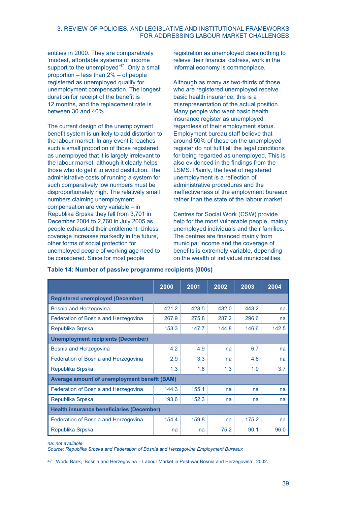# 3. REVIEW OF POLICIES, AND LEGISLATIVE AND INSTITUTIONAL FRAMEWORKS FOR ADDRESSING LABOUR MARKET CHALLENGES

entities in 2000. They are comparatively 'modest, affordable systems of income support to the unemployed'<sup>47</sup>. Only a small proportion – less than 2% – of people registered as unemployed qualify for unemployment compensation. The longest duration for receipt of the benefit is 12 months, and the replacement rate is between 30 and 40%.

The current design of the unemployment benefit system is unlikely to add distortion to the labour market. In any event it reaches such a small proportion of those registered as unemployed that it is largely irrelevant to the labour market, although it clearly helps those who do get it to avoid destitution. The administrative costs of running a system for such comparatively low numbers must be disproportionately high. The relatively small numbers claiming unemployment compensation are very variable – in Republika Srpska they fell from 3,701 in December 2004 to 2,760 in July 2005 as people exhausted their entitlement. Unless coverage increases markedly in the future, other forms of social protection for unemployed people of working age need to be considered. Since for most people

registration as unemployed does nothing to relieve their financial distress, work in the informal economy is commonplace.

Although as many as two-thirds of those who are registered unemployed receive basic health insurance, this is a misrepresentation of the actual position. Many people who want basic health insurance register as unemployed regardless of their employment status. Employment bureau staff believe that around 50% of those on the unemployed register do not fulfil all the legal conditions for being regarded as unemployed. This is also evidenced in the findings from the LSMS. Plainly, the level of registered unemployment is a reflection of administrative procedures and the ineffectiveness of the employment bureaux rather than the state of the labour market.

Centres for Social Work (CSW) provide help for the most vulnerable people, mainly unemployed individuals and their families. The centres are financed mainly from municipal income and the coverage of benefits is extremely variable, depending on the wealth of individual municipalities.

|                                                     | 2000  | 2001  | 2002  | 2003  | 2004  |
|-----------------------------------------------------|-------|-------|-------|-------|-------|
| <b>Registered unemployed (December)</b>             |       |       |       |       |       |
| Bosnia and Herzegovina                              | 421.2 | 423.5 | 432.0 | 443.2 | na    |
| Federation of Bosnia and Herzegovina                | 267.9 | 275.8 | 287.2 | 296.6 | na    |
| Republika Srpska                                    | 153.3 | 147.7 | 144.8 | 146.6 | 142.5 |
| <b>Unemployment recipients (December)</b>           |       |       |       |       |       |
| Bosnia and Herzegovina                              | 4.2   | 4.9   | na    | 6.7   | na    |
| Federation of Bosnia and Herzegovina                | 2.9   | 3.3   | na    | 4.8   | na    |
| Republika Srpska                                    | 1.3   | 1.6   | 1.3   | 1.9   | 3.7   |
| <b>Average amount of unemployment benefit (BAM)</b> |       |       |       |       |       |
| Federation of Bosnia and Herzegovina                | 144.3 | 155.1 | na    | na    | na    |
| Republika Srpska                                    | 193.6 | 152.3 | na    | na    | na    |
| <b>Health insurance beneficiaries (December)</b>    |       |       |       |       |       |
| Federation of Bosnia and Herzegovina                | 154.4 | 159.8 | na    | 175.2 | na    |
| Republika Srpska                                    | na    | na    | 75.2  | 90.1  | 96.0  |

## **Table 14: Number of passive programme recipients (000s)**

*na: not available*

*Source: Republika Srpska and Federation of Bosnia and Herzegovina Employment Bureaux*

47 World Bank, 'Bosnia and Herzegovina – Labour Market in Post-war Bosnia and Herzegovina', 2002.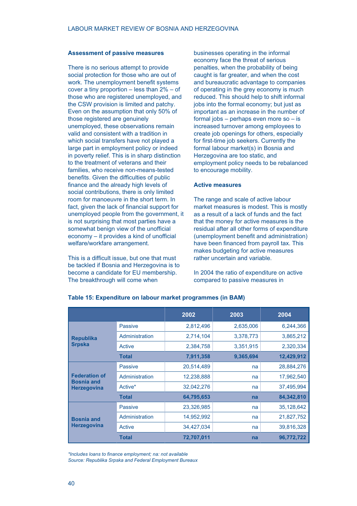#### **Assessment of passive measures**

There is no serious attempt to provide social protection for those who are out of work. The unemployment benefit systems cover a tiny proportion – less than 2% – of those who are registered unemployed, and the CSW provision is limited and patchy. Even on the assumption that only 50% of those registered are genuinely unemployed, these observations remain valid and consistent with a tradition in which social transfers have not played a large part in employment policy or indeed in poverty relief. This is in sharp distinction to the treatment of veterans and their families, who receive non-means-tested benefits. Given the difficulties of public finance and the already high levels of social contributions, there is only limited room for manoeuvre in the short term. In fact, given the lack of financial support for unemployed people from the government, it is not surprising that most parties have a somewhat benign view of the unofficial economy – it provides a kind of unofficial welfare/workfare arrangement.

This is a difficult issue, but one that must be tackled if Bosnia and Herzegovina is to become a candidate for EU membership. The breakthrough will come when

businesses operating in the informal economy face the threat of serious penalties, when the probability of being caught is far greater, and when the cost and bureaucratic advantage to companies of operating in the grey economy is much reduced. This should help to shift informal jobs into the formal economy; but just as important as an increase in the number of formal jobs – perhaps even more so – is increased turnover among employees to create job openings for others, especially for first-time job seekers. Currently the formal labour market(s) in Bosnia and Herzegovina are too static, and employment policy needs to be rebalanced to encourage mobility.

#### **Active measures**

The range and scale of active labour market measures is modest. This is mostly as a result of a lack of funds and the fact that the money for active measures is the residual after all other forms of expenditure (unemployment benefit and administration) have been financed from payroll tax. This makes budgeting for active measures rather uncertain and variable.

In 2004 the ratio of expenditure on active compared to passive measures in

|                                                                 |                | 2002       | 2003      | 2004       |
|-----------------------------------------------------------------|----------------|------------|-----------|------------|
| <b>Republika</b>                                                | <b>Passive</b> | 2,812,496  | 2,635,006 | 6,244,366  |
|                                                                 | Administration | 2,714,104  | 3,378,773 | 3,865,212  |
| <b>Srpska</b>                                                   | Active         | 2,384,758  | 3,351,915 | 2,320,334  |
|                                                                 | <b>Total</b>   | 7,911,358  | 9,365,694 | 12,429,912 |
| <b>Federation of</b><br><b>Bosnia and</b><br><b>Herzegovina</b> | <b>Passive</b> | 20,514,489 | na        | 28,884,276 |
|                                                                 | Administration | 12,238,888 | na        | 17,962,540 |
|                                                                 | Active*        | 32,042,276 | na        | 37,495,994 |
|                                                                 | <b>Total</b>   | 64,795,653 | na        | 84,342,810 |
|                                                                 | <b>Passive</b> | 23,326,985 | na        | 35,128,642 |
| <b>Bosnia and</b><br><b>Herzegovina</b>                         | Administration | 14,952,992 | na        | 21,827,752 |
|                                                                 | Active         | 34,427,034 | na        | 39,816,328 |
|                                                                 | <b>Total</b>   | 72,707,011 | na        | 96,772,722 |

#### **Table 15: Expenditure on labour market programmes (in BAM)**

*\*Includes loans to finance employment; na: not available Source: Republika Srpska and Federal Employment Bureaux*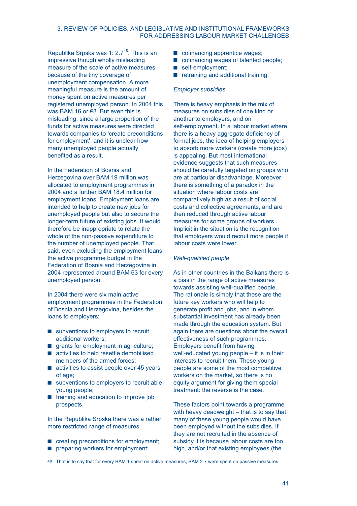# 3. REVIEW OF POLICIES, AND LEGISLATIVE AND INSTITUTIONAL FRAMEWORKS FOR ADDRESSING LABOUR MARKET CHALLENGES

Republika Srpska was 1:  $2.7<sup>48</sup>$ . This is an impressive though wholly misleading measure of the scale of active measures because of the tiny coverage of unemployment compensation. A more meaningful measure is the amount of money spent on active measures per registered unemployed person. In 2004 this was BAM 16 or €8. But even this is misleading, since a large proportion of the funds for active measures were directed towards companies to 'create preconditions for employment', and it is unclear how many unemployed people actually benefited as a result.

In the Federation of Bosnia and Herzegovina over BAM 19 million was allocated to employment programmes in 2004 and a further BAM 18.4 million for employment loans. Employment loans are intended to help to create new jobs for unemployed people but also to secure the longer-term future of existing jobs. It would therefore be inappropriate to relate the whole of the non-passive expenditure to the number of unemployed people. That said, even excluding the employment loans the active programme budget in the Federation of Bosnia and Herzegovina in 2004 represented around BAM 63 for every unemployed person.

In 2004 there were six main active employment programmes in the Federation of Bosnia and Herzegovina, besides the loans to employers:

- subventions to employers to recruit additional workers;
- **g** arants for employment in agriculture:
- activities to help resettle demobilised members of the armed forces;
- activities to assist people over 45 years of age;
- subventions to employers to recruit able young people;
- $\blacksquare$  training and education to improve job prospects.

In the Republika Srpska there was a rather more restricted range of measures:

- creating preconditions for employment;
- $\blacksquare$  preparing workers for employment;
- cofinancing apprentice wages;
- cofinancing wages of talented people;
- self-employment;
- retraining and additional training.

#### *Employer subsidies*

There is heavy emphasis in the mix of measures on subsidies of one kind or another to employers, and on self-employment. In a labour market where there is a heavy aggregate deficiency of formal jobs, the idea of helping employers to absorb more workers (create more jobs) is appealing. But most international evidence suggests that such measures should be carefully targeted on groups who are at particular disadvantage. Moreover, there is something of a paradox in the situation where labour costs are comparatively high as a result of social costs and collective agreements, and are then reduced through active labour measures for some groups of workers. Implicit in the situation is the recognition that employers would recruit more people if labour costs were lower.

#### *Well-qualified people*

As in other countries in the Balkans there is a bias in the range of active measures towards assisting well-qualified people. The rationale is simply that these are the future key workers who will help to generate profit and jobs, and in whom substantial investment has already been made through the education system. But again there are questions about the overall effectiveness of such programmes. Employers benefit from having well-educated young people – it is in their interests to recruit them. These young people are some of the most competitive workers on the market, so there is no equity argument for giving them special treatment: the reverse is the case.

These factors point towards a programme with heavy deadweight – that is to say that many of these young people would have been employed without the subsidies. If they are not recruited in the absence of subsidy it is because labour costs are too high, and/or that existing employees (the

<sup>48</sup> That is to say that for every BAM 1 spent on active measures, BAM 2.7 were spent on passive measures.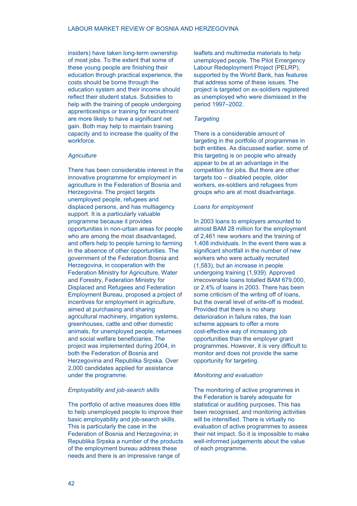insiders) have taken long-term ownership of most jobs. To the extent that some of these young people are finishing their education through practical experience, the costs should be borne through the education system and their income should reflect their student status. Subsidies to help with the training of people undergoing apprenticeships or training for recruitment are more likely to have a significant net gain. Both may help to maintain training capacity and to increase the quality of the workforce.

#### *Agriculture*

There has been considerable interest in the innovative programme for employment in agriculture in the Federation of Bosnia and Herzegovina. The project targets unemployed people, refugees and displaced persons, and has multiagency support. It is a particularly valuable programme because it provides opportunities in non-urban areas for people who are among the most disadvantaged. and offers help to people turning to farming in the absence of other opportunities. The government of the Federation Bosnia and Herzegovina, in cooperation with the Federation Ministry for Agriculture, Water and Forestry, Federation Ministry for Displaced and Refugees and Federation Employment Bureau, proposed a project of incentives for employment in agriculture, aimed at purchasing and sharing agricultural machinery, irrigation systems, greenhouses, cattle and other domestic animals, for unemployed people, returnees and social welfare beneficiaries. The project was implemented during 2004, in both the Federation of Bosnia and Herzegovina and Republika Srpska. Over 2,000 candidates applied for assistance under the programme.

#### *Employability and job-search skills*

The portfolio of active measures does little to help unemployed people to improve their basic employability and job-search skills. This is particularly the case in the Federation of Bosnia and Herzegovina; in Republika Srpska a number of the products of the employment bureau address these needs and there is an impressive range of

leaflets and multimedia materials to help unemployed people. The Pilot Emergency Labour Redeployment Project (PELRP), supported by the World Bank, has features that address some of these issues. The project is targeted on ex-soldiers registered as unemployed who were dismissed in the period 1997–2002.

#### *Targeting*

There is a considerable amount of targeting in the portfolio of programmes in both entities. As discussed earlier, some of this targeting is on people who already appear to be at an advantage in the competition for jobs. But there are other targets too – disabled people, older workers, ex-soldiers and refugees from groups who are at most disadvantage.

#### *Loans for employment*

In 2003 loans to employers amounted to almost BAM 28 million for the employment of 2,461 new workers and the training of 1,408 individuals. In the event there was a significant shortfall in the number of new workers who were actually recruited (1,583), but an increase in people undergoing training (1,939). Approved irrecoverable loans totalled BAM 679,000, or 2.4% of loans in 2003. There has been some criticism of the writing off of loans, but the overall level of write-off is modest. Provided that there is no sharp deterioration in failure rates, the loan scheme appears to offer a more cost-effective way of increasing job opportunities than the employer grant programmes. However, it is very difficult to monitor and does not provide the same opportunity for targeting.

#### *Monitoring and evaluation*

The monitoring of active programmes in the Federation is barely adequate for statistical or auditing purposes. This has been recognised, and monitoring activities will be intensified. There is virtually no evaluation of active programmes to assess their net impact. So it is impossible to make well-informed judgements about the value of each programme.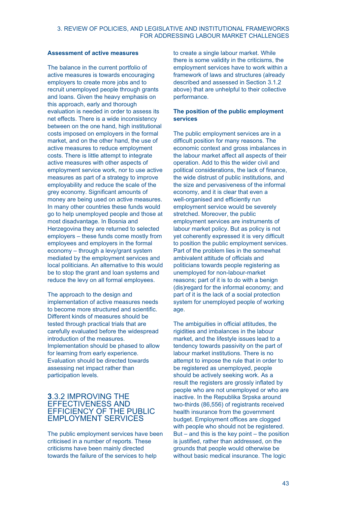## **Assessment of active measures**

The balance in the current portfolio of active measures is towards encouraging employers to create more jobs and to recruit unemployed people through grants and loans. Given the heavy emphasis on this approach, early and thorough evaluation is needed in order to assess its net effects. There is a wide inconsistency between on the one hand, high institutional costs imposed on employers in the formal market, and on the other hand, the use of active measures to reduce employment costs. There is little attempt to integrate active measures with other aspects of employment service work, nor to use active measures as part of a strategy to improve employability and reduce the scale of the grey economy. Significant amounts of money are being used on active measures. In many other countries these funds would go to help unemployed people and those at most disadvantage. In Bosnia and Herzegovina they are returned to selected employers – these funds come mostly from employees and employers in the formal economy – through a levy/grant system mediated by the employment services and local politicians. An alternative to this would be to stop the grant and loan systems and reduce the levy on all formal employees.

The approach to the design and implementation of active measures needs to become more structured and scientific. Different kinds of measures should be tested through practical trials that are carefully evaluated before the widespread introduction of the measures. Implementation should be phased to allow for learning from early experience. Evaluation should be directed towards assessing net impact rather than participation levels.

# **3**.3.2 IMPROVING THE EFFECTIVENESS AND EFFICIENCY OF THE PUBLIC EMPLOYMENT SERVICES

The public employment services have been criticised in a number of reports. These criticisms have been mainly directed towards the failure of the services to help

to create a single labour market. While there is some validity in the criticisms, the employment services have to work within a framework of laws and structures (already described and assessed in Section 3.1.2 above) that are unhelpful to their collective performance.

# **The position of the public employment services**

The public employment services are in a difficult position for many reasons. The economic context and gross imbalances in the labour market affect all aspects of their operation. Add to this the wider civil and political considerations, the lack of finance, the wide distrust of public institutions, and the size and pervasiveness of the informal economy, and it is clear that even a well-organised and efficiently run employment service would be severely stretched. Moreover, the public employment services are instruments of labour market policy. But as policy is not yet coherently expressed it is very difficult to position the public employment services. Part of the problem lies in the somewhat ambivalent attitude of officials and politicians towards people registering as unemployed for non-labour-market reasons; part of it is to do with a benign (dis)regard for the informal economy; and part of it is the lack of a social protection system for unemployed people of working age.

The ambiguities in official attitudes, the rigidities and imbalances in the labour market, and the lifestyle issues lead to a tendency towards passivity on the part of labour market institutions. There is no attempt to impose the rule that in order to be registered as unemployed, people should be actively seeking work. As a result the registers are grossly inflated by people who are not unemployed or who are inactive. In the Republika Srpska around two-thirds (86,556) of registrants received health insurance from the government budget. Employment offices are clogged with people who should not be registered. But – and this is the key point – the position is justified, rather than addressed, on the grounds that people would otherwise be without basic medical insurance. The logic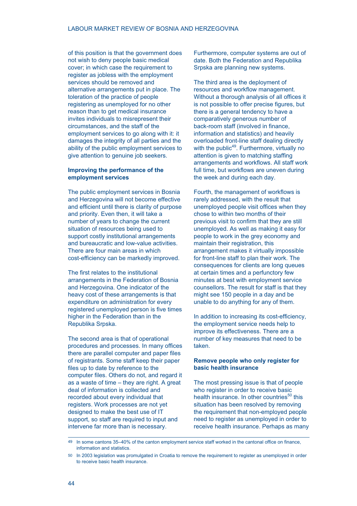of this position is that the government does not wish to deny people basic medical cover; in which case the requirement to register as jobless with the employment services should be removed and alternative arrangements put in place. The toleration of the practice of people registering as unemployed for no other reason than to get medical insurance invites individuals to misrepresent their circumstances, and the staff of the employment services to go along with it: it damages the integrity of all parties and the ability of the public employment services to give attention to genuine job seekers.

# **Improving the performance of the employment services**

The public employment services in Bosnia and Herzegovina will not become effective and efficient until there is clarity of purpose and priority. Even then, it will take a number of years to change the current situation of resources being used to support costly institutional arrangements and bureaucratic and low-value activities. There are four main areas in which cost-efficiency can be markedly improved.

The first relates to the institutional arrangements in the Federation of Bosnia and Herzegovina. One indicator of the heavy cost of these arrangements is that expenditure on administration for every registered unemployed person is five times higher in the Federation than in the Republika Srpska.

The second area is that of operational procedures and processes. In many offices there are parallel computer and paper files of registrants. Some staff keep their paper files up to date by reference to the computer files. Others do not, and regard it as a waste of time – they are right. A great deal of information is collected and recorded about every individual that registers. Work processes are not yet designed to make the best use of IT support, so staff are required to input and intervene far more than is necessary.

Furthermore, computer systems are out of date. Both the Federation and Republika Srpska are planning new systems.

The third area is the deployment of resources and workflow management. Without a thorough analysis of all offices it is not possible to offer precise figures, but there is a general tendency to have a comparatively generous number of back-room staff (involved in finance, information and statistics) and heavily overloaded front-line staff dealing directly with the public<sup>49</sup>. Furthermore, virtually no attention is given to matching staffing arrangements and workflows. All staff work full time, but workflows are uneven during the week and during each day.

Fourth, the management of workflows is rarely addressed, with the result that unemployed people visit offices when they chose to within two months of their previous visit to confirm that they are still unemployed. As well as making it easy for people to work in the grey economy and maintain their registration, this arrangement makes it virtually impossible for front-line staff to plan their work. The consequences for clients are long queues at certain times and a perfunctory few minutes at best with employment service counsellors. The result for staff is that they might see 150 people in a day and be unable to do anything for any of them.

In addition to increasing its cost-efficiency, the employment service needs help to improve its effectiveness. There are a number of key measures that need to be taken.

## **Remove people who only register for basic health insurance**

The most pressing issue is that of people who register in order to receive basic health insurance. In other countries<sup>50</sup> this situation has been resolved by removing the requirement that non-employed people need to register as unemployed in order to receive health insurance. Perhaps as many

<sup>49</sup> In some cantons 35–40% of the canton employment service staff worked in the cantonal office on finance, information and statistics.

<sup>50</sup> In 2003 legislation was promulgated in Croatia to remove the requirement to register as unemployed in order to receive basic health insurance.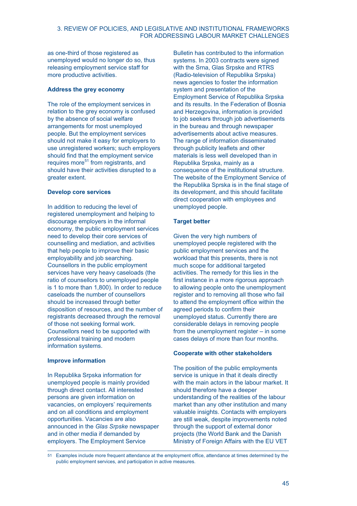# 3. REVIEW OF POLICIES, AND LEGISLATIVE AND INSTITUTIONAL FRAMEWORKS FOR ADDRESSING LABOUR MARKET CHALLENGES

as one-third of those registered as unemployed would no longer do so, thus releasing employment service staff for more productive activities.

## **Address the grey economy**

The role of the employment services in relation to the grey economy is confused by the absence of social welfare arrangements for most unemployed people. But the employment services should not make it easy for employers to use unregistered workers; such employers should find that the employment service requires more $51$  from registrants, and should have their activities disrupted to a greater extent.

## **Develop core services**

In addition to reducing the level of registered unemployment and helping to discourage employers in the informal economy, the public employment services need to develop their core services of counselling and mediation, and activities that help people to improve their basic employability and job searching. Counsellors in the public employment services have very heavy caseloads (the ratio of counsellors to unemployed people is 1 to more than 1,800). In order to reduce caseloads the number of counsellors should be increased through better disposition of resources, and the number of registrants decreased through the removal of those not seeking formal work. Counsellors need to be supported with professional training and modern information systems.

# **Improve information**

In Republika Srpska information for unemployed people is mainly provided through direct contact. All interested persons are given information on vacancies, on employers' requirements and on all conditions and employment opportunities. Vacancies are also announced in the *Glas Srpske* newspaper and in other media if demanded by employers. The Employment Service

Bulletin has contributed to the information systems. In 2003 contracts were signed with the Srna, Glas Srpske and RTRS (Radio-television of Republika Srpska) news agencies to foster the information system and presentation of the Employment Service of Republika Srpska and its results. In the Federation of Bosnia and Herzegovina, information is provided to job seekers through job advertisements in the bureau and through newspaper advertisements about active measures. The range of information disseminated through publicity leaflets and other materials is less well developed than in Republika Srpska, mainly as a consequence of the institutional structure. The website of the Employment Service of the Republika Sprska is in the final stage of its development, and this should facilitate direct cooperation with employees and unemployed people.

# **Target better**

Given the very high numbers of unemployed people registered with the public employment services and the workload that this presents, there is not much scope for additional targeted activities. The remedy for this lies in the first instance in a more rigorous approach to allowing people onto the unemployment register and to removing all those who fail to attend the employment office within the agreed periods to confirm their unemployed status. Currently there are considerable delays in removing people from the unemployment register – in some cases delays of more than four months.

# **Cooperate with other stakeholders**

The position of the public employments service is unique in that it deals directly with the main actors in the labour market. It should therefore have a deeper understanding of the realities of the labour market than any other institution and many valuable insights. Contacts with employers are still weak, despite improvements noted through the support of external donor projects (the World Bank and the Danish Ministry of Foreign Affairs with the EU VET

Examples include more frequent attendance at the employment office, attendance at times determined by the public employment services, and participation in active measures.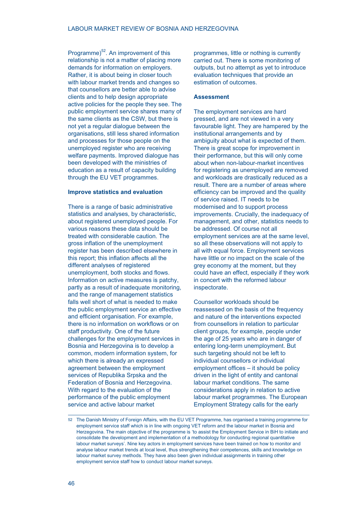Programme) $52$ . An improvement of this relationship is not a matter of placing more demands for information on employers. Rather, it is about being in closer touch with labour market trends and changes so that counsellors are better able to advise clients and to help design appropriate active policies for the people they see. The public employment service shares many of the same clients as the CSW, but there is not yet a regular dialogue between the organisations, still less shared information and processes for those people on the unemployed register who are receiving welfare payments. Improved dialogue has been developed with the ministries of education as a result of capacity building through the EU VET programmes.

#### **Improve statistics and evaluation**

There is a range of basic administrative statistics and analyses, by characteristic, about registered unemployed people. For various reasons these data should be treated with considerable caution. The gross inflation of the unemployment register has been described elsewhere in this report; this inflation affects all the different analyses of registered unemployment, both stocks and flows. Information on active measures is patchy, partly as a result of inadequate monitoring, and the range of management statistics falls well short of what is needed to make the public employment service an effective and efficient organisation. For example, there is no information on workflows or on staff productivity. One of the future challenges for the employment services in Bosnia and Herzegovina is to develop a common, modern information system, for which there is already an expressed agreement between the employment services of Republika Srpska and the Federation of Bosnia and Herzegovina. With regard to the evaluation of the performance of the public employment service and active labour market

programmes, little or nothing is currently carried out. There is some monitoring of outputs, but no attempt as yet to introduce evaluation techniques that provide an estimation of outcomes.

#### **Assessment**

The employment services are hard pressed, and are not viewed in a very favourable light. They are hampered by the institutional arrangements and by ambiguity about what is expected of them. There is great scope for improvement in their performance, but this will only come about when non-labour-market incentives for registering as unemployed are removed and workloads are drastically reduced as a result. There are a number of areas where efficiency can be improved and the quality of service raised. IT needs to be modernised and to support process improvements. Crucially, the inadequacy of management, and other, statistics needs to be addressed. Of course not all employment services are at the same level, so all these observations will not apply to all with equal force. Employment services have little or no impact on the scale of the grey economy at the moment, but they could have an effect, especially if they work in concert with the reformed labour inspectorate.

Counsellor workloads should be reassessed on the basis of the frequency and nature of the interventions expected from counsellors in relation to particular client groups, for example, people under the age of 25 years who are in danger of entering long-term unemployment. But such targeting should not be left to individual counsellors or individual employment offices – it should be policy driven in the light of entity and cantonal labour market conditions. The same considerations apply in relation to active labour market programmes. The European Employment Strategy calls for the early

<sup>52</sup> The Danish Ministry of Foreign Affairs, with the EU VET Programme, has organised a training programme for employment service staff which is in line with ongoing VET reform and the labour market in Bosnia and Herzegovina. The main objective of the programme is 'to assist the Employment Service in BiH to initiate and consolidate the development and implementation of a methodology for conducting regional quantitative labour market surveys'. Nine key actors in employment services have been trained on how to monitor and analyse labour market trends at local level, thus strengthening their competences, skills and knowledge on labour market survey methods. They have also been given individual assignments in training other employment service staff how to conduct labour market surveys.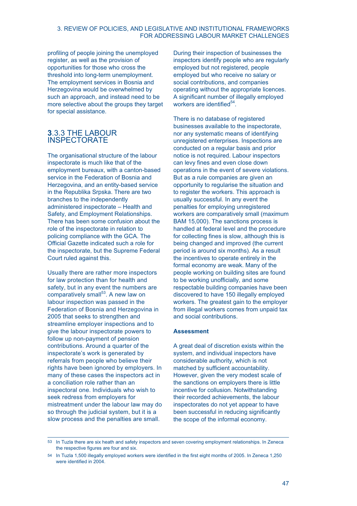# 3. REVIEW OF POLICIES, AND LEGISLATIVE AND INSTITUTIONAL FRAMEWORKS FOR ADDRESSING LABOUR MARKET CHALLENGES

profiling of people joining the unemployed register, as well as the provision of opportunities for those who cross the threshold into long-term unemployment. The employment services in Bosnia and Herzegovina would be overwhelmed by such an approach, and instead need to be more selective about the groups they target for special assistance.

# **3**.3.3 THE LABOUR INSPECTORATE

The organisational structure of the labour inspectorate is much like that of the employment bureaux, with a canton-based service in the Federation of Bosnia and Herzegovina, and an entity-based service in the Republika Srpska. There are two branches to the independently administered inspectorate – Health and Safety, and Employment Relationships. There has been some confusion about the role of the inspectorate in relation to policing compliance with the GCA. The Official Gazette indicated such a role for the inspectorate, but the Supreme Federal Court ruled against this.

Usually there are rather more inspectors for law protection than for health and safety, but in any event the numbers are comparatively small<sup>53</sup>. A new law on labour inspection was passed in the Federation of Bosnia and Herzegovina in 2005 that seeks to strengthen and streamline employer inspections and to give the labour inspectorate powers to follow up non-payment of pension contributions. Around a quarter of the inspectorate's work is generated by referrals from people who believe their rights have been ignored by employers. In many of these cases the inspectors act in a conciliation role rather than an inspectoral one. Individuals who wish to seek redress from employers for mistreatment under the labour law may do so through the judicial system, but it is a slow process and the penalties are small.

During their inspection of businesses the inspectors identify people who are regularly employed but not registered, people employed but who receive no salary or social contributions, and companies operating without the appropriate licences. A significant number of illegally employed workers are identified<sup>54</sup>.

There is no database of registered businesses available to the inspectorate, nor any systematic means of identifying unregistered enterprises. Inspections are conducted on a regular basis and prior notice is not required. Labour inspectors can levy fines and even close down operations in the event of severe violations. But as a rule companies are given an opportunity to regularise the situation and to register the workers. This approach is usually successful. In any event the penalties for employing unregistered workers are comparatively small (maximum BAM 15,000). The sanctions process is handled at federal level and the procedure for collecting fines is slow, although this is being changed and improved (the current period is around six months). As a result the incentives to operate entirely in the formal economy are weak. Many of the people working on building sites are found to be working unofficially, and some respectable building companies have been discovered to have 150 illegally employed workers. The greatest gain to the employer from illegal workers comes from unpaid tax and social contributions.

## **Assessment**

A great deal of discretion exists within the system, and individual inspectors have considerable authority, which is not matched by sufficient accountability. However, given the very modest scale of the sanctions on employers there is little incentive for collusion. Notwithstanding their recorded achievements, the labour inspectorates do not yet appear to have been successful in reducing significantly the scope of the informal economy.

<sup>53</sup> In Tuzla there are six heath and safety inspectors and seven covering employment relationships. In Zeneca the respective figures are four and six.

<sup>54</sup> In Tuzla 1,500 illegally employed workers were identified in the first eight months of 2005. In Zeneca 1,250 were identified in 2004.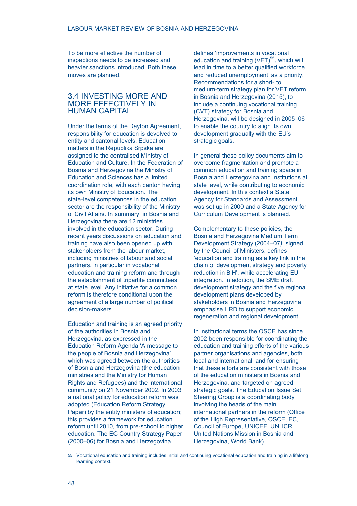To be more effective the number of inspections needs to be increased and heavier sanctions introduced. Both these moves are planned.

# **3**.4 INVESTING MORE AND MORE EFFECTIVELY IN HUMAN CAPITAL

Under the terms of the Dayton Agreement, responsibility for education is devolved to entity and cantonal levels. Education matters in the Republika Srpska are assigned to the centralised Ministry of Education and Culture. In the Federation of Bosnia and Herzegovina the Ministry of Education and Sciences has a limited coordination role, with each canton having its own Ministry of Education. The state-level competences in the education sector are the responsibility of the Ministry of Civil Affairs. In summary, in Bosnia and Herzegovina there are 12 ministries involved in the education sector. During recent years discussions on education and training have also been opened up with stakeholders from the labour market, including ministries of labour and social partners, in particular in vocational education and training reform and through the establishment of tripartite committees at state level. Any initiative for a common reform is therefore conditional upon the agreement of a large number of political decision-makers.

Education and training is an agreed priority of the authorities in Bosnia and Herzegovina, as expressed in the Education Reform Agenda 'A message to the people of Bosnia and Herzegovina', which was agreed between the authorities of Bosnia and Herzegovina (the education ministries and the Ministry for Human Rights and Refugees) and the international community on 21 November 2002. In 2003 a national policy for education reform was adopted (Education Reform Strategy Paper) by the entity ministers of education; this provides a framework for education reform until 2010, from pre-school to higher education. The EC Country Strategy Paper (2000–06) for Bosnia and Herzegovina

defines 'improvements in vocational education and training  $(VET)^{55}$ , which will lead in time to a better qualified workforce and reduced unemployment' as a priority. Recommendations for a short- to medium-term strategy plan for VET reform in Bosnia and Herzegovina (2015), to include a continuing vocational training (CVT) strategy for Bosnia and Herzegovina, will be designed in 2005–06 to enable the country to align its own development gradually with the EU's strategic goals.

In general these policy documents aim to overcome fragmentation and promote a common education and training space in Bosnia and Herzegovina and institutions at state level, while contributing to economic development. In this context a State Agency for Standards and Assessment was set up in 2000 and a State Agency for Curriculum Development is planned.

Complementary to these policies, the Bosnia and Herzegovina Medium Term Development Strategy (2004–07*),* signed by the Council of Ministers, defines 'education and training as a key link in the chain of development strategy and poverty reduction in BiH', while accelerating EU integration. In addition, the SME draft development strategy and the five regional development plans developed by stakeholders in Bosnia and Herzegovina emphasise HRD to support economic regeneration and regional development.

In institutional terms the OSCE has since 2002 been responsible for coordinating the education and training efforts of the various partner organisations and agencies, both local and international, and for ensuring that these efforts are consistent with those of the education ministers in Bosnia and Herzegovina, and targeted on agreed strategic goals. The Education Issue Set Steering Group is a coordinating body involving the heads of the main international partners in the reform (Office of the High Representative, OSCE, EC, Council of Europe, UNICEF, UNHCR, United Nations Mission in Bosnia and Herzegovina, World Bank).

<sup>55</sup> Vocational education and training includes initial and continuing vocational education and training in a lifelong learning context.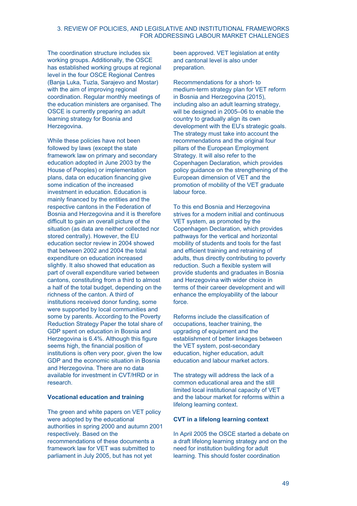## 3. REVIEW OF POLICIES, AND LEGISLATIVE AND INSTITUTIONAL FRAMEWORKS FOR ADDRESSING LABOUR MARKET CHALLENGES

The coordination structure includes six working groups. Additionally, the OSCE has established working groups at regional level in the four OSCE Regional Centres (Banja Luka, Tuzla, Sarajevo and Mostar) with the aim of improving regional coordination. Regular monthly meetings of the education ministers are organised. The OSCE is currently preparing an adult learning strategy for Bosnia and Herzegovina.

While these policies have not been followed by laws (except the state framework law on primary and secondary education adopted in June 2003 by the House of Peoples) or implementation plans, data on education financing give some indication of the increased investment in education. Education is mainly financed by the entities and the respective cantons in the Federation of Bosnia and Herzegovina and it is therefore difficult to gain an overall picture of the situation (as data are neither collected nor stored centrally). However, the EU education sector review in 2004 showed that between 2002 and 2004 the total expenditure on education increased slightly. It also showed that education as part of overall expenditure varied between cantons, constituting from a third to almost a half of the total budget, depending on the richness of the canton. A third of institutions received donor funding, some were supported by local communities and some by parents. According to the Poverty Reduction Strategy Paper the total share of GDP spent on education in Bosnia and Herzegovina is 6.4%. Although this figure seems high, the financial position of institutions is often very poor, given the low GDP and the economic situation in Bosnia and Herzegovina. There are no data available for investment in CVT/HRD or in research.

## **Vocational education and training**

The green and white papers on VET policy were adopted by the educational authorities in spring 2000 and autumn 2001 respectively. Based on the recommendations of these documents a framework law for VET was submitted to parliament in July 2005, but has not yet

been approved. VET legislation at entity and cantonal level is also under preparation.

Recommendations for a short- to medium-term strategy plan for VET reform in Bosnia and Herzegovina (2015), including also an adult learning strategy, will be designed in 2005–06 to enable the country to gradually align its own development with the EU's strategic goals. The strategy must take into account the recommendations and the original four pillars of the European Employment Strategy. It will also refer to the Copenhagen Declaration, which provides policy guidance on the strengthening of the European dimension of VET and the promotion of mobility of the VET graduate labour force.

To this end Bosnia and Herzegovina strives for a modern initial and continuous VET system, as promoted by the Copenhagen Declaration, which provides pathways for the vertical and horizontal mobility of students and tools for the fast and efficient training and retraining of adults, thus directly contributing to poverty reduction. Such a flexible system will provide students and graduates in Bosnia and Herzegovina with wider choice in terms of their career development and will enhance the employability of the labour force.

Reforms include the classification of occupations, teacher training, the upgrading of equipment and the establishment of better linkages between the VET system, post-secondary education, higher education, adult education and labour market actors.

The strategy will address the lack of a common educational area and the still limited local institutional capacity of VET and the labour market for reforms within a lifelong learning context.

#### **CVT in a lifelong learning context**

In April 2005 the OSCE started a debate on a draft lifelong learning strategy and on the need for institution building for adult learning. This should foster coordination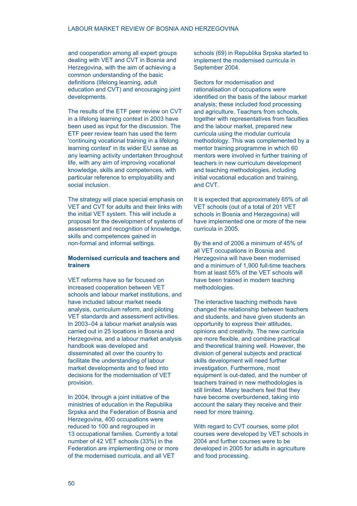and cooperation among all expert groups dealing with VET and CVT in Bosnia and Herzegovina, with the aim of achieving a common understanding of the basic definitions (lifelong learning, adult education and CVT) and encouraging joint developments.

The results of the ETF peer review on CVT in a lifelong learning context in 2003 have been used as input for the discussion. The ETF peer review team has used the term 'continuing vocational training in a lifelong learning context' in its wider EU sense as any learning activity undertaken throughout life, with any aim of improving vocational knowledge, skills and competences, with particular reference to employability and social inclusion.

The strategy will place special emphasis on VET and CVT for adults and their links with the initial VET system. This will include a proposal for the development of systems of assessment and recognition of knowledge, skills and competences gained in non-formal and informal settings.

# **Modernised curricula and teachers and trainers**

VET reforms have so far focused on increased cooperation between VET schools and labour market institutions, and have included labour market needs analysis, curriculum reform, and piloting VET standards and assessment activities. In 2003–04 a labour market analysis was carried out in 25 locations in Bosnia and Herzegovina, and a labour market analysis handbook was developed and disseminated all over the country to facilitate the understanding of labour market developments and to feed into decisions for the modernisation of VET provision.

In 2004, through a joint initiative of the ministries of education in the Republika Srpska and the Federation of Bosnia and Herzegovina, 400 occupations were reduced to 100 and regrouped in 13 occupational families. Currently a total number of 42 VET schools (33%) in the Federation are implementing one or more of the modernised curricula, and all VET

schools (69) in Republika Srpska started to implement the modernised curricula in September 2004.

Sectors for modernisation and rationalisation of occupations were identified on the basis of the labour market analysis; these included food processing and agriculture. Teachers from schools, together with representatives from faculties and the labour market, prepared new curricula using the modular curricula methodology. This was complemented by a mentor training programme in which 60 mentors were involved in further training of teachers in new curriculum development and teaching methodologies, including initial vocational education and training, and CVT.

It is expected that approximately 65% of all VET schools (out of a total of 201 VET schools in Bosnia and Herzegovina) will have implemented one or more of the new curricula in 2005.

By the end of 2006 a minimum of 45% of all VET occupations in Bosnia and Herzegovina will have been modernised and a minimum of 1,900 full-time teachers from at least 55% of the VET schools will have been trained in modern teaching methodologies.

The interactive teaching methods have changed the relationship between teachers and students, and have given students an opportunity to express their attitudes, opinions and creativity. The new curricula are more flexible, and combine practical and theoretical training well. However, the division of general subjects and practical skills development will need further investigation. Furthermore, most equipment is out-dated, and the number of teachers trained in new methodologies is still limited. Many teachers feel that they have become overburdened, taking into account the salary they receive and their need for more training.

With regard to CVT courses, some pilot courses were developed by VET schools in 2004 and further courses were to be developed in 2005 for adults in agriculture and food processing.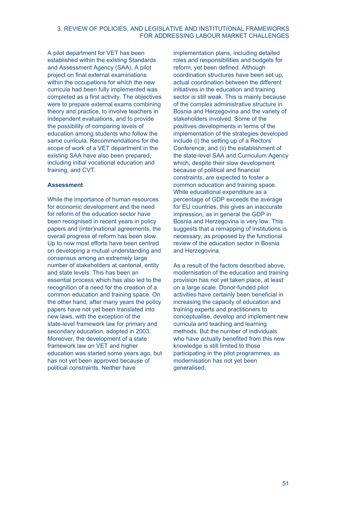## 3. REVIEW OF POLICIES, AND LEGISLATIVE AND INSTITUTIONAL FRAMEWORKS FOR ADDRESSING LABOUR MARKET CHALLENGES

A pilot department for VET has been established within the existing Standards and Assessment Agency (SAA). A pilot project on final external examinations within the occupations for which the new curricula had been fully implemented was completed as a first activity. The objectives were to prepare external exams combining theory and practice, to involve teachers in independent evaluations, and to provide the possibility of comparing levels of education among students who follow the same curricula. Recommendations for the scope of work of a VET department in the existing SAA have also been prepared, including initial vocational education and training, and CVT.

## **Assessment**

While the importance of human resources for economic development and the need for reform of the education sector have been recognised in recent years in policy papers and (inter)national agreements, the overall progress of reform has been slow. Up to now most efforts have been centred on developing a mutual understanding and consensus among an extremely large number of stakeholders at cantonal, entity and state levels. This has been an essential process which has also led to the recognition of a need for the creation of a common education and training space. On the other hand, after many years the policy papers have not yet been translated into new laws, with the exception of the state-level framework law for primary and secondary education, adopted in 2003. Moreover, the development of a state framework law on VET and higher education was started some years ago, but has not yet been approved because of political constraints. Neither have

implementation plans, including detailed roles and responsibilities and budgets for reform, yet been defined. Although coordination structures have been set up, actual coordination between the different initiatives in the education and training sector is still weak. This is mainly because of the complex administrative structure in Bosnia and Herzegovina and the variety of stakeholders involved. Some of the positives developments in terms of the implementation of the strategies developed include (i) the setting up of a Rectors' Conference; and (ii) the establishment of the state-level SAA and Curriculum Agency which, despite their slow development because of political and financial constraints, are expected to foster a common education and training space. While educational expenditure as a percentage of GDP exceeds the average for EU countries, this gives an inaccurate impression, as in general the GDP in Bosnia and Herzegovina is very low. This suggests that a remapping of institutions is necessary, as proposed by the functional review of the education sector in Bosnia and Herzegovina.

As a result of the factors described above, modernisation of the education and training provision has not yet taken place, at least on a large scale. Donor-funded pilot activities have certainly been beneficial in increasing the capacity of education and training experts and practitioners to conceptualise, develop and implement new curricula and teaching and learning methods. But the number of individuals who have actually benefited from this new knowledge is still limited to those participating in the pilot programmes, as modernisation has not yet been generalised.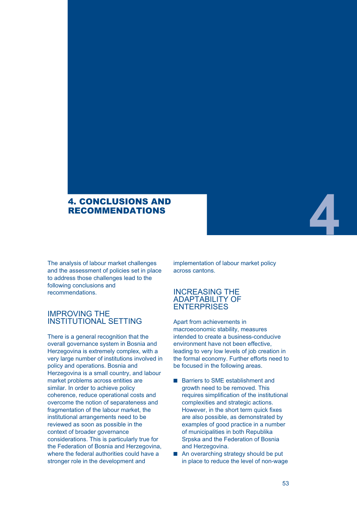# 4. CONCLUSIONS AND RECOMMENDATIONS

The analysis of labour market challenges and the assessment of policies set in place to address those challenges lead to the following conclusions and recommendations.

# IMPROVING THE INSTITUTIONAL SETTING

There is a general recognition that the overall governance system in Bosnia and Herzegovina is extremely complex, with a very large number of institutions involved in policy and operations. Bosnia and Herzegovina is a small country, and labour market problems across entities are similar. In order to achieve policy coherence, reduce operational costs and overcome the notion of separateness and fragmentation of the labour market, the institutional arrangements need to be reviewed as soon as possible in the context of broader governance considerations. This is particularly true for the Federation of Bosnia and Herzegovina, where the federal authorities could have a stronger role in the development and

implementation of labour market policy across cantons.

# INCREASING THE ADAPTABILITY OF **ENTERPRISES**

Apart from achievements in macroeconomic stability, measures intended to create a business-conducive environment have not been effective, leading to very low levels of job creation in the formal economy. Further efforts need to be focused in the following areas.

- Barriers to SME establishment and growth need to be removed. This requires simplification of the institutional complexities and strategic actions. However, in the short term quick fixes are also possible, as demonstrated by examples of good practice in a number of municipalities in both Republika Srpska and the Federation of Bosnia and Herzegovina.
- An overarching strategy should be put in place to reduce the level of non-wage

**4**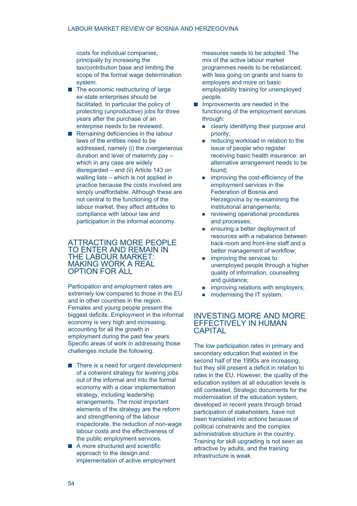costs for individual companies, principally by increasing the tax/contribution base and limiting the scope of the formal wage determination system.

- $\blacksquare$  The economic restructuring of large ex-state enterprises should be facilitated. In particular the policy of protecting (unproductive) jobs for three years after the purchase of an enterprise needs to be reviewed.
- Remaining deficiencies in the labour laws of the entities need to be addressed, namely (i) the overgenerous duration and level of maternity pay – which in any case are widely disregarded – and (ii) Article 143 on waiting lists – which is not applied in practice because the costs involved are simply unaffordable. Although these are not central to the functioning of the labour market, they affect attitudes to compliance with labour law and participation in the informal economy.

# ATTRACTING MORE PEOPLE TO ENTER AND REMAIN IN THE LABOUR MARKET: MAKING WORK A REAL OPTION FOR ALL

Participation and employment rates are extremely low compared to those in the EU and in other countries in the region. Females and young people present the biggest deficits. Employment in the informal economy is very high and increasing, accounting for all the growth in employment during the past few years. Specific areas of work in addressing those challenges include the following.

- There is a need for urgent development of a coherent strategy for levering jobs out of the informal and into the formal economy with a clear implementation strategy, including leadership arrangements. The most important elements of the strategy are the reform and strengthening of the labour inspectorate, the reduction of non-wage labour costs and the effectiveness of the public employment services.
- A more structured and scientific approach to the design and implementation of active employment

measures needs to be adopted. The mix of the active labour market programmes needs to be rebalanced, with less going on grants and loans to employers and more on basic employability training for unemployed people.

- Improvements are needed in the functioning of the employment services through:
	- **Example 2** clearly identifying their purpose and priority;
	- reducing workload in relation to the issue of people who register receiving basic health insurance: an alternative arrangement needs to be found;
	- **improving the cost-efficiency of the** employment services in the Federation of Bosnia and Herzegovina by re-examining the institutional arrangements;
	- **Fig. 2** reviewing operational procedures and processes;
	- **EXECUTE:** ensuring a better deployment of resources with a rebalance between back-room and front-line staff and a better management of workflow;
	- **n** improving the services to unemployed people through a higher quality of information, counselling and guidance;
	- **improving relations with employers;**
	- **modernising the IT system.**

# INVESTING MORE AND MORE EFFECTIVELY IN HUMAN **CAPITAL**

The low participation rates in primary and secondary education that existed in the second half of the 1990s are increasing, but they still present a deficit in relation to rates in the EU. However, the quality of the education system at all education levels is still contested. Strategic documents for the modernisation of the education system, developed in recent years through broad participation of stakeholders, have not been translated into actions because of political constraints and the complex administrative structure in the country. Training for skill upgrading is not seen as attractive by adults, and the training infrastructure is weak.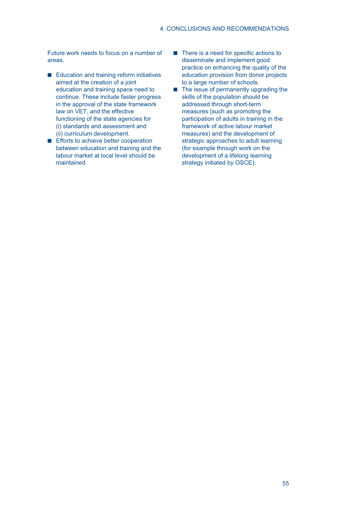Future work needs to focus on a number of areas.

- Education and training reform initiatives aimed at the creation of a joint education and training space need to continue. These include faster progress in the approval of the state framework law on VET, and the effective functioning of the state agencies for (i) standards and assessment and (ii) curriculum development.
- **Efforts to achieve better cooperation** between education and training and the labour market at local level should be maintained.
- There is a need for specific actions to disseminate and implement good practice on enhancing the quality of the education provision from donor projects to a large number of schools.
- The issue of permanently upgrading the skills of the population should be addressed through short-term measures (such as promoting the participation of adults in training in the framework of active labour market measures) and the development of strategic approaches to adult learning (for example through work on the development of a lifelong learning strategy initiated by OSCE).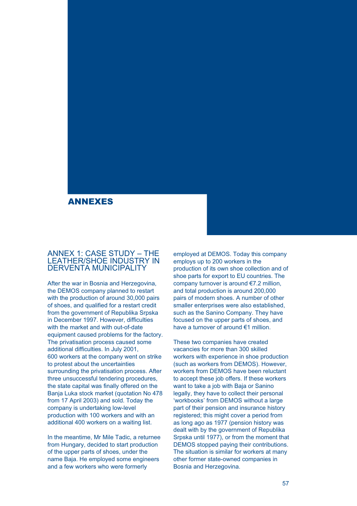# ANNEXES

# ANNEX 1: CASE STUDY – THE LEATHER/SHOE INDUSTRY IN DERVENTA MUNICIPALITY

After the war in Bosnia and Herzegovina, the DEMOS company planned to restart with the production of around 30,000 pairs of shoes, and qualified for a restart credit from the government of Republika Srpska in December 1997. However, difficulties with the market and with out-of-date equipment caused problems for the factory. The privatisation process caused some additional difficulties. In July 2001, 600 workers at the company went on strike to protest about the uncertainties surrounding the privatisation process. After three unsuccessful tendering procedures, the state capital was finally offered on the Banja Luka stock market (quotation No 478 from 17 April 2003) and sold. Today the company is undertaking low-level production with 100 workers and with an additional 400 workers on a waiting list.

In the meantime, Mr Mile Tadic, a returnee from Hungary, decided to start production of the upper parts of shoes, under the name Baja. He employed some engineers and a few workers who were formerly

employed at DEMOS. Today this company employs up to 200 workers in the production of its own shoe collection and of shoe parts for export to EU countries. The company turnover is around €7.2 million, and total production is around 200,000 pairs of modern shoes. A number of other smaller enterprises were also established, such as the Sanino Company. They have focused on the upper parts of shoes, and have a turnover of around €1 million.

These two companies have created vacancies for more than 300 skilled workers with experience in shoe production (such as workers from DEMOS). However, workers from DEMOS have been reluctant to accept these job offers. If these workers want to take a job with Baja or Sanino legally, they have to collect their personal 'workbooks' from DEMOS without a large part of their pension and insurance history registered; this might cover a period from as long ago as 1977 (pension history was dealt with by the government of Republika Srpska until 1977), or from the moment that DEMOS stopped paying their contributions. The situation is similar for workers at many other former state-owned companies in Bosnia and Herzegovina.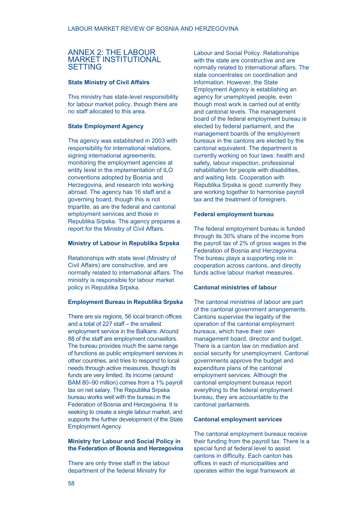# ANNEX 2: THE LABOUR MARKET INSTITUTIONAL SETTING

## **State Ministry of Civil Affairs**

This ministry has state-level responsibility for labour market policy, though there are no staff allocated to this area.

#### **State Employment Agency**

The agency was established in 2003 with responsibility for international relations, signing international agreements, monitoring the employment agencies at entity level in the implementation of ILO conventions adopted by Bosnia and Herzegovina, and research into working abroad. The agency has 16 staff and a governing board, though this is not tripartite, as are the federal and cantonal employment services and those in Republika Srpska. The agency prepares a report for the Ministry of Civil Affairs.

## **Ministry of Labour in Republika Srpska**

Relationships with state level (Ministry of Civil Affairs) are constructive, and are normally related to international affairs. The ministry is responsible for labour market policy in Republika Srpska.

## **Employment Bureau in Republika Srpska**

There are six regions, 56 local branch offices and a total of 227 staff – the smallest employment service in the Balkans. Around 88 of the staff are employment counsellors. The bureau provides much the same range of functions as public employment services in other countries, and tries to respond to local needs through active measures, though its funds are very limited. Its income (around BAM 80–90 million) comes from a 1% payroll tax on net salary. The Republika Srpska bureau works well with the bureau in the Federation of Bosnia and Herzegovina. It is seeking to create a single labour market, and supports the further development of the State Employment Agency.

## **Ministry for Labour and Social Policy in the Federation of Bosnia and Herzegovina**

There are only three staff in the labour department of the federal Ministry for

Labour and Social Policy. Relationships with the state are constructive and are normally related to international affairs. The state concentrates on coordination and information. However, the State Employment Agency is establishing an agency for unemployed people, even though most work is carried out at entity and cantonal levels. The management board of the federal employment bureau is elected by federal parliament, and the management boards of the employment bureaux in the cantons are elected by the cantonal equivalent. The department is currently working on four laws: health and safety, labour inspection, professional rehabilitation for people with disabilities, and waiting lists. Cooperation with Republika Srpska is good: currently they are working together to harmonise payroll tax and the treatment of foreigners.

#### **Federal employment bureau**

The federal employment bureau is funded through its 30% share of the income from the payroll tax of 2% of gross wages in the Federation of Bosnia and Herzegovina. The bureau plays a supporting role in cooperation across cantons, and directly funds active labour market measures.

# **Cantonal ministries of labour**

The cantonal ministries of labour are part of the cantonal government arrangements. Cantons supervise the legality of the operation of the cantonal employment bureaux, which have their own management board, director and budget. There is a canton law on mediation and social security for unemployment. Cantonal governments approve the budget and expenditure plans of the cantonal employment services. Although the cantonal employment bureaux report everything to the federal employment bureau, they are accountable to the cantonal parliaments.

#### **Cantonal employment services**

The cantonal employment bureaux receive their funding from the payroll tax. There is a special fund at federal level to assist cantons in difficulty. Each canton has offices in each of municipalities and operates within the legal framework at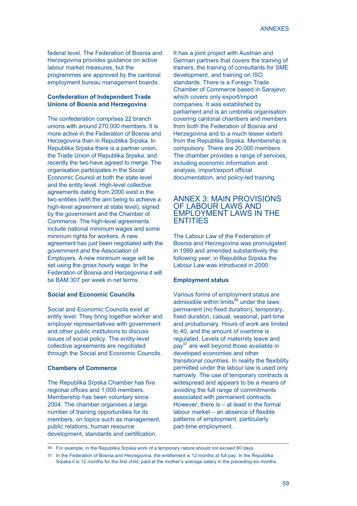federal level. The Federation of Bosnia and Herzegovina provides guidance on active labour market measures, but the programmes are approved by the cantonal employment bureau management boards.

# **Confederation of Independent Trade Unions of Bosnia and Herzegovina**

The confederation comprises 22 branch unions with around 270,000 members. It is more active in the Federation of Bosnia and Herzegovina than in Republika Srpska. In Republika Srpska there is a partner union, the Trade Union of Republika Srpska, and recently the two have agreed to merge. The organisation participates in the Social Economic Council at both the state level and the entity level. High-level collective agreements dating from 2000 exist in the two entities (with the aim being to achieve a high-level agreement at state level), signed by the government and the Chamber of Commerce. The high-level agreements include national minimum wages and some minimum rights for workers. A new agreement has just been negotiated with the government and the Association of Employers. A new minimum wage will be set using the gross hourly wage. In the Federation of Bosnia and Herzegovina it will be BAM 307 per week in net terms.

# **Social and Economic Councils**

Social and Economic Councils exist at entity level. They bring together worker and employer representatives with government and other public institutions to discuss issues of social policy. The entity-level collective agreements are negotiated through the Social and Economic Councils.

#### **Chambers of Commerce**

The Republika Srpska Chamber has five regional offices and 1,000 members. Membership has been voluntary since 2004. The chamber organises a large number of training opportunities for its members, on topics such as management, public relations, human resource development, standards and certification.

It has a joint project with Austrian and German partners that covers the training of trainers, the training of consultants for SME development, and training on ISO standards. There is a Foreign Trade Chamber of Commerce based in Sarajevo which covers only export/import companies. It was established by parliament and is an umbrella organisation covering cantonal chambers and members from both the Federation of Bosnia and Herzegovina and to a much lesser extent from the Republika Srpska. Membership is compulsory. There are 20,000 members. The chamber provides a range of services, including economic information and analysis, import/export official documentation, and policy-led training.

# ANNEX 3: MAIN PROVISIONS OF LABOUR LAWS AND EMPLOYMENT LAWS IN THE ENTITIES

The Labour Law of the Federation of Bosnia and Herzegovina was promulgated in 1999 and amended substantively the following year; in Republika Srpska the Labour Law was introduced in 2000.

#### **Employment status**

Various forms of employment status are admissible within limits $^{56}$  under the laws: permanent (no fixed duration), temporary, fixed duration, casual, seasonal, part-time and probationary. Hours of work are limited to 40, and the amount of overtime is regulated. Levels of maternity leave and pay<sup>57</sup> are well beyond those available in developed economies and other transitional countries. In reality the flexibility permitted under the labour law is used only narrowly. The use of temporary contracts is widespread and appears to be a means of avoiding the full range of commitments associated with permanent contracts. However, there is – at least in the formal labour market – an absence of flexible patterns of employment, particularly part-time employment.

<sup>56</sup> For example, in the Republika Srpska work of a temporary nature should not exceed 60 days.

<sup>57</sup> In the Federation of Bosnia and Herzegovina, the entitlement is 12 months at full pay. In the Republika Srpska it is 12 months for the first child, paid at the mother's average salary in the preceding six months.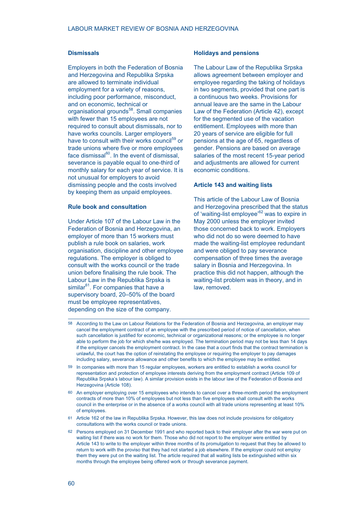#### **Dismissals**

Employers in both the Federation of Bosnia and Herzegovina and Republika Srpska are allowed to terminate individual employment for a variety of reasons, including poor performance, misconduct, and on economic, technical or organisational grounds<sup>58</sup>. Small companies with fewer than 15 employees are not required to consult about dismissals, nor to have works councils. Larger employers have to consult with their works council<sup>59</sup> or trade unions where five or more employees face dismissal $^{60}$ . In the event of dismissal, severance is payable equal to one-third of monthly salary for each year of service. It is not unusual for employers to avoid dismissing people and the costs involved by keeping them as unpaid employees.

## **Rule book and consultation**

Under Article 107 of the Labour Law in the Federation of Bosnia and Herzegovina, an employer of more than 15 workers must publish a rule book on salaries, work organisation, discipline and other employee regulations. The employer is obliged to consult with the works council or the trade union before finalising the rule book. The Labour Law in the Republika Srpska is similar<sup>61</sup>. For companies that have a supervisory board, 20–50% of the board must be employee representatives, depending on the size of the company.

#### **Holidays and pensions**

The Labour Law of the Republika Srpska allows agreement between employer and employee regarding the taking of holidays in two segments, provided that one part is a continuous two weeks. Provisions for annual leave are the same in the Labour Law of the Federation (Article 42), except for the segmented use of the vacation entitlement. Employees with more than 20 years of service are eligible for full pensions at the age of 65, regardless of gender. Pensions are based on average salaries of the most recent 15-year period and adjustments are allowed for current economic conditions.

#### **Article 143 and waiting lists**

This article of the Labour Law of Bosnia and Herzegovina prescribed that the status of 'waiting-list employee'<sup>62</sup> was to expire in May 2000 unless the employer invited those concerned back to work. Employers who did not do so were deemed to have made the waiting-list employee redundant and were obliged to pay severance compensation of three times the average salary in Bosnia and Herzegovina. In practice this did not happen, although the waiting-list problem was in theory, and in law, removed.

- 58 According to the Law on Labour Relations for the Federation of Bosnia and Herzegovina, an employer may cancel the employment contract of an employee with the prescribed period of notice of cancellation, when such cancellation is justified for economic, technical or organizational reasons; or the employee is no longer able to perform the job for which she/he was employed. The termination period may not be less than 14 days if the employer cancels the employment contract. In the case that a court finds that the contract termination is unlawful, the court has the option of reinstating the employee or requiring the employer to pay damages including salary, severance allowance and other benefits to which the employee may be entitled.
- 59 In companies with more than 15 regular employees, workers are entitled to establish a works council for representation and protection of employee interests deriving from the employment contract (Article 109 of Republika Srpska's labour law). A similar provision exists in the labour law of the Federation of Bosnia and Herzegovina (Article 108).
- 60 An employer employing over 15 employees who intends to cancel over a three-month period the employment contracts of more than 10% of employees but not less than five employees shall consult with the works council in the enterprise or in the absence of a works council with all trade unions representing at least 10% of employees.
- 61 Article 162 of the law in Republika Srpska. However, this law does not include provisions for obligatory consultations with the works council or trade unions.
- 62 Persons employed on 31 December 1991 and who reported back to their employer after the war were put on waiting list if there was no work for them. Those who did not report to the employer were entitled by Article 143 to write to the employer within three months of its promulgation to request that they be allowed to return to work with the proviso that they had not started a job elsewhere. If the employer could not employ them they were put on the waiting list. The article required that all waiting lists be extinguished within six months through the employee being offered work or through severance payment.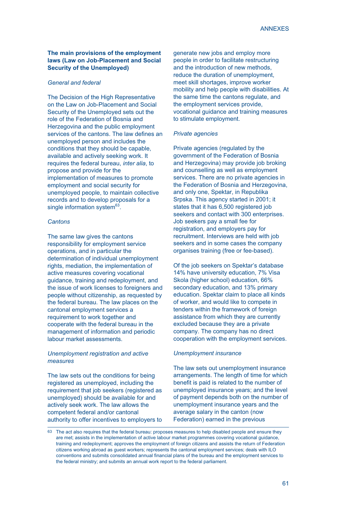# **The main provisions of the employment laws (Law on Job-Placement and Social Security of the Unemployed)**

## *General and federal*

The Decision of the High Representative on the Law on Job-Placement and Social Security of the Unemployed sets out the role of the Federation of Bosnia and Herzegovina and the public employment services of the cantons. The law defines an unemployed person and includes the conditions that they should be capable, available and actively seeking work. It requires the federal bureau, *inter alia*, to propose and provide for the implementation of measures to promote employment and social security for unemployed people, to maintain collective records and to develop proposals for a single information system $63$ .

#### *Cantons*

The same law gives the cantons responsibility for employment service operations, and in particular the determination of individual unemployment rights, mediation, the implementation of active measures covering vocational guidance, training and redeployment, and the issue of work licenses to foreigners and people without citizenship, as requested by the federal bureau. The law places on the cantonal employment services a requirement to work together and cooperate with the federal bureau in the management of information and periodic labour market assessments.

#### *Unemployment registration and active measures*

The law sets out the conditions for being registered as unemployed, including the requirement that job seekers (registered as unemployed) should be available for and actively seek work. The law allows the competent federal and/or cantonal authority to offer incentives to employers to

generate new jobs and employ more people in order to facilitate restructuring and the introduction of new methods, reduce the duration of unemployment, meet skill shortages, improve worker mobility and help people with disabilities. At the same time the cantons regulate, and the employment services provide, vocational guidance and training measures to stimulate employment.

#### *Private agencies*

Private agencies (regulated by the government of the Federation of Bosnia and Herzegovina) may provide job broking and counselling as well as employment services. There are no private agencies in the Federation of Bosnia and Herzegovina, and only one, Spektar, in Republika Srpska. This agency started in 2001; it states that it has 6,500 registered job seekers and contact with 300 enterprises. Job seekers pay a small fee for registration, and employers pay for recruitment. Interviews are held with job seekers and in some cases the company organises training (free or fee-based).

Of the job seekers on Spektar's database 14% have university education, 7% Visa Skola (higher school) education, 66% secondary education, and 13% primary education. Spektar claim to place all kinds of worker, and would like to compete in tenders within the framework of foreign assistance from which they are currently excluded because they are a private company. The company has no direct cooperation with the employment services.

#### *Unemployment insurance*

The law sets out unemployment insurance arrangements. The length of time for which benefit is paid is related to the number of unemployed insurance years; and the level of payment depends both on the number of unemployment insurance years and the average salary in the canton (now Federation) earned in the previous

<sup>63</sup> The act also requires that the federal bureau: proposes measures to help disabled people and ensure they are met; assists in the implementation of active labour market programmes covering vocational guidance, training and redeployment; approves the employment of foreign citizens and assists the return of Federation citizens working abroad as guest workers; represents the cantonal employment services; deals with ILO conventions and submits consolidated annual financial plans of the bureau and the employment services to the federal ministry; and submits an annual work report to the federal parliament.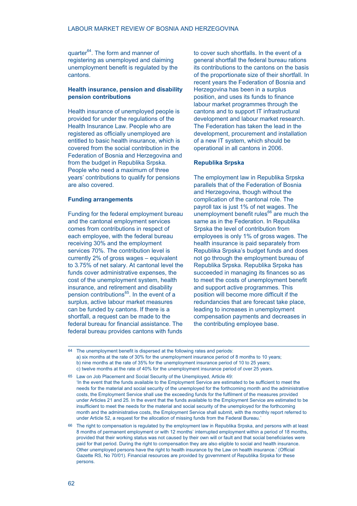quarter<sup>64</sup>. The form and manner of registering as unemployed and claiming unemployment benefit is regulated by the cantons.

## **Health insurance, pension and disability pension contributions**

Health insurance of unemployed people is provided for under the regulations of the Health Insurance Law. People who are registered as officially unemployed are entitled to basic health insurance, which is covered from the social contribution in the Federation of Bosnia and Herzegovina and from the budget in Republika Srpska. People who need a maximum of three years' contributions to qualify for pensions are also covered.

#### **Funding arrangements**

Funding for the federal employment bureau and the cantonal employment services comes from contributions in respect of each employee, with the federal bureau receiving 30% and the employment services 70%. The contribution level is currently 2% of gross wages – equivalent to 3.75% of net salary. At cantonal level the funds cover administrative expenses, the cost of the unemployment system, health insurance, and retirement and disability pension contributions $^{65}$ . In the event of a surplus, active labour market measures can be funded by cantons. If there is a shortfall, a request can be made to the federal bureau for financial assistance. The federal bureau provides cantons with funds

to cover such shortfalls. In the event of a general shortfall the federal bureau rations its contributions to the cantons on the basis of the proportionate size of their shortfall. In recent years the Federation of Bosnia and Herzegovina has been in a surplus position, and uses its funds to finance labour market programmes through the cantons and to support IT infrastructural development and labour market research. The Federation has taken the lead in the development, procurement and installation of a new IT system, which should be operational in all cantons in 2006.

#### **Republika Srpska**

The employment law in Republika Srpska parallels that of the Federation of Bosnia and Herzegovina, though without the complication of the cantonal role. The payroll tax is just 1% of net wages. The unemployment benefit rules $^{66}$  are much the same as in the Federation. In Republika Srpska the level of contribution from employees is only 1% of gross wages. The health insurance is paid separately from Republika Srpska's budget funds and does not go through the employment bureau of Republika Srpska. Republika Srpska has succeeded in managing its finances so as to meet the costs of unemployment benefit and support active programmes. This position will become more difficult if the redundancies that are forecast take place, leading to increases in unemployment compensation payments and decreases in the contributing employee base.

<sup>64</sup> The unemployment benefit is dispersed at the following rates and periods: a) six months at the rate of 30% for the unemployment insurance period of 8 months to 10 years; b) nine months at the rate of 35% for the unemployment insurance period of 10 to 25 years; c) twelve months at the rate of 40% for the unemployment insurance period of over 25 years.

<sup>65</sup> Law on Job Placement and Social Security of the Unemployed, Article 49: 'In the event that the funds available to the Employment Service are estimated to be sufficient to meet the needs for the material and social security of the unemployed for the forthcoming month and the administrative costs, the Employment Service shall use the exceeding funds for the fulfilment of the measures provided under Articles 21 and 25. In the event that the funds available to the Employment Service are estimated to be insufficient to meet the needs for the material and social security of the unemployed for the forthcoming month and the administrative costs, the Employment Service shall submit, with the monthly report referred to under Article 52, a request for the allocation of missing funds from the Federal Bureau.'

<sup>66</sup> The right to compensation is regulated by the employment law in Republika Srpska, and persons with at least 8 months of permanent employment or with 12 months' interrupted employment within a period of 18 months, provided that their working status was not caused by their own will or fault and that social beneficiaries were paid for that period. During the right to compensation they are also eligible to social and health insurance. Other unemployed persons have the right to health insurance by the Law on health insurance.' (Official Gazette RS, No 70/01). Financial resources are provided by government of Republika Srpska for these persons.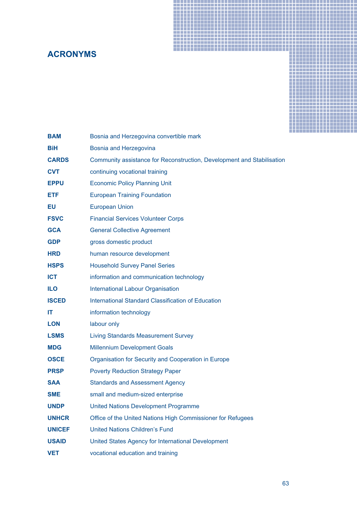# **ACRONYMS**



| <b>BAM</b>    | Bosnia and Herzegovina convertible mark                                |
|---------------|------------------------------------------------------------------------|
| <b>BiH</b>    | Bosnia and Herzegovina                                                 |
| <b>CARDS</b>  | Community assistance for Reconstruction, Development and Stabilisation |
| <b>CVT</b>    | continuing vocational training                                         |
| <b>EPPU</b>   | <b>Economic Policy Planning Unit</b>                                   |
| ETF           | <b>European Training Foundation</b>                                    |
| EU            | <b>European Union</b>                                                  |
| <b>FSVC</b>   | <b>Financial Services Volunteer Corps</b>                              |
| <b>GCA</b>    | <b>General Collective Agreement</b>                                    |
| <b>GDP</b>    | gross domestic product                                                 |
| <b>HRD</b>    | human resource development                                             |
| <b>HSPS</b>   | <b>Household Survey Panel Series</b>                                   |
| <b>ICT</b>    | information and communication technology                               |
| <b>ILO</b>    | <b>International Labour Organisation</b>                               |
| <b>ISCED</b>  | <b>International Standard Classification of Education</b>              |
| IT            | information technology                                                 |
| <b>LON</b>    | labour only                                                            |
| <b>LSMS</b>   | <b>Living Standards Measurement Survey</b>                             |
| <b>MDG</b>    | <b>Millennium Development Goals</b>                                    |
| <b>OSCE</b>   | Organisation for Security and Cooperation in Europe                    |
| <b>PRSP</b>   | <b>Poverty Reduction Strategy Paper</b>                                |
| <b>SAA</b>    | <b>Standards and Assessment Agency</b>                                 |
| <b>SME</b>    | small and medium-sized enterprise                                      |
| <b>UNDP</b>   | <b>United Nations Development Programme</b>                            |
| <b>UNHCR</b>  | Office of the United Nations High Commissioner for Refugees            |
| <b>UNICEF</b> | <b>United Nations Children's Fund</b>                                  |
| <b>USAID</b>  | United States Agency for International Development                     |
| <b>VET</b>    | vocational education and training                                      |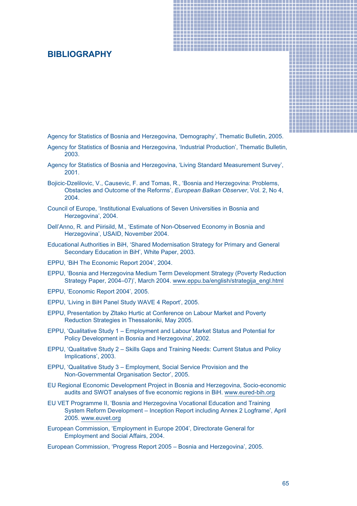# **BIBLIOGRAPHY**



Agency for Statistics of Bosnia and Herzegovina, 'Demography', Thematic Bulletin, 2005.

- Agency for Statistics of Bosnia and Herzegovina, 'Industrial Production', Thematic Bulletin, 2003.
- Agency for Statistics of Bosnia and Herzegovina, 'Living Standard Measurement Survey', 2001.
- Bojicic-Dzelilovic, V., Causevic, F. and Tomas, R., 'Bosnia and Herzegovina: Problems, Obstacles and Outcome of the Reforms', *European Balkan Observer*, Vol. 2, No 4, 2004.
- Council of Europe, 'Institutional Evaluations of Seven Universities in Bosnia and Herzegovina', 2004.
- Dell'Anno, R. and Piirisild, M., 'Estimate of Non-Observed Economy in Bosnia and Herzegovina', USAID, November 2004.
- Educational Authorities in BiH, 'Shared Modernisation Strategy for Primary and General Secondary Education in BiH', White Paper, 2003.
- EPPU, 'BiH The Economic Report 2004', 2004.
- EPPU, 'Bosnia and Herzegovina Medium Term Development Strategy (Poverty Reduction Strategy Paper, 2004–07)', March 2004. www.eppu.ba/english/strategija\_engl.html
- EPPU, 'Economic Report 2004', 2005.
- EPPU, 'Living in BiH Panel Study WAVE 4 Report', 2005.
- EPPU, Presentation by Zltako Hurtic at Conference on Labour Market and Poverty Reduction Strategies in Thessaloniki, May 2005.
- EPPU, 'Qualitative Study 1 Employment and Labour Market Status and Potential for Policy Development in Bosnia and Herzegovina', 2002.
- EPPU, 'Qualitative Study 2 Skills Gaps and Training Needs: Current Status and Policy Implications', 2003.
- EPPU, 'Qualitative Study 3 Employment, Social Service Provision and the Non-Governmental Organisation Sector', 2005.
- EU Regional Economic Development Project in Bosnia and Herzegovina, Socio-economic audits and SWOT analyses of five economic regions in BiH. www.eured-bih.org
- EU VET Programme II, 'Bosnia and Herzegovina Vocational Education and Training System Reform Development – Inception Report including Annex 2 Logframe', April 2005. www.euvet.org
- European Commission, 'Employment in Europe 2004', Directorate General for Employment and Social Affairs, 2004.

European Commission, 'Progress Report 2005 – Bosnia and Herzegovina', 2005.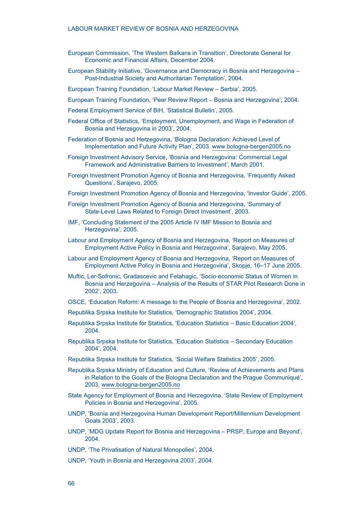#### LABOUR MARKET REVIEW OF BOSNIA AND HERZEGOVINA

- European Commission, 'The Western Balkans in Transition', Directorate General for Economic and Financial Affairs, December 2004.
- European Stability Initiative, 'Governance and Democracy in Bosnia and Herzegovina Post-Industrial Society and Authoritarian Temptation', 2004.
- European Training Foundation, 'Labour Market Review Serbia', 2005.
- European Training Foundation, 'Peer Review Report Bosnia and Herzegovina', 2004.
- Federal Employment Service of BiH, 'Statistical Bulletin', 2005.
- Federal Office of Statistics, 'Employment, Unemployment, and Wage in Federation of Bosnia and Herzegovina in 2003', 2004.
- Federation of Bosnia and Herzegovina, 'Bologna Declaration: Achieved Level of Implementation and Future Activity Plan', 2003. www.bologna-bergen2005.no
- Foreign Investment Advisory Service, 'Bosnia and Herzegovina: Commercial Legal Framework and Administrative Barriers to Investment', March 2001.
- Foreign Investment Promotion Agency of Bosnia and Herzegovina, 'Frequently Asked Questions', Sarajevo, 2005.
- Foreign Investment Promotion Agency of Bosnia and Herzegovina, 'Investor Guide', 2005.
- Foreign Investment Promotion Agency of Bosnia and Herzegovina, 'Summary of State-Level Laws Related to Foreign Direct Investment', 2003.
- IMF, 'Concluding Statement of the 2005 Article IV IMF Mission to Bosnia and Herzegovina', 2005.
- Labour and Employment Agency of Bosnia and Herzegovina, 'Report on Measures of Employment Active Policy in Bosnia and Herzegovina', Sarajevo, May 2005.
- Labour and Employment Agency of Bosnia and Herzegovina, 'Report on Measures of Employment Active Policy in Bosnia and Herzegovina', Skopje, 16–17 June 2005.
- Muftic, Ler-Sofronic, Gradascevic and Fetahagic, 'Socio-economic Status of Women in Bosnia and Herzegovina – Analysis of the Results of STAR Pilot Research Done in 2002', 2003.
- OSCE, 'Education Reform: A message to the People of Bosnia and Herzegovina', 2002.
- Republika Srpska Institute for Statistics, 'Demographic Statistics 2004', 2004.
- Republika Srpska Institute for Statistics, 'Education Statistics Basic Education 2004', 2004.
- Republika Srpska Institute for Statistics, 'Education Statistics Secondary Education 2004', 2004.
- Republika Srpska Institute for Statistics, 'Social Welfare Statistics 2005', 2005.
- Republika Srpska Ministry of Education and Culture, 'Review of Achievements and Plans in Relation to the Goals of the Bologna Declaration and the Prague Communiqué', 2003. www.bologna-bergen2005.no
- State Agency for Employment of Bosnia and Herzegovina, 'State Review of Employment Policies in Bosnia and Herzegovina', 2005.
- UNDP, 'Bosnia and Herzegovina Human Development Report/Millennium Development Goals 2003', 2003.
- UNDP, 'MDG Update Report for Bosnia and Herzegovina PRSP, Europe and Beyond', 2004.
- UNDP, 'The Privatisation of Natural Monopolies', 2004.
- UNDP, 'Youth in Bosnia and Herzegovina 2003', 2004.